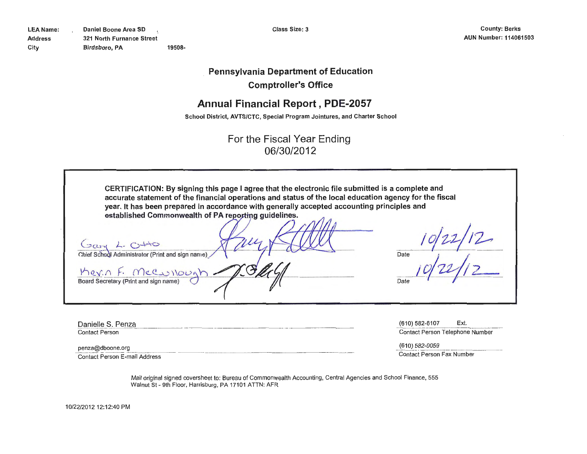**Pennsylvania Department of Education** 

**Comptroller's Office** 

# **Annual Financial Report, PDE-2057**

**School District, AVTS/CTC, Special Program Jointures, and Charter School** 

For the Fiscal Year Ending 06/30/2012

| CERTIFICATION: By signing this page I agree that the electronic file submitted is a complete and<br>accurate statement of the financial operations and status of the local education agency for the fiscal<br>year. It has been prepared in accordance with generally accepted accounting principles and |      |
|----------------------------------------------------------------------------------------------------------------------------------------------------------------------------------------------------------------------------------------------------------------------------------------------------------|------|
| established Commonwealth of PA reporting guidelines.                                                                                                                                                                                                                                                     |      |
| Chief School Administrator (Print and sign name)                                                                                                                                                                                                                                                         | Date |
| Merin F. Mecullough<br>Board Secretary (Print and sign name)                                                                                                                                                                                                                                             | Date |

Danielle S. Penza Contact Person

(610) 582-6107 Ext. Contact Person Telephone Number

penza@dboone.org Contact Person E-mail Address (610) 582-0059

Contact Person Fax Number

Mail original signed coversheet to: Bureau of Commonwealth Accounting, Central Agencies and School Finance, 555 Walnut St- 9th Floor, Harrisburg, PA 17101 ATTN: AFR

10/22/2012 12:12:40 PM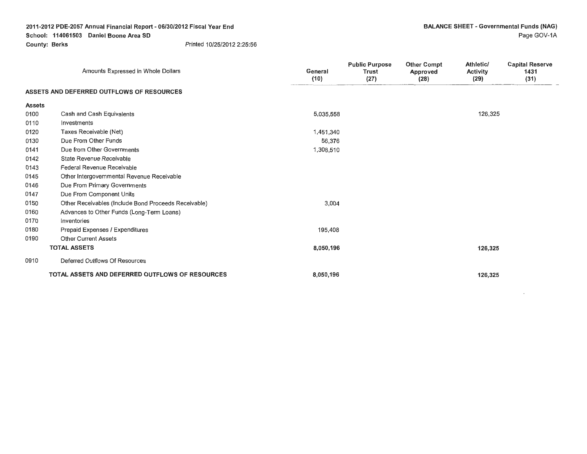$\Box$ 

|               | Amounts Expressed in Whole Dollars                   | General<br>(10) | <b>Public Purpose</b><br><b>Trust</b><br>(27) | <b>Other Compt</b><br>Approved<br>(28) | Athletic/<br><b>Activity</b><br>(29) | <b>Capital Reserve</b><br>1431<br>(31) |
|---------------|------------------------------------------------------|-----------------|-----------------------------------------------|----------------------------------------|--------------------------------------|----------------------------------------|
|               | ASSETS AND DEFERRED OUTFLOWS OF RESOURCES            |                 |                                               |                                        |                                      |                                        |
| <b>Assets</b> |                                                      |                 |                                               |                                        |                                      |                                        |
| 0100          | Cash and Cash Equivalents                            | 5,035,558       |                                               |                                        | 126,325                              |                                        |
| 0110          | Investments                                          |                 |                                               |                                        |                                      |                                        |
| 0120          | Taxes Receivable (Net)                               | 1,451,340       |                                               |                                        |                                      |                                        |
| 0130          | Due From Other Funds                                 | 56,376          |                                               |                                        |                                      |                                        |
| 0141          | Due from Other Governments                           | 1,308,510       |                                               |                                        |                                      |                                        |
| 0142          | State Revenue Receivable                             |                 |                                               |                                        |                                      |                                        |
| 0143          | Federal Revenue Receivable                           |                 |                                               |                                        |                                      |                                        |
| 0145          | Other Intergovernmental Revenue Receivable           |                 |                                               |                                        |                                      |                                        |
| 0146          | Due From Primary Governments                         |                 |                                               |                                        |                                      |                                        |
| 0147          | Due From Component Units                             |                 |                                               |                                        |                                      |                                        |
| 0150          | Other Receivables (Include Bond Proceeds Receivable) | 3,004           |                                               |                                        |                                      |                                        |
| 0160          | Advances to Other Funds (Long-Term Loans)            |                 |                                               |                                        |                                      |                                        |
| 0170          | Inventories                                          |                 |                                               |                                        |                                      |                                        |
| 0180          | Prepaid Expenses / Expenditures                      | 195,408         |                                               |                                        |                                      |                                        |
| 0190          | <b>Other Current Assets</b>                          |                 |                                               |                                        |                                      |                                        |
|               | <b>TOTAL ASSETS</b>                                  | 8,050,196       |                                               |                                        | 126,325                              |                                        |
| 0910          | Deferred Outflows Of Resources                       |                 |                                               |                                        |                                      |                                        |
|               | TOTAL ASSETS AND DEFERRED OUTFLOWS OF RESOURCES      | 8,050,196       |                                               |                                        | 126,325                              |                                        |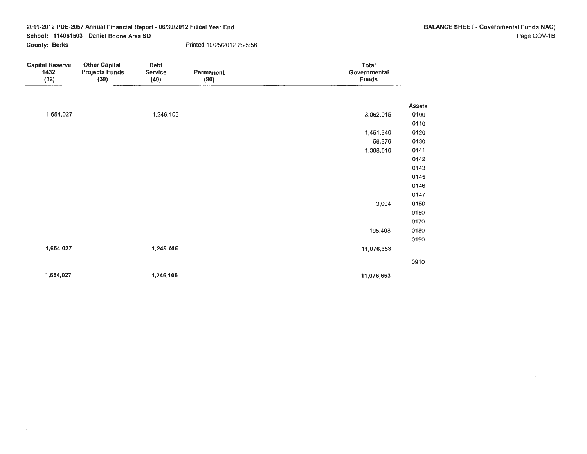$\overline{\phantom{a}}$ 

 $\sim$ 

| <b>Capital Reserve</b><br>1432<br>(32) | <b>Other Capital</b><br><b>Projects Funds</b><br>(39) | Debt<br>Service<br>(40) | Permanent<br>(90) | Total<br>Governmental<br><b>Funds</b> |               |
|----------------------------------------|-------------------------------------------------------|-------------------------|-------------------|---------------------------------------|---------------|
|                                        |                                                       |                         |                   |                                       | <b>Assets</b> |
| 1,654,027                              |                                                       | 1,246,105               |                   | 8,062,015                             | 0100          |
|                                        |                                                       |                         |                   |                                       | 0110          |
|                                        |                                                       |                         |                   | 1,451,340                             | 0120          |
|                                        |                                                       |                         |                   | 56,376                                | 0130          |
|                                        |                                                       |                         |                   | 1,308,510                             | 0141          |
|                                        |                                                       |                         |                   |                                       | 0142          |
|                                        |                                                       |                         |                   |                                       | 0143          |
|                                        |                                                       |                         |                   |                                       | 0145          |
|                                        |                                                       |                         |                   |                                       | 0146          |
|                                        |                                                       |                         |                   |                                       | 0147          |
|                                        |                                                       |                         |                   | 3,004                                 | 0150          |
|                                        |                                                       |                         |                   |                                       | 0160          |
|                                        |                                                       |                         |                   |                                       | 0170          |
|                                        |                                                       |                         |                   | 195,408                               | 0180          |
|                                        |                                                       |                         |                   |                                       | 0190          |
| 1,654,027                              |                                                       | 1,246,105               |                   | 11,076,653                            |               |
|                                        |                                                       |                         |                   |                                       | 0910          |
| 1,654,027                              |                                                       | 1,246,105               |                   | 11,076,653                            |               |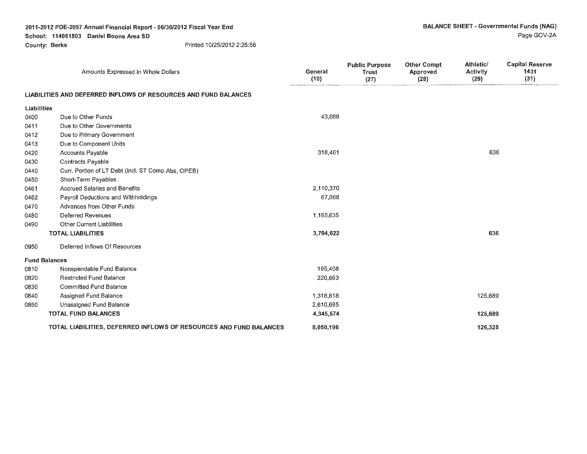### **2011-2012 PDE-2057 Annual Financial Report** - **06/30/2012 Fiscal Year End School: 114061503 Daniel Boone Area SD**

**County: Berks** Printed 10/25/2012 2:25:56

|                      | Amounts Expressed in Whole Dollars                                 | General<br>(10) | <b>Public Purpose</b><br><b>Trust</b><br>(27) | <b>Other Compt</b><br>Approved<br>(28) | Athletic/<br>Activity<br>(29) | <b>Capital Reserve</b><br>1431<br>(31) |
|----------------------|--------------------------------------------------------------------|-----------------|-----------------------------------------------|----------------------------------------|-------------------------------|----------------------------------------|
|                      | LIABILITIES AND DEFERRED INFLOWS OF RESOURCES AND FUND BALANCES    |                 |                                               |                                        |                               |                                        |
| <b>Liabilities</b>   |                                                                    |                 |                                               |                                        |                               |                                        |
| 0400                 | Due to Other Funds                                                 | 43,088          |                                               |                                        |                               |                                        |
| 0411                 | Due to Other Governments                                           |                 |                                               |                                        |                               |                                        |
| 0412                 | Due to Primary Government                                          |                 |                                               |                                        |                               |                                        |
| 0413                 | Due to Component Units                                             |                 |                                               |                                        |                               |                                        |
| 0420                 | Accounts Payable                                                   | 318,461         |                                               |                                        | 636                           |                                        |
| 0430                 | Contracts Payable                                                  |                 |                                               |                                        |                               |                                        |
| 0440                 | Curr. Portion of LT Debt (incl. ST Comp Abs, OPEB)                 |                 |                                               |                                        |                               |                                        |
| 0450                 | Short-Term Payables                                                |                 |                                               |                                        |                               |                                        |
| 0461                 | <b>Accrued Salaries and Benefits</b>                               | 2,110,370       |                                               |                                        |                               |                                        |
| 0462                 | Payroll Deductions and Withholdings                                | 67,068          |                                               |                                        |                               |                                        |
| 0470                 | Advances from Other Funds                                          |                 |                                               |                                        |                               |                                        |
| 0480                 | <b>Deferred Revenues</b>                                           | 1,165,635       |                                               |                                        |                               |                                        |
| 0490                 | <b>Other Current Liabilities</b>                                   |                 |                                               |                                        |                               |                                        |
|                      | <b>TOTAL LIABILITIES</b>                                           | 3,704,622       |                                               |                                        | 636                           |                                        |
| 0950                 | Deferred Inflows Of Resources                                      |                 |                                               |                                        |                               |                                        |
| <b>Fund Balances</b> |                                                                    |                 |                                               |                                        |                               |                                        |
| 0810                 | Nonspendable Fund Balance                                          | 195,408         |                                               |                                        |                               |                                        |
| 0820                 | <b>Restricted Fund Balance</b>                                     | 220,663         |                                               |                                        |                               |                                        |
| 0830                 | <b>Committed Fund Balance</b>                                      |                 |                                               |                                        |                               |                                        |
| 0840                 | Assigned Fund Balance                                              | 1,318,818       |                                               |                                        | 125,689                       |                                        |
| 0850                 | Unassigned Fund Balance                                            | 2,610,685       |                                               |                                        |                               |                                        |
|                      | <b>TOTAL FUND BALANCES</b>                                         | 4,345,574       |                                               |                                        | 125,689                       |                                        |
|                      | TOTAL LIABILITIES, DEFERRED INFLOWS OF RESOURCES AND FUND BALANCES | 8,050,196       |                                               |                                        | 126,325                       |                                        |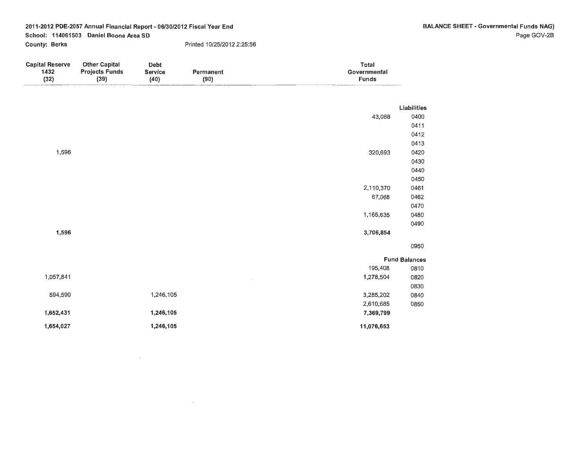BALANCE SHEET - Governmental Funds **NAG)**  Page GOV-2B

2011-2012 PDE-2057 Annual Financial Report - 06/30/2012 Fiscal Year End School: 114061503 Daniel Boone Area SD County: Berks Printed 10/25/2012 2:25:56

 $\sim 10^7$ 

 $\sim$ 

| <b>Capital Reserve</b><br>1432<br>(32) | <b>Other Capital</b><br><b>Projects Funds</b><br>(39) | Debt<br><b>Service</b><br>(40) | Permanent<br>(90) | Total<br>Governmental<br><b>Funds</b> |                      |
|----------------------------------------|-------------------------------------------------------|--------------------------------|-------------------|---------------------------------------|----------------------|
|                                        |                                                       |                                |                   |                                       | Liabilities          |
|                                        |                                                       |                                |                   | 43,088                                | 0400                 |
|                                        |                                                       |                                |                   |                                       | 0411                 |
|                                        |                                                       |                                |                   |                                       | 0412                 |
|                                        |                                                       |                                |                   |                                       | 0413                 |
| 1,596                                  |                                                       |                                |                   | 320,693                               | 0420                 |
|                                        |                                                       |                                |                   |                                       | 0430                 |
|                                        |                                                       |                                |                   |                                       | 0440                 |
|                                        |                                                       |                                |                   |                                       | 0450                 |
|                                        |                                                       |                                |                   | 2,110,370                             | 0461                 |
|                                        |                                                       |                                |                   | 67,068                                | 0462                 |
|                                        |                                                       |                                |                   | 1,165,635                             | 0470<br>0480         |
|                                        |                                                       |                                |                   |                                       | 0490                 |
| 1,596                                  |                                                       |                                |                   | 3,706,854                             |                      |
|                                        |                                                       |                                |                   |                                       |                      |
|                                        |                                                       |                                |                   |                                       | 0950                 |
|                                        |                                                       |                                |                   |                                       | <b>Fund Balances</b> |
|                                        |                                                       |                                |                   | 195,408                               | 0810                 |
| 1,057,841                              |                                                       |                                |                   | 1,278,504                             | 0820                 |
|                                        |                                                       |                                |                   |                                       | 0830                 |
| 594,590                                |                                                       | 1,246,105                      |                   | 3,285,202                             | 0840                 |
|                                        |                                                       |                                |                   | 2,610,685                             | 0850                 |
| 1,652,431                              |                                                       | 1,246,105                      |                   | 7,369,799                             |                      |
| 1,654,027                              |                                                       | 1,246,105                      |                   | 11,076,653                            |                      |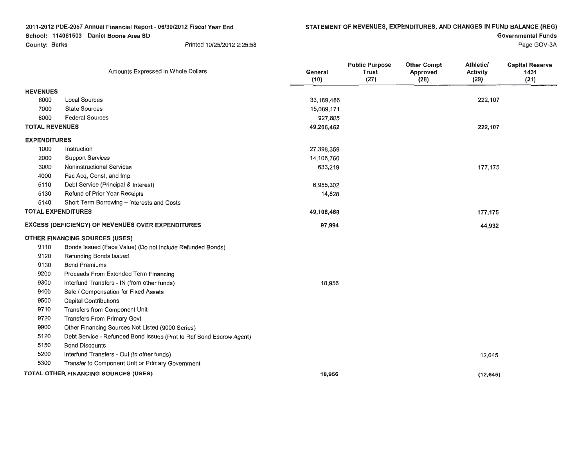**2011-2012 PDE-2057 Annual Financial Report- 06/30/2012 Fiscal Year End School: 114061503 Daniel Boone Area SD** 

**County: Berks 10/25/2012 2:25:58** 

**Governmental Funds** 

Page GOV-3A

|                           | Amounts Expressed in Whole Dollars                                 | General<br>(10) | <b>Public Purpose</b><br><b>Trust</b><br>(27) | <b>Other Compt</b><br>Approved<br>(28) | Athletic/<br>Activity<br>(29) | <b>Capital Reserve</b><br>1431<br>(31) |
|---------------------------|--------------------------------------------------------------------|-----------------|-----------------------------------------------|----------------------------------------|-------------------------------|----------------------------------------|
| <b>REVENUES</b>           |                                                                    |                 |                                               |                                        |                               |                                        |
| 6000                      | <b>Local Sources</b>                                               | 33,189,486      |                                               |                                        | 222,107                       |                                        |
| 7000                      | <b>State Sources</b>                                               | 15,089,171      |                                               |                                        |                               |                                        |
| 8000                      | <b>Federal Sources</b>                                             | 927,805         |                                               |                                        |                               |                                        |
| <b>TOTAL REVENUES</b>     |                                                                    | 49,206,462      |                                               |                                        | 222,107                       |                                        |
| <b>EXPENDITURES</b>       |                                                                    |                 |                                               |                                        |                               |                                        |
| 1000                      | Instruction                                                        | 27,398,359      |                                               |                                        |                               |                                        |
| 2000                      | <b>Support Services</b>                                            | 14,106,760      |                                               |                                        |                               |                                        |
| 3000                      | Noninstructional Services                                          | 633,219         |                                               |                                        | 177,175                       |                                        |
| 4000                      | Fac Acq, Const, and Imp                                            |                 |                                               |                                        |                               |                                        |
| 5110                      | Debt Service (Principal & Interest)                                | 6,955,302       |                                               |                                        |                               |                                        |
| 5130                      | Refund of Prior Year Receipts                                      | 14,828          |                                               |                                        |                               |                                        |
| 5140                      | Short Term Borrowing - Interests and Costs                         |                 |                                               |                                        |                               |                                        |
| <b>TOTAL EXPENDITURES</b> |                                                                    | 49,108,468      |                                               |                                        | 177,175                       |                                        |
|                           | <b>EXCESS (DEFICIENCY) OF REVENUES OVER EXPENDITURES</b>           | 97,994          |                                               |                                        | 44,932                        |                                        |
|                           | <b>OTHER FINANCING SOURCES (USES)</b>                              |                 |                                               |                                        |                               |                                        |
| 9110                      | Bonds Issued (Face Value) (Do not include Refunded Bonds)          |                 |                                               |                                        |                               |                                        |
| 9120                      | Refunding Bonds Issued                                             |                 |                                               |                                        |                               |                                        |
| 9130                      | <b>Bond Premiums</b>                                               |                 |                                               |                                        |                               |                                        |
| 9200                      | Proceeds From Extended Term Financing                              |                 |                                               |                                        |                               |                                        |
| 9300                      | Interfund Transfers - IN (from other funds)                        | 18,956          |                                               |                                        |                               |                                        |
| 9400                      | Sale / Compensation for Fixed Assets                               |                 |                                               |                                        |                               |                                        |
| 9500                      | <b>Capital Contributions</b>                                       |                 |                                               |                                        |                               |                                        |
| 9710                      | Transfers from Component Unit                                      |                 |                                               |                                        |                               |                                        |
| 9720                      | <b>Transfers From Primary Govt</b>                                 |                 |                                               |                                        |                               |                                        |
| 9900                      | Other Financing Sources Not Listed (9000 Series)                   |                 |                                               |                                        |                               |                                        |
| 5120                      | Debt Service - Refunded Bond Issues (Pmt to Ref Bond Escrow Agent) |                 |                                               |                                        |                               |                                        |
| 5150                      | <b>Bond Discounts</b>                                              |                 |                                               |                                        |                               |                                        |
| 5200                      | Interfund Transfers - Out (to other funds)                         |                 |                                               |                                        | 12,645                        |                                        |
| 5300                      | Transfer to Component Unit or Primary Government                   |                 |                                               |                                        |                               |                                        |
|                           | TOTAL OTHER FINANCING SOURCES (USES)                               | 18,956          |                                               |                                        | (12, 645)                     |                                        |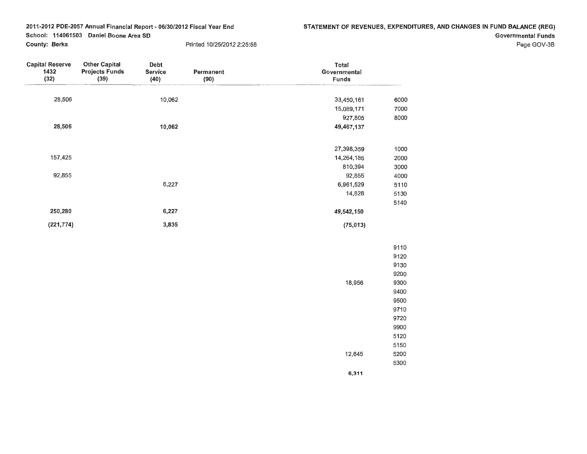Page GOV-3B

| <b>Capital Reserve</b><br>1432<br>(32) | <b>Other Capital</b><br><b>Projects Funds</b><br>(39) | Debt<br><b>Service</b><br>(40) | Permanent<br>(90) | Total<br>Governmental<br><b>Funds</b> |      |
|----------------------------------------|-------------------------------------------------------|--------------------------------|-------------------|---------------------------------------|------|
| 28,506                                 |                                                       | 10,062                         |                   | 33,450,161                            | 6000 |
|                                        |                                                       |                                |                   | 15,089,171                            | 7000 |
|                                        |                                                       |                                |                   | 927,805                               | 8000 |
| 28,506                                 |                                                       | 10,062                         |                   | 49,467,137                            |      |
|                                        |                                                       |                                |                   | 27,398,359                            | 1000 |
| 157,425                                |                                                       |                                |                   | 14,264,185                            | 2000 |
|                                        |                                                       |                                |                   | 810,394                               | 3000 |
| 92,855                                 |                                                       |                                |                   | 92,855                                | 4000 |
|                                        |                                                       | 6,227                          |                   | 6,961,529                             | 5110 |
|                                        |                                                       |                                |                   | 14,828                                | 5130 |
|                                        |                                                       |                                |                   |                                       | 5140 |
| 250,280                                |                                                       | 6,227                          |                   | 49,542,150                            |      |
| (221, 774)                             |                                                       | 3,835                          |                   | (75, 013)                             |      |
|                                        |                                                       |                                |                   |                                       | 9110 |

|        | 9110 |
|--------|------|
|        | 9120 |
|        | 9130 |
|        | 9200 |
| 18.956 | 9300 |
|        | 9400 |
|        | 9500 |
|        | 9710 |
|        | 9720 |
|        | 9900 |
|        | 5120 |
|        | 5150 |
| 12.645 | 5200 |
|        | 5300 |
| 6,311  |      |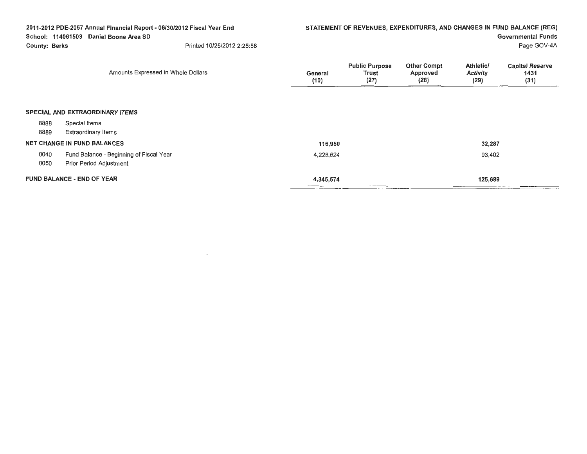|                      | 2011-2012 PDE-2057 Annual Financial Report - 06/30/2012 Fiscal Year End<br>School: 114061503 Daniel Boone Area SD |                 |                                        |                                        |                                      | STATEMENT OF REVENUES, EXPENDITURES, AND CHANGES IN FUND BALANCE (REG)<br><b>Governmental Funds</b> |
|----------------------|-------------------------------------------------------------------------------------------------------------------|-----------------|----------------------------------------|----------------------------------------|--------------------------------------|-----------------------------------------------------------------------------------------------------|
| <b>County: Berks</b> | Printed 10/25/2012 2:25:58                                                                                        |                 |                                        |                                        |                                      | Page GOV-4A                                                                                         |
|                      | Amounts Expressed in Whole Dollars                                                                                | General<br>(10) | <b>Public Purpose</b><br>Trust<br>(27) | <b>Other Compt</b><br>Approved<br>(28) | Athletic/<br><b>Activity</b><br>(29) | <b>Capital Reserve</b><br>1431<br>(31)                                                              |
|                      | <b>SPECIAL AND EXTRAORDINARY ITEMS</b>                                                                            |                 |                                        |                                        |                                      |                                                                                                     |
| 8888                 | Special Items                                                                                                     |                 |                                        |                                        |                                      |                                                                                                     |
| 8889                 | <b>Extraordinary Items</b>                                                                                        |                 |                                        |                                        |                                      |                                                                                                     |
|                      | <b>NET CHANGE IN FUND BALANCES</b>                                                                                | 116,950         |                                        |                                        | 32,287                               |                                                                                                     |
| 0040<br>0050         | Fund Balance - Beginning of Fiscal Year<br>Prior Period Adjustment                                                | 4,228,624       |                                        |                                        | 93,402                               |                                                                                                     |
|                      | <b>FUND BALANCE - END OF YEAR</b>                                                                                 | 4,345,574       |                                        |                                        | 125,689                              |                                                                                                     |

 $\mathcal{L}(\mathcal{L}(\mathcal{L}))$  and  $\mathcal{L}(\mathcal{L}(\mathcal{L}))$  . The set of  $\mathcal{L}(\mathcal{L})$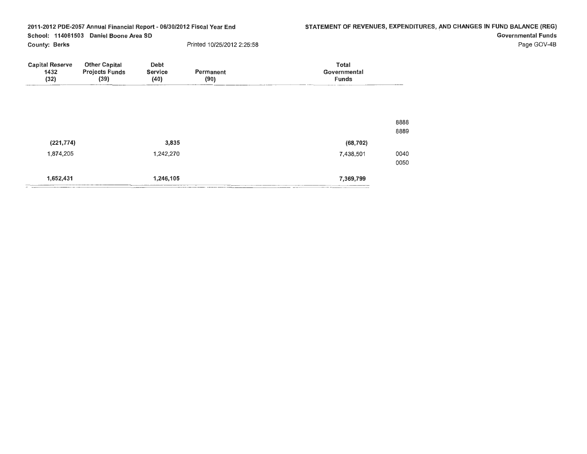STATEMENT OF REVENUES, EXPENDITURES, AND CHANGES IN FUND BALANCE (REG) Governmental Funds

Page GOV-48

| <b>Capital Reserve</b><br>1432<br>(32) | <b>Other Capital</b><br><b>Projects Funds</b><br>(39) | <b>Debt</b><br><b>Service</b><br>(40) | Permanent<br>(90) | <b>Total</b><br>Governmental<br><b>Funds</b> |              |
|----------------------------------------|-------------------------------------------------------|---------------------------------------|-------------------|----------------------------------------------|--------------|
|                                        |                                                       |                                       |                   |                                              |              |
|                                        |                                                       |                                       |                   |                                              | 8888<br>8889 |
| (221, 774)                             |                                                       | 3,835                                 |                   | (68, 702)                                    |              |
| 1,874,205                              |                                                       | 1,242,270                             |                   | 7,438,501                                    | 0040<br>0050 |
| 1,652,431                              |                                                       | 1,246,105                             |                   | 7,369,799                                    |              |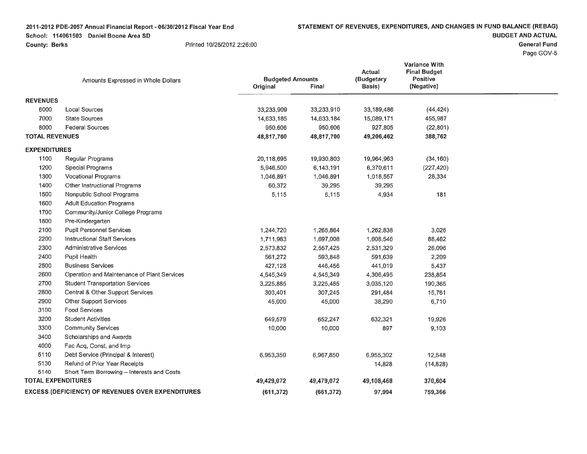**2011 -2012 PDE-2057 Annual Financial Report - 06/30/2012 Fiscal Year End School: 114061503 Daniel Boone Area SD** 

**County: Berks** Printed 10/25/2012 2:26:00

**BUDGET AND ACTUAL** 

**General Fund** 

Page GOV-5

|                           | Amounts Expressed in Whole Dollars                       | <b>Budgeted Amounts</b><br>Original | Final      | Actual<br>(Budgetary<br>Basis) | Variance With<br><b>Final Budget</b><br><b>Positive</b><br>(Negative) |  |
|---------------------------|----------------------------------------------------------|-------------------------------------|------------|--------------------------------|-----------------------------------------------------------------------|--|
| <b>REVENUES</b>           |                                                          |                                     |            |                                |                                                                       |  |
| 6000                      | <b>Local Sources</b>                                     | 33,233,909                          | 33,233,910 | 33,189,486                     | (44, 424)                                                             |  |
| 7000                      | <b>State Sources</b>                                     | 14,633,185                          | 14,633,184 | 15,089,171                     | 455,987                                                               |  |
| 8000                      | <b>Federal Sources</b>                                   | 950,606                             | 950,606    | 927,805                        | (22, 801)                                                             |  |
| <b>TOTAL REVENUES</b>     |                                                          | 48,817,700                          | 48,817,700 | 49,206,462                     | 388,762                                                               |  |
| <b>EXPENDITURES</b>       |                                                          |                                     |            |                                |                                                                       |  |
| 1100                      | Regular Programs                                         | 20,118,695                          | 19,930,803 | 19,964,963                     | (34, 160)                                                             |  |
| 1200                      | <b>Special Programs</b>                                  | 5,946,500                           | 6,143,191  | 6,370,611                      | (227, 420)                                                            |  |
| 1300                      | <b>Vocational Programs</b>                               | 1,046,891                           | 1,046,891  | 1,018,557                      | 28,334                                                                |  |
| 1400                      | Other Instructional Programs                             | 60,372                              | 39,295     | 39,295                         |                                                                       |  |
| 1500                      | Nonpublic School Programs                                | 5,115                               | 5,115      | 4,934                          | 181                                                                   |  |
| 1600                      | <b>Adult Education Programs</b>                          |                                     |            |                                |                                                                       |  |
| 1700                      | Community/Junior College Programs                        |                                     |            |                                |                                                                       |  |
| 1800                      | Pre-Kindergarten                                         |                                     |            |                                |                                                                       |  |
| 2100                      | <b>Pupil Personnel Services</b>                          | 1,244,720                           | 1,265,864  | 1,262,838                      | 3,026                                                                 |  |
| 2200                      | <b>Instructional Staff Services</b>                      | 1,711,983                           | 1,697,008  | 1,608,546                      | 88,462                                                                |  |
| 2300                      | <b>Administrative Services</b>                           | 2,573,832                           | 2,557,425  | 2,531,329                      | 26,096                                                                |  |
| 2400                      | Pupil Health                                             | 561,272                             | 593,848    | 591,639                        | 2,209                                                                 |  |
| 2500                      | <b>Business Services</b>                                 | 427,128                             | 446,456    | 441,019                        | 5,437                                                                 |  |
| 2600                      | Operation and Maintenance of Plant Services              | 4,545,349                           | 4,545,349  | 4,306,495                      | 238,854                                                               |  |
| 2700                      | <b>Student Transportation Services</b>                   | 3,225,885                           | 3,225,485  | 3,035,120                      | 190,365                                                               |  |
| 2800                      | Central & Other Support Services                         | 303,401                             | 307,245    | 291,484                        | 15,761                                                                |  |
| 2900                      | Other Support Services                                   | 45,000                              | 45,000     | 38,290                         | 6,710                                                                 |  |
| 3100                      | <b>Food Services</b>                                     |                                     |            |                                |                                                                       |  |
| 3200                      | <b>Student Activities</b>                                | 649,579                             | 652,247    | 632,321                        | 19,926                                                                |  |
| 3300                      | <b>Community Services</b>                                | 10,000                              | 10,000     | 897                            | 9,103                                                                 |  |
| 3400                      | Scholarships and Awards                                  |                                     |            |                                |                                                                       |  |
| 4000                      | Fac Acq, Const, and Imp                                  |                                     |            |                                |                                                                       |  |
| 5110                      | Debt Service (Principal & Interest)                      | 6,953,350                           | 6,967,850  | 6,955,302                      | 12,548                                                                |  |
| 5130                      | Refund of Prior Year Receipts                            |                                     |            | 14,828                         | (14, 828)                                                             |  |
| 5140                      | Short Term Borrowing - Interests and Costs               |                                     |            |                                |                                                                       |  |
| <b>TOTAL EXPENDITURES</b> |                                                          | 49,429,072                          | 49,479,072 | 49,108,468                     | 370,604                                                               |  |
|                           | <b>EXCESS (DEFICIENCY) OF REVENUES OVER EXPENDITURES</b> | (611, 372)                          | (661, 372) | 97,994                         | 759,366                                                               |  |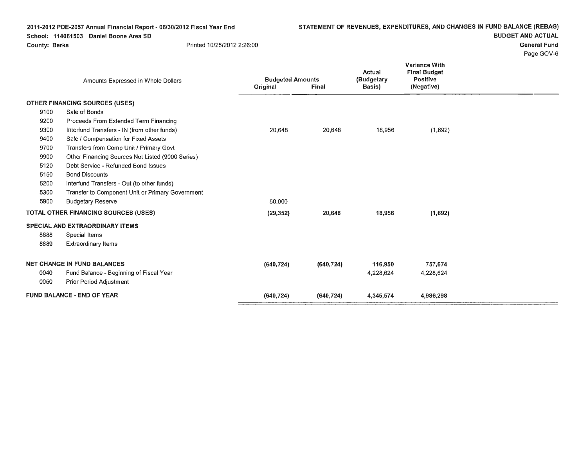# 2011-2012 PDE-2057 Annual Financial Report- 06/30/2012 Fiscal Year End

School: 114061503 Daniel Boone Area SD

# **BUDGET AND ACTUAL**

**General Fund** 

Page GOV-6

|      | Amounts Expressed in Whole Dollars               | <b>Budgeted Amounts</b> |            | Actual<br>(Budgetary | <b>Variance With</b><br><b>Final Budget</b><br><b>Positive</b> |  |
|------|--------------------------------------------------|-------------------------|------------|----------------------|----------------------------------------------------------------|--|
|      |                                                  | Original                | Final      | Basis)               | (Negative)                                                     |  |
|      | <b>OTHER FINANCING SOURCES (USES)</b>            |                         |            |                      |                                                                |  |
| 9100 | Sale of Bonds                                    |                         |            |                      |                                                                |  |
| 9200 | Proceeds From Extended Term Financing            |                         |            |                      |                                                                |  |
| 9300 | Interfund Transfers - IN (from other funds)      | 20,648                  | 20,648     | 18,956               | (1,692)                                                        |  |
| 9400 | Sale / Compensation for Fixed Assets             |                         |            |                      |                                                                |  |
| 9700 | Transfers from Comp Unit / Primary Govt          |                         |            |                      |                                                                |  |
| 9900 | Other Financing Sources Not Listed (9000 Series) |                         |            |                      |                                                                |  |
| 5120 | Debt Service - Refunded Bond Issues              |                         |            |                      |                                                                |  |
| 5150 | <b>Bond Discounts</b>                            |                         |            |                      |                                                                |  |
| 5200 | Interfund Transfers - Out (to other funds)       |                         |            |                      |                                                                |  |
| 5300 | Transfer to Component Unit or Primary Government |                         |            |                      |                                                                |  |
| 5900 | <b>Budgetary Reserve</b>                         | 50,000                  |            |                      |                                                                |  |
|      | TOTAL OTHER FINANCING SOURCES (USES)             | (29, 352)               | 20,648     | 18,956               | (1,692)                                                        |  |
|      | SPECIAL AND EXTRAORDINARY ITEMS                  |                         |            |                      |                                                                |  |
| 8888 | Special Items                                    |                         |            |                      |                                                                |  |
| 8889 | <b>Extraordinary Items</b>                       |                         |            |                      |                                                                |  |
|      | <b>NET CHANGE IN FUND BALANCES</b>               | (640, 724)              | (640, 724) | 116,950              | 757,674                                                        |  |
| 0040 | Fund Balance - Beginning of Fiscal Year          |                         |            | 4,228,624            | 4,228,624                                                      |  |
| 0050 | Prior Period Adjustment                          |                         |            |                      |                                                                |  |
|      | <b>FUND BALANCE - END OF YEAR</b>                | (640, 724)              | (640, 724) | 4,345,574            | 4,986,298                                                      |  |

# County: Berks **Printed 10/25/2012 2:26:00**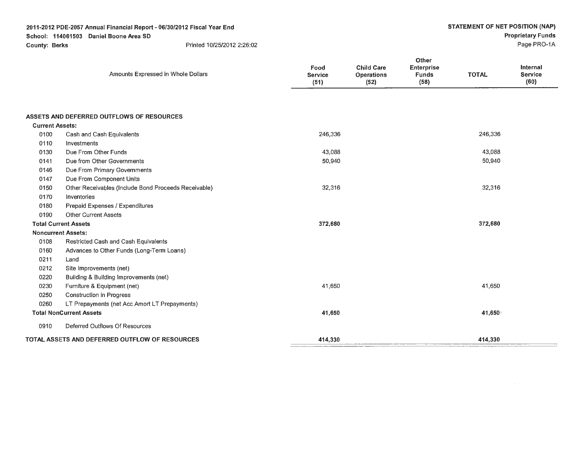**2011-2012 PDE-2057 Annual Financial Report- 06/30/2012 Fiscal Year End** 

Amounts Expressed in Whole Dollars

**School: 114061503 Daniel Boone Area SD** 

**County: Berks** 

**TOTAL** 

**Internal Service** 

**TOTAL** 

|  | Printed 10/25/2012 2:26:02 |  |
|--|----------------------------|--|
|--|----------------------------|--|

|                        |                                                      | (51)    | (52) | (58)    | (60) |
|------------------------|------------------------------------------------------|---------|------|---------|------|
|                        |                                                      |         |      |         |      |
|                        |                                                      |         |      |         |      |
|                        | ASSETS AND DEFERRED OUTFLOWS OF RESOURCES            |         |      |         |      |
| <b>Current Assets:</b> |                                                      |         |      |         |      |
| 0100                   | Cash and Cash Equivalents                            | 246,336 |      | 246,336 |      |
| 0110                   | Investments                                          |         |      |         |      |
| 0130                   | Due From Other Funds                                 | 43,088  |      | 43,088  |      |
| 0141                   | Due from Other Governments                           | 50,940  |      | 50,940  |      |
| 0146                   | Due From Primary Governments                         |         |      |         |      |
| 0147                   | Due From Component Units                             |         |      |         |      |
| 0150                   | Other Receivables (Include Bond Proceeds Receivable) | 32,316  |      | 32,316  |      |
| 0170                   | Inventories                                          |         |      |         |      |
| 0180                   | Prepaid Expenses / Expenditures                      |         |      |         |      |
| 0190                   | <b>Other Current Assets</b>                          |         |      |         |      |
|                        | <b>Total Current Assets</b>                          | 372,680 |      | 372,680 |      |
|                        | <b>Noncurrent Assets:</b>                            |         |      |         |      |
| 0108                   | Restricted Cash and Cash Equivalents                 |         |      |         |      |
| 0160                   | Advances to Other Funds (Long-Term Loans)            |         |      |         |      |
| 0211                   | Land                                                 |         |      |         |      |
| 0212                   | Site Improvements (net)                              |         |      |         |      |
| 0220                   | Building & Building Improvements (net)               |         |      |         |      |
| 0230                   | Furniture & Equipment (net)                          | 41,650  |      | 41,650  |      |
| 0250                   | <b>Construction in Progress</b>                      |         |      |         |      |
| 0260                   | LT Prepayments (net Acc Amort LT Prepayments)        |         |      |         |      |
|                        | <b>Total NonCurrent Assets</b>                       | 41,650  |      | 41,650  |      |
| 0910                   | Deferred Outflows Of Resources                       |         |      |         |      |
|                        | TOTAL ASSETS AND DEFERRED OUTFLOW OF RESOURCES       | 414,330 |      | 414,330 |      |

**Food Service** 

**Child Care Operations** 

**Other Enterprise Funds**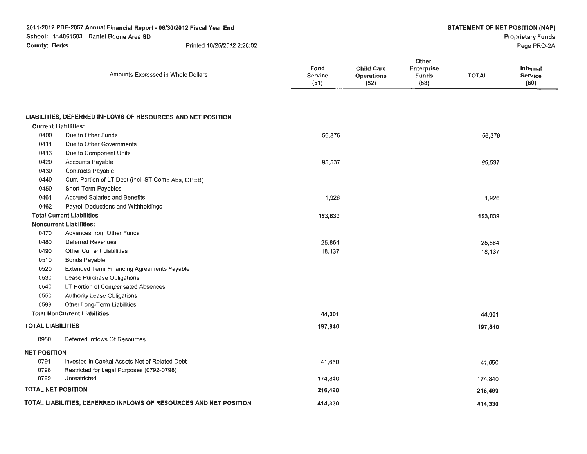**2011-2012 PDE-2057 Annual Financial Report** - **06/30/2012 Fiscal Year End** 

**School: 114061503 Daniel Boone Area SD** 

**County: Berks** Printed 10/25/2012 2:26:02

# **Proprietary Funds**

Page PR0-2A

|                           | Amounts Expressed in Whole Dollars                                | Food<br>Service<br>(51) | <b>Child Care</b><br>Operations<br>(52) | Other<br>Enterprise<br>Funds<br>(58) | <b>TOTAL</b> | Internal<br><b>Service</b><br>(60) |
|---------------------------|-------------------------------------------------------------------|-------------------------|-----------------------------------------|--------------------------------------|--------------|------------------------------------|
|                           |                                                                   |                         |                                         |                                      |              |                                    |
|                           | LIABILITIES, DEFERRED INFLOWS OF RESOURCES AND NET POSITION       |                         |                                         |                                      |              |                                    |
|                           | <b>Current Liabilities:</b>                                       |                         |                                         |                                      |              |                                    |
| 0400                      | Due to Other Funds                                                | 56,376                  |                                         |                                      | 56,376       |                                    |
| 0411                      | Due to Other Governments                                          |                         |                                         |                                      |              |                                    |
| 0413                      | Due to Component Units                                            |                         |                                         |                                      |              |                                    |
| 0420                      | Accounts Payable                                                  | 95,537                  |                                         |                                      | 95,537       |                                    |
| 0430                      | Contracts Payable                                                 |                         |                                         |                                      |              |                                    |
| 0440                      | Curr. Portion of LT Debt (incl. ST Comp Abs, OPEB)                |                         |                                         |                                      |              |                                    |
| 0450                      | Short-Term Payables                                               |                         |                                         |                                      |              |                                    |
| 0461                      | Accrued Salaries and Benefits                                     | 1,926                   |                                         |                                      | 1,926        |                                    |
| 0462                      | Payroll Deductions and Withholdings                               |                         |                                         |                                      |              |                                    |
|                           | <b>Total Current Liabilities</b>                                  | 153,839                 |                                         |                                      | 153,839      |                                    |
|                           | <b>Noncurrent Liabilities:</b>                                    |                         |                                         |                                      |              |                                    |
| 0470                      | Advances from Other Funds                                         |                         |                                         |                                      |              |                                    |
| 0480                      | Deferred Revenues                                                 | 25,864                  |                                         |                                      | 25,864       |                                    |
| 0490                      | <b>Other Current Liabilities</b>                                  | 18,137                  |                                         |                                      | 18,137       |                                    |
| 0510                      | Bonds Payable                                                     |                         |                                         |                                      |              |                                    |
| 0520                      | Extended Term Financing Agreements Payable                        |                         |                                         |                                      |              |                                    |
| 0530                      | Lease Purchase Obligations                                        |                         |                                         |                                      |              |                                    |
| 0540                      | LT Portion of Compensated Absences                                |                         |                                         |                                      |              |                                    |
| 0550                      | Authority Lease Obligations                                       |                         |                                         |                                      |              |                                    |
| 0599                      | Other Long-Term Liabilities                                       |                         |                                         |                                      |              |                                    |
|                           | <b>Total NonCurrent Liabilities</b>                               | 44,001                  |                                         |                                      | 44,001       |                                    |
| <b>TOTAL LIABILITIES</b>  |                                                                   | 197,840                 |                                         |                                      | 197,840      |                                    |
| 0950                      | Deferred Inflows Of Resources                                     |                         |                                         |                                      |              |                                    |
| <b>NET POSITION</b>       |                                                                   |                         |                                         |                                      |              |                                    |
| 0791                      | Invested in Capital Assets Net of Related Debt                    | 41,650                  |                                         |                                      | 41,650       |                                    |
| 0798                      | Restricted for Legal Purposes (0792-0798)                         |                         |                                         |                                      |              |                                    |
| 0799                      | Unrestricted                                                      | 174,840                 |                                         |                                      | 174,840      |                                    |
| <b>TOTAL NET POSITION</b> |                                                                   | 216,490                 |                                         |                                      | 216,490      |                                    |
|                           | TOTAL LIABILITIES, DEFERRED INFLOWS OF RESOURCES AND NET POSITION | 414,330                 |                                         |                                      | 414,330      |                                    |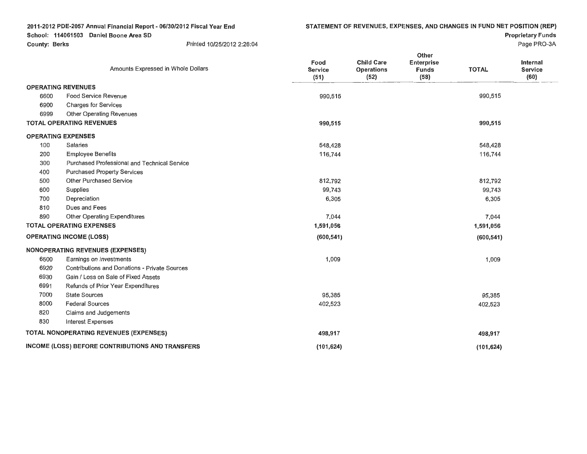**Proprietary Funds** 

|                           | Amounts Expressed in Whole Dollars                   | Food<br><b>Service</b><br>(51) | <b>Child Care</b><br><b>Operations</b><br>(52) | Other<br><b>Enterprise</b><br><b>Funds</b><br>(58) | <b>TOTAL</b> | <b>Internal</b><br>Service<br>(60) |
|---------------------------|------------------------------------------------------|--------------------------------|------------------------------------------------|----------------------------------------------------|--------------|------------------------------------|
| <b>OPERATING REVENUES</b> |                                                      |                                |                                                |                                                    |              |                                    |
| 6600                      | <b>Food Service Revenue</b>                          | 990,515                        |                                                |                                                    | 990,515      |                                    |
| 6900                      | <b>Charges for Services</b>                          |                                |                                                |                                                    |              |                                    |
| 6999                      | <b>Other Operating Revenues</b>                      |                                |                                                |                                                    |              |                                    |
|                           | <b>TOTAL OPERATING REVENUES</b>                      | 990,515                        |                                                |                                                    | 990,515      |                                    |
| <b>OPERATING EXPENSES</b> |                                                      |                                |                                                |                                                    |              |                                    |
| 100                       | Salaries                                             | 548,428                        |                                                |                                                    | 548,428      |                                    |
| 200                       | <b>Employee Benefits</b>                             | 116,744                        |                                                |                                                    | 116,744      |                                    |
| 300                       | Purchased Professional and Technical Service         |                                |                                                |                                                    |              |                                    |
| 400                       | <b>Purchased Property Services</b>                   |                                |                                                |                                                    |              |                                    |
| 500                       | <b>Other Purchased Service</b>                       | 812,792                        |                                                |                                                    | 812,792      |                                    |
| 600                       | Supplies                                             | 99,743                         |                                                |                                                    | 99,743       |                                    |
| 700                       | Depreciation                                         | 6,305                          |                                                |                                                    | 6,305        |                                    |
| 810                       | Dues and Fees                                        |                                |                                                |                                                    |              |                                    |
| 890                       | Other Operating Expenditures                         | 7,044                          |                                                |                                                    | 7,044        |                                    |
|                           | <b>TOTAL OPERATING EXPENSES</b>                      | 1,591,056                      |                                                |                                                    | 1,591,056    |                                    |
|                           | <b>OPERATING INCOME (LOSS)</b>                       | (600, 541)                     |                                                |                                                    | (600, 541)   |                                    |
|                           | <b>NONOPERATING REVENUES (EXPENSES)</b>              |                                |                                                |                                                    |              |                                    |
| 6500                      | Earnings on Investments                              | 1,009                          |                                                |                                                    | 1,009        |                                    |
| 6920                      | <b>Contributions and Donations - Private Sources</b> |                                |                                                |                                                    |              |                                    |
| 6930                      | Gain / Loss on Sale of Fixed Assets                  |                                |                                                |                                                    |              |                                    |
| 6991                      | Refunds of Prior Year Expenditures                   |                                |                                                |                                                    |              |                                    |
| 7000                      | <b>State Sources</b>                                 | 95,385                         |                                                |                                                    | 95,385       |                                    |
| 8000                      | <b>Federal Sources</b>                               | 402,523                        |                                                |                                                    | 402,523      |                                    |
| 820                       | Claims and Judgements                                |                                |                                                |                                                    |              |                                    |
| 830                       | <b>Interest Expenses</b>                             |                                |                                                |                                                    |              |                                    |
|                           | TOTAL NONOPERATING REVENUES (EXPENSES)               | 498,917                        |                                                |                                                    | 498,917      |                                    |
|                           | INCOME (LOSS) BEFORE CONTRIBUTIONS AND TRANSFERS     | (101, 624)                     |                                                |                                                    | (101, 624)   |                                    |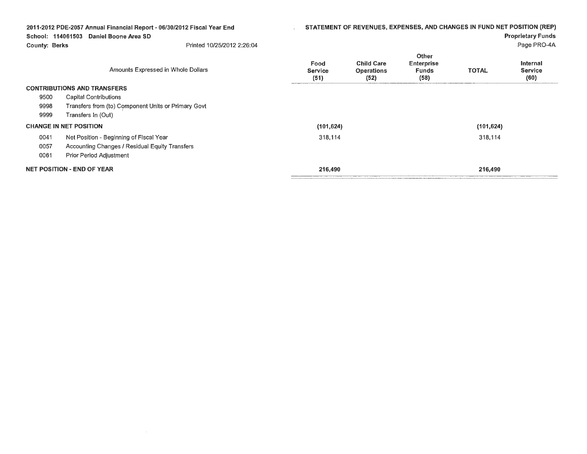| STATEMENT OF REVENUES, EXPENSES, AND CHANGES IN FUND NET POSITION (REP)<br>2011-2012 PDE-2057 Annual Financial Report - 06/30/2012 Fiscal Year End<br>School: 114061503<br>Daniel Boone Area SD<br><b>County: Berks</b><br>Printed 10/25/2012 2:26:04 |                                                     |                                |                                                | <b>Proprietary Funds</b><br>Page PRO-4A                   |              |                                    |
|-------------------------------------------------------------------------------------------------------------------------------------------------------------------------------------------------------------------------------------------------------|-----------------------------------------------------|--------------------------------|------------------------------------------------|-----------------------------------------------------------|--------------|------------------------------------|
|                                                                                                                                                                                                                                                       | Amounts Expressed in Whole Dollars                  | Food<br><b>Service</b><br>(51) | <b>Child Care</b><br><b>Operations</b><br>(52) | <b>Other</b><br><b>Enterprise</b><br><b>Funds</b><br>(58) | <b>TOTAL</b> | Internal<br><b>Service</b><br>(60) |
|                                                                                                                                                                                                                                                       | <b>CONTRIBUTIONS AND TRANSFERS</b>                  |                                |                                                |                                                           |              |                                    |
| 9500                                                                                                                                                                                                                                                  | Capital Contributions                               |                                |                                                |                                                           |              |                                    |
| 9998                                                                                                                                                                                                                                                  | Transfers from (to) Component Units or Primary Govt |                                |                                                |                                                           |              |                                    |
| 9999                                                                                                                                                                                                                                                  | Transfers In (Out)                                  |                                |                                                |                                                           |              |                                    |
|                                                                                                                                                                                                                                                       | <b>CHANGE IN NET POSITION</b>                       | (101, 624)                     |                                                |                                                           | (101, 624)   |                                    |
| 0041                                                                                                                                                                                                                                                  | Net Position - Beginning of Fiscal Year             | 318,114                        |                                                |                                                           | 318,114      |                                    |
| 0057                                                                                                                                                                                                                                                  | Accounting Changes / Residual Equity Transfers      |                                |                                                |                                                           |              |                                    |
| 0061                                                                                                                                                                                                                                                  | Prior Period Adjustment                             |                                |                                                |                                                           |              |                                    |
|                                                                                                                                                                                                                                                       | <b>NET POSITION - END OF YEAR</b>                   | 216,490                        |                                                |                                                           | 216,490      |                                    |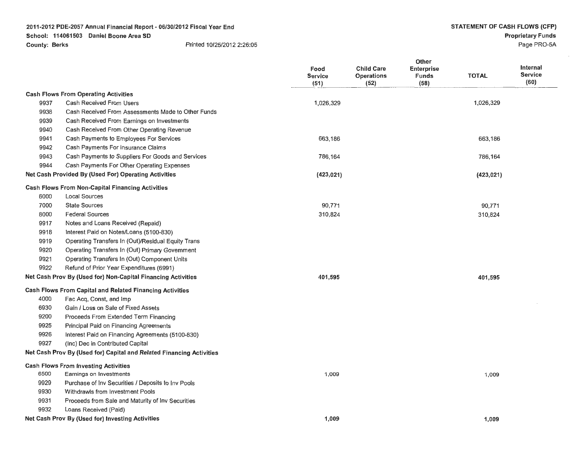|      |                                                                      | Food<br><b>Service</b><br>(51) | <b>Child Care</b><br>Operations<br>(52) | Other<br><b>Enterprise</b><br><b>Funds</b><br>(58) | <b>TOTAL</b> | <b>Internal</b><br><b>Service</b><br>(60) |
|------|----------------------------------------------------------------------|--------------------------------|-----------------------------------------|----------------------------------------------------|--------------|-------------------------------------------|
|      | <b>Cash Flows From Operating Activities</b>                          |                                |                                         |                                                    |              |                                           |
| 9937 | Cash Received From Users                                             | 1,026,329                      |                                         |                                                    | 1,026,329    |                                           |
| 9938 | Cash Received From Assessments Made to Other Funds                   |                                |                                         |                                                    |              |                                           |
| 9939 | Cash Received From Earnings on Investments                           |                                |                                         |                                                    |              |                                           |
| 9940 | Cash Received From Other Operating Revenue                           |                                |                                         |                                                    |              |                                           |
| 9941 | Cash Payments to Employees For Services                              | 663,186                        |                                         |                                                    | 663,186      |                                           |
| 9942 | Cash Payments For Insurance Claims                                   |                                |                                         |                                                    |              |                                           |
| 9943 | Cash Payments to Suppliers For Goods and Services                    | 786,164                        |                                         |                                                    | 786,164      |                                           |
| 9944 | Cash Payments For Other Operating Expenses                           |                                |                                         |                                                    |              |                                           |
|      | Net Cash Provided By (Used For) Operating Activities                 | (423, 021)                     |                                         |                                                    | (423, 021)   |                                           |
|      | <b>Cash Flows From Non-Capital Financing Activities</b>              |                                |                                         |                                                    |              |                                           |
| 6000 | <b>Local Sources</b>                                                 |                                |                                         |                                                    |              |                                           |
| 7000 | <b>State Sources</b>                                                 | 90,771                         |                                         |                                                    | 90,771       |                                           |
| 8000 | <b>Federal Sources</b>                                               | 310,824                        |                                         |                                                    | 310,824      |                                           |
| 9917 | Notes and Loans Received (Repaid)                                    |                                |                                         |                                                    |              |                                           |
| 9918 | Interest Paid on Notes/Loans (5100-830)                              |                                |                                         |                                                    |              |                                           |
| 9919 | Operating Transfers In (Out)/Residual Equity Trans                   |                                |                                         |                                                    |              |                                           |
| 9920 | Operating Transfers In (Out) Primary Government                      |                                |                                         |                                                    |              |                                           |
| 9921 | Operating Transfers In (Out) Component Units                         |                                |                                         |                                                    |              |                                           |
| 9922 | Refund of Prior Year Expenditures (6991)                             |                                |                                         |                                                    |              |                                           |
|      | Net Cash Prov By (Used for) Non-Capital Financing Activities         | 401,595                        |                                         |                                                    | 401,595      |                                           |
|      | <b>Cash Flows From Capital and Related Financing Activities</b>      |                                |                                         |                                                    |              |                                           |
| 4000 | Fac Acq, Const, and Imp                                              |                                |                                         |                                                    |              |                                           |
| 6930 | Gain / Loss on Sale of Fixed Assets                                  |                                |                                         |                                                    |              |                                           |
| 9200 | Proceeds From Extended Term Financing                                |                                |                                         |                                                    |              |                                           |
| 9925 | Principal Paid on Financing Agreements                               |                                |                                         |                                                    |              |                                           |
| 9926 | Interest Paid on Financing Agreements (5100-830)                     |                                |                                         |                                                    |              |                                           |
| 9927 | (Inc) Dec in Contributed Capital                                     |                                |                                         |                                                    |              |                                           |
|      | Net Cash Prov By (Used for) Capital and Related Financing Activities |                                |                                         |                                                    |              |                                           |
|      | <b>Cash Flows From Investing Activities</b>                          |                                |                                         |                                                    |              |                                           |
| 6500 | Earnings on Investments                                              | 1,009                          |                                         |                                                    | 1,009        |                                           |
| 9929 | Purchase of Inv Securities / Deposits to Inv Pools                   |                                |                                         |                                                    |              |                                           |
| 9930 | Withdrawls from Investment Pools                                     |                                |                                         |                                                    |              |                                           |
| 9931 | Proceeds from Sale and Maturity of Inv Securities                    |                                |                                         |                                                    |              |                                           |
| 9932 | Loans Received (Paid)                                                |                                |                                         |                                                    |              |                                           |
|      | Net Cash Prov By (Used for) Investing Activities                     | 1,009                          |                                         |                                                    | 1,009        |                                           |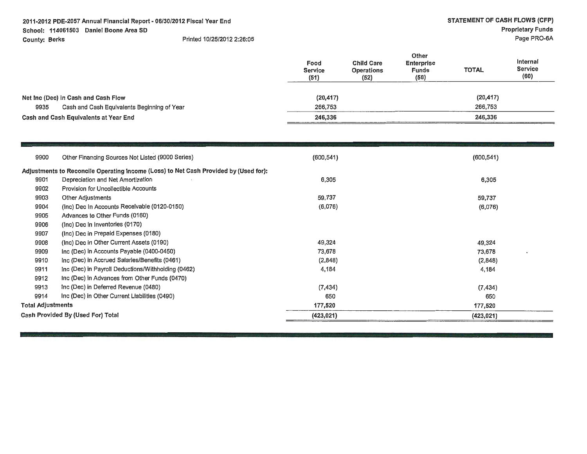| Food<br><b>Service</b><br>(51) | <b>Child Care</b><br><b>Operations</b><br>(52) | Other<br><b>Enterprise</b><br><b>Funds</b><br>(58) | <b>TOTAL</b> | Internal<br><b>Service</b><br>(60) |  |
|--------------------------------|------------------------------------------------|----------------------------------------------------|--------------|------------------------------------|--|
| (20, 417)                      |                                                |                                                    | (20, 417)    |                                    |  |
| 266,753                        |                                                |                                                    | 266,753      |                                    |  |
| 246,336                        |                                                | 246,336                                            |              |                                    |  |
|                                |                                                |                                                    |              |                                    |  |

| 9900                     | Other Financing Sources Not Listed (9000 Series)                                     | (600, 541) | (600, 541) |
|--------------------------|--------------------------------------------------------------------------------------|------------|------------|
|                          | Adjustments to Reconcile Operating Income (Loss) to Net Cash Provided by (Used for): |            |            |
| 9901                     | Depreciation and Net Amortization                                                    | 6,305      | 6,305      |
| 9902                     | <b>Provision for Uncollectible Accounts</b>                                          |            |            |
| 9903                     | Other Adjustments                                                                    | 59,737     | 59,737     |
| 9904                     | (Inc) Dec In Accounts Receivable (0120-0150)                                         | (6,076)    | (6,076)    |
| 9905                     | Advances to Other Funds (0160)                                                       |            |            |
| 9906                     | (Inc) Dec in Inventories (0170)                                                      |            |            |
| 9907                     | (Inc) Dec in Prepaid Expenses (0180)                                                 |            |            |
| 9908                     | (Inc) Dec in Other Current Assets (0190)                                             | 49,324     | 49,324     |
| 9909                     | Inc (Dec) in Accounts Payable (0400-0450)                                            | 73,678     | 73,678     |
| 9910                     | Inc (Dec) in Accrued Salaries/Benefits (0461)                                        | (2,848)    | (2,848)    |
| 9911                     | Inc (Dec) in Payroll Deductions/Withholding (0462)                                   | 4,184      | 4,184      |
| 9912                     | Inc (Dec) in Advances from Other Funds (0470)                                        |            |            |
| 9913                     | Inc (Dec) in Deferred Revenue (0480)                                                 | (7, 434)   | (7, 434)   |
| 9914                     | Inc (Dec) in Other Current Liabilities (0490)                                        | 650        | 650        |
| <b>Total Adjustments</b> |                                                                                      | 177,520    | 177,520    |
|                          | Cash Provided By (Used For) Total                                                    | (423, 021) | (423, 021) |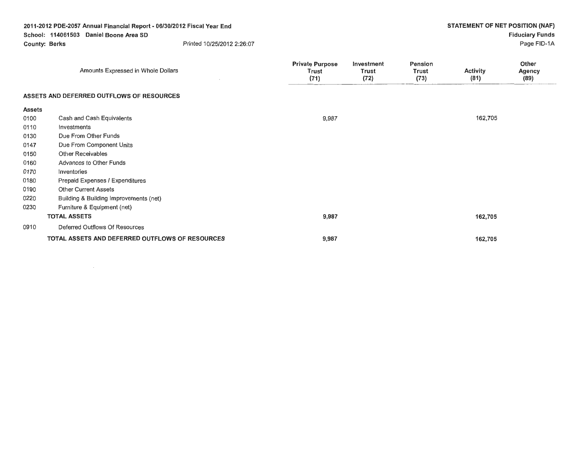|               | 2011-2012 PDE-2057 Annual Financial Report - 06/30/2012 Fiscal Year End |                                                |                                    |                                 | STATEMENT OF NET POSITION (NAF) |                         |
|---------------|-------------------------------------------------------------------------|------------------------------------------------|------------------------------------|---------------------------------|---------------------------------|-------------------------|
|               | School: 114061503 Daniel Boone Area SD                                  |                                                |                                    |                                 |                                 | <b>Fiduciary Funds</b>  |
|               | Printed 10/25/2012 2:26:07<br><b>County: Berks</b>                      |                                                |                                    |                                 |                                 | Page FID-1A             |
|               | Amounts Expressed in Whole Dollars                                      | <b>Private Purpose</b><br><b>Trust</b><br>(71) | Investment<br><b>Trust</b><br>(72) | Pension<br><b>Trust</b><br>(73) | Activity<br>(81)                | Other<br>Agency<br>(89) |
|               | ASSETS AND DEFERRED OUTFLOWS OF RESOURCES                               |                                                |                                    |                                 |                                 |                         |
| <b>Assets</b> |                                                                         |                                                |                                    |                                 |                                 |                         |
| 0100          | Cash and Cash Equivalents                                               | 9,987                                          |                                    |                                 | 162,705                         |                         |
| 0110          | Investments                                                             |                                                |                                    |                                 |                                 |                         |
| 0130          | Due From Other Funds                                                    |                                                |                                    |                                 |                                 |                         |
| 0147          | Due From Component Units                                                |                                                |                                    |                                 |                                 |                         |
| 0150          | <b>Other Receivables</b>                                                |                                                |                                    |                                 |                                 |                         |
| 0160          | Advances to Other Funds                                                 |                                                |                                    |                                 |                                 |                         |
| 0170          | Inventories                                                             |                                                |                                    |                                 |                                 |                         |
| 0180          | Prepaid Expenses / Expenditures                                         |                                                |                                    |                                 |                                 |                         |
| 0190          | <b>Other Current Assets</b>                                             |                                                |                                    |                                 |                                 |                         |
| 0220          | Building & Building Improvements (net)                                  |                                                |                                    |                                 |                                 |                         |
| 0230          | Furniture & Equipment (net)                                             |                                                |                                    |                                 |                                 |                         |
|               | <b>TOTAL ASSETS</b>                                                     | 9,987                                          |                                    |                                 | 162,705                         |                         |
| 0910          | Deferred Outflows Of Resources                                          |                                                |                                    |                                 |                                 |                         |
|               | TOTAL ASSETS AND DEFERRED OUTFLOWS OF RESOURCES                         | 9,987                                          |                                    |                                 | 162,705                         |                         |

 $\mathcal{L}(\mathcal{L}^{\mathcal{L}})$  and  $\mathcal{L}(\mathcal{L}^{\mathcal{L}})$  and  $\mathcal{L}(\mathcal{L}^{\mathcal{L}})$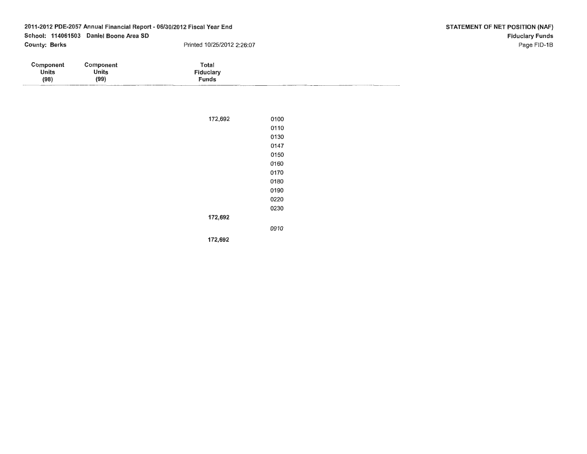| Component | Component    | Total                       |
|-----------|--------------|-----------------------------|
| Units     | <b>Units</b> | Fiduciary                   |
| (98)      | (99)         | Funds                       |
| _________ |              | ___<br>----------<br>______ |

| 172,692 | 0100 |
|---------|------|
|         | 0110 |
|         | 0130 |
|         | 0147 |
|         | 0150 |
|         | 0160 |
|         | 0170 |
|         | 0180 |
|         | 0190 |
|         | 0220 |
|         | 0230 |
| 172,692 |      |
|         | 0910 |
| 172,692 |      |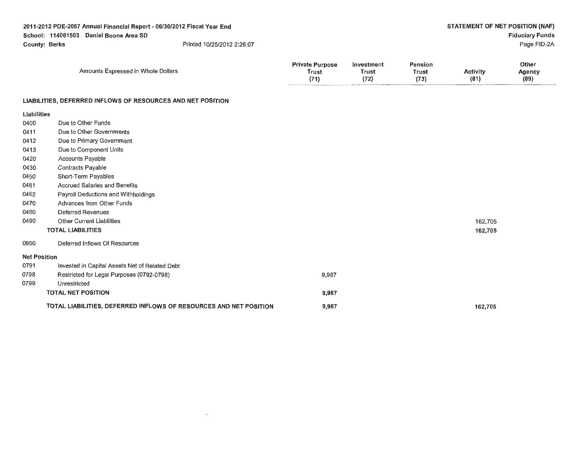| 2011-2012 PDE-2057 Annual Financial Report - 06/30/2012 Fiscal Year End<br>School: 114061503 Daniel Boone Area SD<br><b>County: Berks</b><br>Printed 10/25/2012 2:26:07 |                                                             |                                         |                             |                                 |                         | STATEMENT OF NET POSITION (NAF)<br><b>Fiduciary Funds</b><br>Page FID-2A |
|-------------------------------------------------------------------------------------------------------------------------------------------------------------------------|-------------------------------------------------------------|-----------------------------------------|-----------------------------|---------------------------------|-------------------------|--------------------------------------------------------------------------|
|                                                                                                                                                                         | Amounts Expressed in Whole Dollars                          | <b>Private Purpose</b><br>Trust<br>(71) | Investment<br>Trust<br>(72) | <b>Pension</b><br>Trust<br>(73) | <b>Activity</b><br>(81) | Other<br>Agency<br>(89)                                                  |
|                                                                                                                                                                         | LIABILITIES, DEFERRED INFLOWS OF RESOURCES AND NET POSITION |                                         |                             |                                 |                         |                                                                          |

| <b>Liabilities</b>  |                                                                   |       |         |
|---------------------|-------------------------------------------------------------------|-------|---------|
| 0400                | Due to Other Funds                                                |       |         |
| 0411                | Due to Other Governments                                          |       |         |
| 0412                | Due to Primary Government                                         |       |         |
| 0413                | Due to Component Units                                            |       |         |
| 0420                | Accounts Payable                                                  |       |         |
| 0430                | <b>Contracts Payable</b>                                          |       |         |
| 0450                | Short-Term Payables                                               |       |         |
| 0461                | Accrued Salaries and Benefits                                     |       |         |
| 0462                | Payroll Deductions and Withholdings                               |       |         |
| 0470                | Advances from Other Funds                                         |       |         |
| 0480                | <b>Deferred Revenues</b>                                          |       |         |
| 0490                | <b>Other Current Liabilities</b>                                  |       | 162,705 |
|                     | <b>TOTAL LIABILITIES</b>                                          |       | 162,705 |
| 0950                | Deferred Inflows Of Resources                                     |       |         |
| <b>Net Position</b> |                                                                   |       |         |
| 0791                | Invested in Capital Assets Net of Related Debt                    |       |         |
| 0798                | Restricted for Legal Purposes (0792-0798)                         | 9,987 |         |
| 0799                | Unrestricted                                                      |       |         |
|                     | <b>TOTAL NET POSITION</b>                                         | 9,987 |         |
|                     | TOTAL LIABILITIES, DEFERRED INFLOWS OF RESOURCES AND NET POSITION | 9,987 | 162,705 |

 $\mathcal{L}(\mathcal{L}(\mathcal{L}))$  and  $\mathcal{L}(\mathcal{L}(\mathcal{L}))$  . The contribution of  $\mathcal{L}(\mathcal{L})$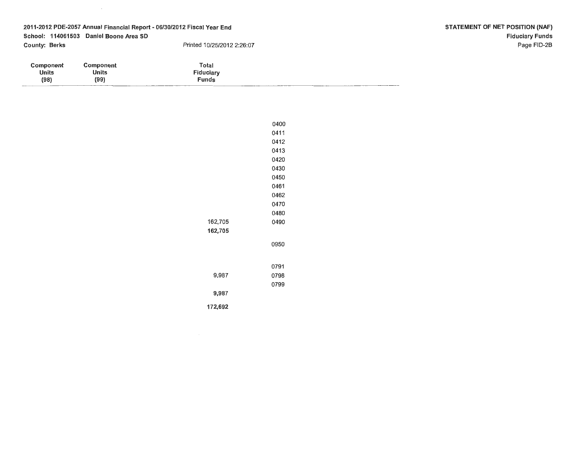| <b>Component</b>         | Component    | Total           |                   |
|--------------------------|--------------|-----------------|-------------------|
| <b>Units</b>             | <b>Units</b> | Fiduciary       |                   |
| (98)                     | (99)         | Funds           |                   |
| $\overline{\phantom{a}}$ |              | _______<br>____ | _________________ |

|         | 0400 |
|---------|------|
|         | 0411 |
|         | 0412 |
|         | 0413 |
|         | 0420 |
|         | 0430 |
|         | 0450 |
|         | 0461 |
|         | 0462 |
|         | 0470 |
|         | 0480 |
| 162,705 | 0490 |
| 162,705 |      |
|         | 0950 |
|         | 0791 |
| 9,987   | 0798 |
|         | 0799 |
| 9,987   |      |
| 172,692 |      |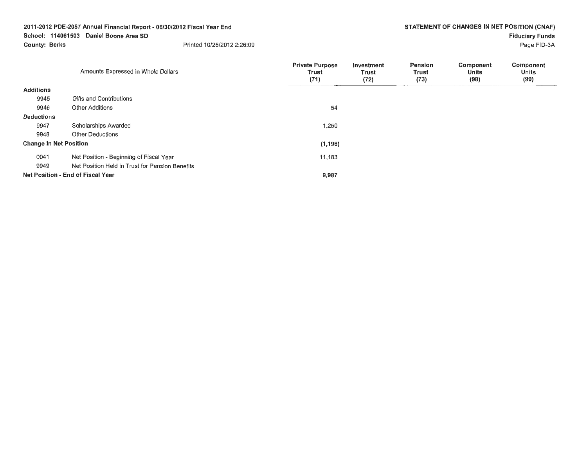Page FID-3A

|                               | Amounts Expressed in Whole Dollars              | <b>Private Purpose</b><br>Trust<br>(71) | Investment<br>Trust<br>(72) | Pension<br>Trust<br>(73) | Component<br>Units<br>(98) | Component<br><b>Units</b><br>(99) |
|-------------------------------|-------------------------------------------------|-----------------------------------------|-----------------------------|--------------------------|----------------------------|-----------------------------------|
| <b>Additions</b>              |                                                 |                                         |                             |                          |                            |                                   |
| 9945                          | Gifts and Contributions                         |                                         |                             |                          |                            |                                   |
| 9946                          | Other Additions                                 | 54                                      |                             |                          |                            |                                   |
| <b>Deductions</b>             |                                                 |                                         |                             |                          |                            |                                   |
| 9947                          | Scholarships Awarded                            | 1,250                                   |                             |                          |                            |                                   |
| 9948                          | Other Deductions                                |                                         |                             |                          |                            |                                   |
| <b>Change In Net Position</b> |                                                 | (1, 196)                                |                             |                          |                            |                                   |
| 0041                          | Net Position - Beginning of Fiscal Year         | 11,183                                  |                             |                          |                            |                                   |
| 9949                          | Net Position Held in Trust for Pension Benefits |                                         |                             |                          |                            |                                   |
|                               | Net Position - End of Fiscal Year               | 9,987                                   |                             |                          |                            |                                   |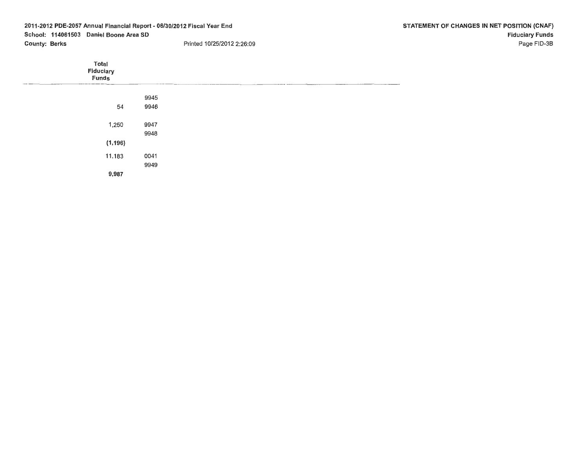| 2011-2012 PDE-2057 Annual Financial Report - 06/30/2012 Fiscal Year End |                      |                             | STATEMENT OF CHANGES IN NET POSITION (CNAF) |                            |                        |             |
|-------------------------------------------------------------------------|----------------------|-----------------------------|---------------------------------------------|----------------------------|------------------------|-------------|
| School: 114061503 Daniel Boone Area SD                                  |                      |                             |                                             |                            | <b>Fiduciary Funds</b> |             |
|                                                                         | <b>County: Berks</b> |                             |                                             | Printed 10/25/2012 2:26:09 |                        | Page FID-3B |
|                                                                         |                      | Total<br>Fiduciary<br>Funds |                                             |                            |                        |             |
|                                                                         |                      |                             | 9945                                        |                            |                        |             |
|                                                                         |                      | 54                          | 9946                                        |                            |                        |             |
|                                                                         |                      | 1,250                       | 9947                                        |                            |                        |             |
|                                                                         |                      | (1, 196)                    | 9948                                        |                            |                        |             |
|                                                                         |                      | 11,183                      | 0041                                        |                            |                        |             |
|                                                                         |                      |                             | 9949                                        |                            |                        |             |
|                                                                         |                      | 9,987                       |                                             |                            |                        |             |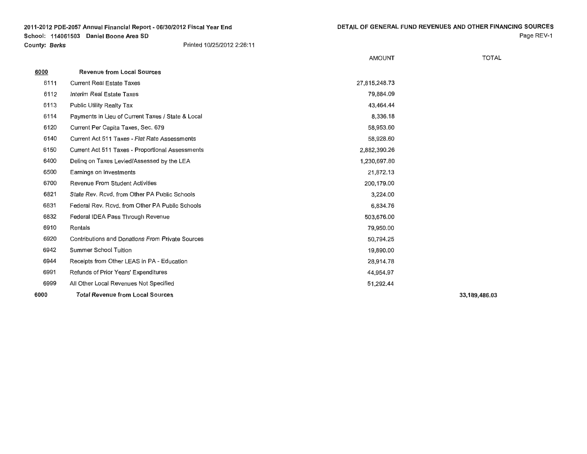Page REV-1

|      |                                                   | <b>AMOUNT</b> | <b>TOTAL</b>  |
|------|---------------------------------------------------|---------------|---------------|
| 6000 | <b>Revenue from Local Sources</b>                 |               |               |
| 6111 | <b>Current Real Estate Taxes</b>                  | 27,815,248.73 |               |
| 6112 | Interim Real Estate Taxes                         | 79,884.09     |               |
| 6113 | Public Utility Realty Tax                         | 43,464.44     |               |
| 6114 | Payments in Lieu of Current Taxes / State & Local | 8,336.18      |               |
| 6120 | Current Per Capita Taxes, Sec. 679                | 58,953.60     |               |
| 6140 | Current Act 511 Taxes - Flat Rate Assessments     | 58,928.60     |               |
| 6150 | Current Act 511 Taxes - Proportional Assessments  | 2,882,390.26  |               |
| 6400 | Deling on Taxes Levied/Assessed by the LEA        | 1,230,697.80  |               |
| 6500 | Earnings on Investments                           | 21,872.13     |               |
| 6700 | Revenue From Student Activities                   | 200,179.00    |               |
| 6821 | State Rev. Rcvd. from Other PA Public Schools     | 3,224.00      |               |
| 6831 | Federal Rev. Rcvd, from Other PA Public Schools   | 6,834.76      |               |
| 6832 | Federal IDEA Pass Through Revenue                 | 503,676.00    |               |
| 6910 | Rentals                                           | 79,950.00     |               |
| 6920 | Contributions and Donations From Private Sources  | 50,794.25     |               |
| 6942 | <b>Summer School Tuition</b>                      | 19,890.00     |               |
| 6944 | Receipts from Other LEAS in PA - Education        | 28,914.78     |               |
| 6991 | Refunds of Prior Years' Expenditures              | 44,954.97     |               |
| 6999 | All Other Local Revenues Not Specified            | 51,292.44     |               |
| 6000 | <b>Total Revenue from Local Sources</b>           |               | 33.189.486.03 |

**33,189,486.03**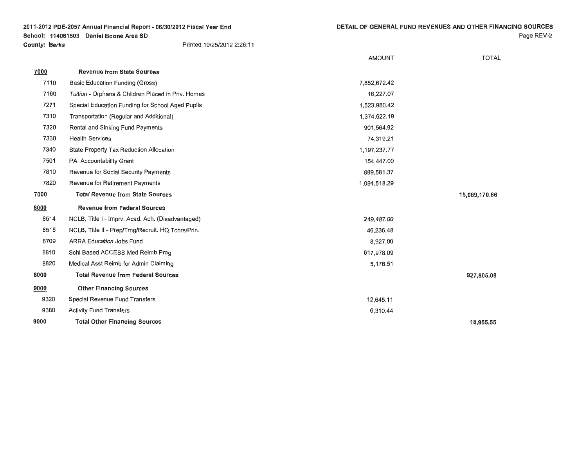Page REV-2

|      |                                                    | <b>AMOUNT</b> | <b>TOTAL</b>  |
|------|----------------------------------------------------|---------------|---------------|
| 7000 | <b>Revenue from State Sources</b>                  |               |               |
| 7110 | Basic Education Funding (Gross)                    | 7,852,672.42  |               |
| 7160 | Tuition - Orphans & Children Placed in Priv. Homes | 16,227.07     |               |
| 7271 | Special Education Funding for School Aged Pupils   | 1,523,980.42  |               |
| 7310 | Transportation (Regular and Additional)            | 1,374,622.19  |               |
| 7320 | Rental and Sinking Fund Payments                   | 901,564.92    |               |
| 7330 | <b>Health Services</b>                             | 74,319.21     |               |
| 7340 | State Property Tax Reduction Allocation            | 1,197,237.77  |               |
| 7501 | PA Accountability Grant                            | 154,447.00    |               |
| 7810 | Revenue for Social Security Payments               | 899,581.37    |               |
| 7820 | Revenue for Retirement Payments                    | 1,094,518.29  |               |
| 7000 | <b>Total Revenue from State Sources</b>            |               | 15,089,170.66 |
| 8000 | <b>Revenue from Federal Sources</b>                |               |               |
| 8514 | NCLB, Title I - Imprv. Acad. Ach. (Disadvantaged)  | 249,487.00    |               |
| 8515 | NCLB, Title II - Prep/Trng/Recruit. HQ Tchrs/Prin. | 46,236.48     |               |
| 8709 | <b>ARRA Education Jobs Fund</b>                    | 8,927.00      |               |
| 8810 | Schl Based ACCESS Med Reimb Prog                   | 617,978.09    |               |
| 8820 | Medical Asst Reimb for Admin Claiming              | 5,176.51      |               |
| 8000 | <b>Total Revenue from Federal Sources</b>          |               | 927,805.08    |
| 9000 | <b>Other Financing Sources</b>                     |               |               |
| 9320 | Special Revenue Fund Transfers                     | 12,645.11     |               |
| 9380 | <b>Activity Fund Transfers</b>                     | 6,310.44      |               |
| 9000 | <b>Total Other Financing Sources</b>               |               | 18,955.55     |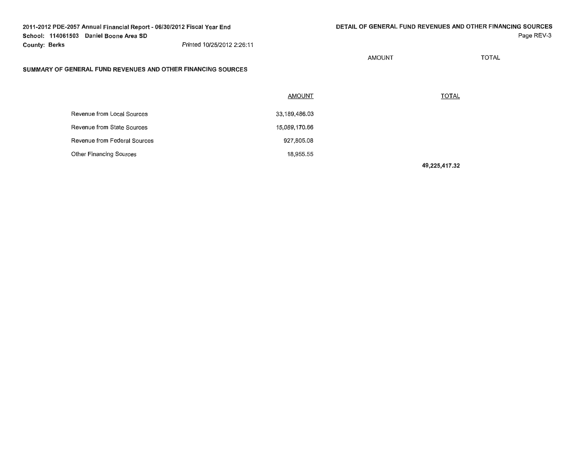**AMOUNT** 

Page REV-3

**TOTAL** 

#### **SUMMARY OF GENERAL FUND REVENUES AND OTHER FINANCING SOURCES**

|                              | <b>AMOUNT</b> | <b>TOTAL</b> |
|------------------------------|---------------|--------------|
| Revenue from Local Sources   | 33,189,486.03 |              |
| Revenue from State Sources   | 15,089,170.66 |              |
| Revenue from Federal Sources | 927,805.08    |              |
| Other Financing Sources      | 18,955.55     |              |

**49,225,417.32**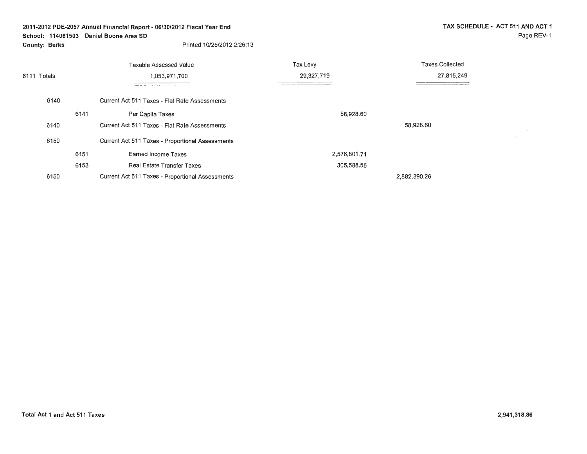# **2011-2012 PDE-2057 Annual Financial Report - 06/30/2012 Fiscal Year End School: 114061503 Daniel Boone Area SD**

**County: Berks** 

 $\frac{1}{2} \frac{1}{2} \frac{1}{2} \frac{1}{2}$ 

|                              |      | Taxable Assessed Value                           | Tax Levy     | <b>Taxes Collected</b> |  |
|------------------------------|------|--------------------------------------------------|--------------|------------------------|--|
| 1.053.971.700<br>6111 Totals |      |                                                  | 29,327,719   | 27,815,249             |  |
|                              |      |                                                  |              |                        |  |
| 6140                         |      | Current Act 511 Taxes - Flat Rate Assessments    |              |                        |  |
|                              | 6141 | Per Capita Taxes                                 | 58,928.60    |                        |  |
| 6140                         |      | Current Act 511 Taxes - Flat Rate Assessments    |              | 58,928.60              |  |
| 6150                         |      | Current Act 511 Taxes - Proportional Assessments |              |                        |  |
|                              | 6151 | Earned Income Taxes                              | 2,576,801.71 |                        |  |
|                              | 6153 | <b>Real Estate Transfer Taxes</b>                | 305,588.55   |                        |  |
| 6150                         |      | Current Act 511 Taxes - Proportional Assessments |              | 2,882,390.26           |  |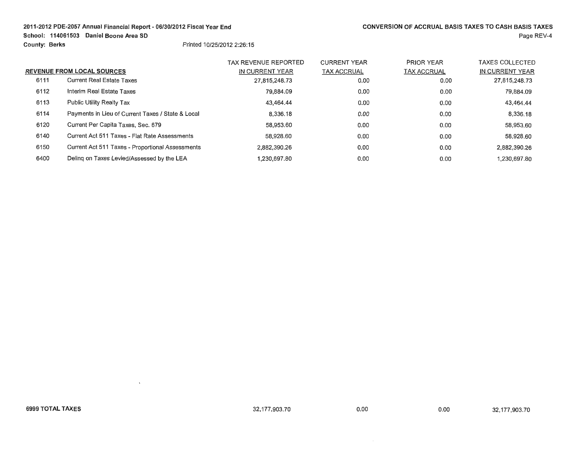# **2011-2012 POE-2057 Annual Financial Report- 06/30/2012 Fiscal Year End**

 $\Delta$ 

**School: 114061503 Daniel Boone Area SO** 

**County: Berks** Printed 10/25/2012 2:26:15

| Page REV-4 |  |
|------------|--|
|------------|--|

|      |                                                   | <b>TAX REVENUE REPORTED</b> | <b>CURRENT YEAR</b> | PRIOR YEAR         | TAXES COLLECTED |
|------|---------------------------------------------------|-----------------------------|---------------------|--------------------|-----------------|
|      | <b>REVENUE FROM LOCAL SOURCES</b>                 | IN CURRENT YEAR             | <b>TAX ACCRUAL</b>  | <b>TAX ACCRUAL</b> | IN CURRENT YEAR |
| 6111 | <b>Current Real Estate Taxes</b>                  | 27,815,248.73               | 0.00                | 0.00               | 27,815,248.73   |
| 6112 | Interim Real Estate Taxes                         | 79.884.09                   | 0.00                | 0.00               | 79,884.09       |
| 6113 | <b>Public Utility Realty Tax</b>                  | 43.464.44                   | 0.00                | 0.00               | 43,464.44       |
| 6114 | Payments in Lieu of Current Taxes / State & Local | 8.336.18                    | 0.00                | 0.00               | 8.336.18        |
| 6120 | Current Per Capita Taxes, Sec. 679                | 58.953.60                   | 0.00                | 0.00               | 58,953.60       |
| 6140 | Current Act 511 Taxes - Flat Rate Assessments     | 58.928.60                   | 0.00                | 0.00               | 58,928.60       |
| 6150 | Current Act 511 Taxes - Proportional Assessments  | 2.882.390.26                | 0.00                | 0.00               | 2,882,390.26    |
| 6400 | Deling on Taxes Levied/Assessed by the LEA        | 1,230,697.80                | 0.00                | 0.00               | 1.230.697.80    |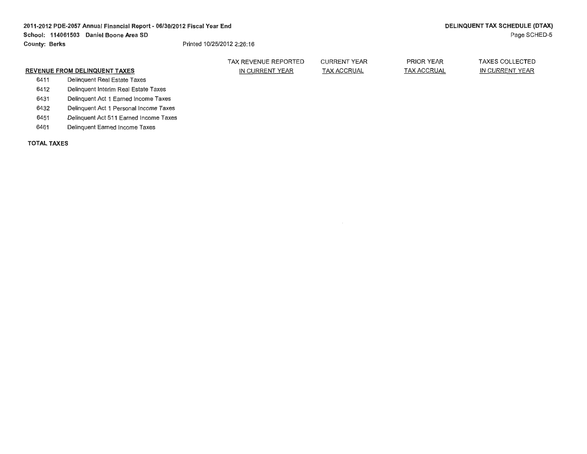|                                      |                                        | TAX REVENUE REPORTED | <b>CURRENT YEAR</b> | PRIOR YEAR         | <b>TAXES COLLECTED</b> |
|--------------------------------------|----------------------------------------|----------------------|---------------------|--------------------|------------------------|
| <b>REVENUE FROM DELINQUENT TAXES</b> |                                        | IN CURRENT YEAR      | <b>TAX ACCRUAL</b>  | <b>TAX ACCRUAL</b> | IN CURRENT YEAR        |
| 6411                                 | Delinguent Real Estate Taxes           |                      |                     |                    |                        |
| 6412                                 | Delinquent Interim Real Estate Taxes   |                      |                     |                    |                        |
| 6431                                 | Delinguent Act 1 Earned Income Taxes   |                      |                     |                    |                        |
| 6432                                 | Delinguent Act 1 Personal Income Taxes |                      |                     |                    |                        |
| 6451                                 | Delinguent Act 511 Earned Income Taxes |                      |                     |                    |                        |
| 6461                                 | Delinquent Earned Income Taxes         |                      |                     |                    |                        |
|                                      |                                        |                      |                     |                    |                        |

**TOTAL TAXES**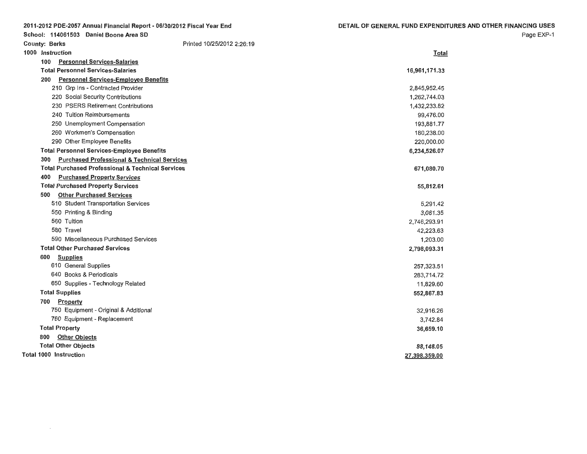|                      | 2011-2012 PDE-2057 Annual Financial Report - 06/30/2012 Fiscal Year End | DETAIL OF GENERAL FUND EXPENDITURES AND OTHER FINANCING USES |
|----------------------|-------------------------------------------------------------------------|--------------------------------------------------------------|
|                      | School: 114061503 Daniel Boone Area SD                                  | Page EXP-1                                                   |
| <b>County: Berks</b> | Printed 10/25/2012 2:26:19                                              |                                                              |
| 1000 Instruction     |                                                                         | Total                                                        |
| 100                  | <b>Personnel Services-Salaries</b>                                      |                                                              |
|                      | <b>Total Personnel Services-Salaries</b>                                | 16,961,171.33                                                |
|                      | 200 Personnel Services-Employee Benefits                                |                                                              |
|                      | 210 Grp Ins - Contracted Provider                                       | 2,845,952.45                                                 |
|                      | 220 Social Security Contributions                                       | 1,262,744.03                                                 |
|                      | 230 PSERS Retirement Contributions                                      | 1,432,233.82                                                 |
|                      | 240 Tuition Reimbursements                                              | 99,476.00                                                    |
|                      | 250 Unemployment Compensation                                           | 193,881.77                                                   |
|                      | 260 Workmen's Compensation                                              | 180,238.00                                                   |
|                      | 290 Other Employee Benefits                                             | 220,000.00                                                   |
|                      | <b>Total Personnel Services-Employee Benefits</b>                       | 6,234,526.07                                                 |
| 300                  | <b>Purchased Professional &amp; Technical Services</b>                  |                                                              |
|                      | <b>Total Purchased Professional &amp; Technical Services</b>            | 671,080.70                                                   |
| 400                  | <b>Purchased Property Services</b>                                      |                                                              |
|                      | <b>Total Purchased Property Services</b>                                | 55,812.61                                                    |
| 500                  | <b>Other Purchased Services</b>                                         |                                                              |
|                      | 510 Student Transportation Services                                     | 5,291.42                                                     |
|                      | 550 Printing & Binding                                                  | 3,081.35                                                     |
|                      | 560 Tuition                                                             | 2,746,293.91                                                 |
|                      | 580 Travel                                                              | 42,223.63                                                    |
|                      | 590 Miscellaneous Purchased Services                                    | 1,203.00                                                     |
|                      | <b>Total Other Purchased Services</b>                                   | 2,798,093.31                                                 |
| 600                  | <b>Supplies</b>                                                         |                                                              |
|                      | 610 General Supplies                                                    | 257,323.51                                                   |
|                      | 640 Books & Periodicals                                                 | 283,714.72                                                   |
|                      | 650 Supplies - Technology Related                                       | 11,829.60                                                    |
|                      | <b>Total Supplies</b>                                                   | 552,867.83                                                   |
| 700                  | Property                                                                |                                                              |
|                      | 750 Equipment - Original & Additional                                   | 32,916.26                                                    |
|                      | 760 Equipment - Replacement                                             | 3,742.84                                                     |
|                      | <b>Total Property</b>                                                   | 36,659.10                                                    |
|                      | 800 Other Objects                                                       |                                                              |
|                      | <b>Total Other Objects</b>                                              | 88,148.05                                                    |
|                      | Total 1000 Instruction                                                  | 27,398,359.00                                                |

 $\sim 100$  km s  $^{-1}$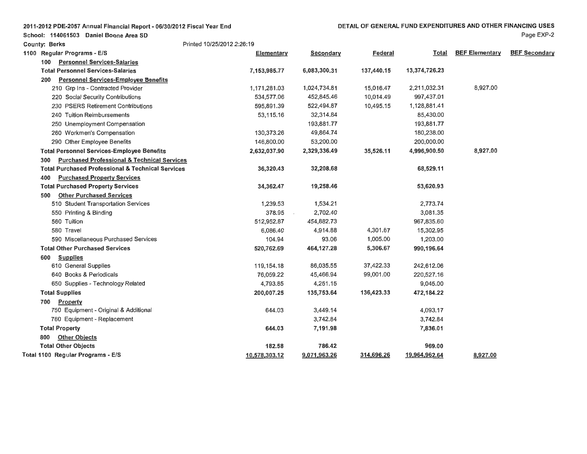| 2011-2012 PDE-2057 Annual Financial Report - 06/30/2012 Fiscal Year End |  |  |
|-------------------------------------------------------------------------|--|--|
|-------------------------------------------------------------------------|--|--|

School: 114061503 Daniel Boone Area SD

| <b>County: Berks</b>                                          | Printed 10/25/2012 2:26:19 |              |            |               |                       |                      |
|---------------------------------------------------------------|----------------------------|--------------|------------|---------------|-----------------------|----------------------|
| 1100 Regular Programs - E/S                                   | Elementary                 | Secondary    | Federal    | Total         | <b>BEF Elementary</b> | <b>BEF Secondary</b> |
| <b>Personnel Services-Salaries</b><br>100                     |                            |              |            |               |                       |                      |
| <b>Total Personnel Services-Salaries</b>                      | 7,153,985.77               | 6,083,300.31 | 137,440.15 | 13,374,726.23 |                       |                      |
| Personnel Services-Employee Benefits<br>200                   |                            |              |            |               |                       |                      |
| 210 Grp Ins - Contracted Provider                             | 1,171,281.03               | 1,024,734.81 | 15,016.47  | 2,211,032.31  | 8,927.00              |                      |
| 220 Social Security Contributions                             | 534,577.06                 | 452,845.46   | 10,014.49  | 997,437.01    |                       |                      |
| 230 PSERS Retirement Contributions                            | 595,891.39                 | 522,494.87   | 10,495.15  | 1,128,881.41  |                       |                      |
| 240 Tuition Reimbursements                                    | 53,115.16                  | 32,314.84    |            | 85,430,00     |                       |                      |
| 250 Unemployment Compensation                                 |                            | 193,881.77   |            | 193,881.77    |                       |                      |
| 260 Workmen's Compensation                                    | 130,373.26                 | 49,864.74    |            | 180,238.00    |                       |                      |
| 290 Other Employee Benefits                                   | 146,800.00                 | 53,200.00    |            | 200,000.00    |                       |                      |
| <b>Total Personnel Services-Employee Benefits</b>             | 2,632,037.90               | 2,329,336.49 | 35,526.11  | 4,996,900.50  | 8,927.00              |                      |
| <b>Purchased Professional &amp; Technical Services</b><br>300 |                            |              |            |               |                       |                      |
| <b>Total Purchased Professional &amp; Technical Services</b>  | 36,320.43                  | 32,208.68    |            | 68,529.11     |                       |                      |
| <b>Purchased Property Services</b><br>400                     |                            |              |            |               |                       |                      |
| <b>Total Purchased Property Services</b>                      | 34,362.47                  | 19,258.46    |            | 53,620.93     |                       |                      |
| <b>Other Purchased Services</b><br>500                        |                            |              |            |               |                       |                      |
| 510 Student Transportation Services                           | 1,239.53                   | 1,534.21     |            | 2,773.74      |                       |                      |
| 550 Printing & Binding                                        | 378.95                     | 2,702.40     |            | 3,081.35      |                       |                      |
| 560 Tuition                                                   | 512,952.87                 | 454,882.73   |            | 967,835.60    |                       |                      |
| 580 Travel                                                    | 6,086.40                   | 4,914.88     | 4,301.67   | 15,302.95     |                       |                      |
| 590 Miscellaneous Purchased Services                          | 104.94                     | 93.06        | 1,005.00   | 1,203.00      |                       |                      |
| <b>Total Other Purchased Services</b>                         | 520,762.69                 | 464,127.28   | 5,306.67   | 990,196.64    |                       |                      |
| <b>Supplies</b><br>600                                        |                            |              |            |               |                       |                      |
| 610 General Supplies                                          | 119,154.18                 | 86,035.55    | 37,422.33  | 242,612.06    |                       |                      |
| 640 Books & Periodicals                                       | 76,059.22                  | 45,466.94    | 99,001.00  | 220,527.16    |                       |                      |
| 650 Supplies - Technology Related                             | 4,793.85                   | 4,251.15     |            | 9,045.00      |                       |                      |
| <b>Total Supplies</b>                                         | 200,007.25                 | 135,753.64   | 136,423.33 | 472,184.22    |                       |                      |
| Property<br>700                                               |                            |              |            |               |                       |                      |
| 750 Equipment - Original & Additional                         | 644.03                     | 3,449.14     |            | 4,093.17      |                       |                      |
| 760 Equipment - Replacement                                   |                            | 3,742.84     |            | 3,742.84      |                       |                      |
| <b>Total Property</b>                                         | 644.03                     | 7,191.98     |            | 7,836.01      |                       |                      |
| <b>Other Objects</b><br>800                                   |                            |              |            |               |                       |                      |
| <b>Total Other Objects</b>                                    | 182.58                     | 786.42       |            | 969.00        |                       |                      |
| Total 1100 Regular Programs - E/S                             | 10,578,303.12              | 9,071,963.26 | 314,696.26 | 19,964,962.64 | 8,927.00              |                      |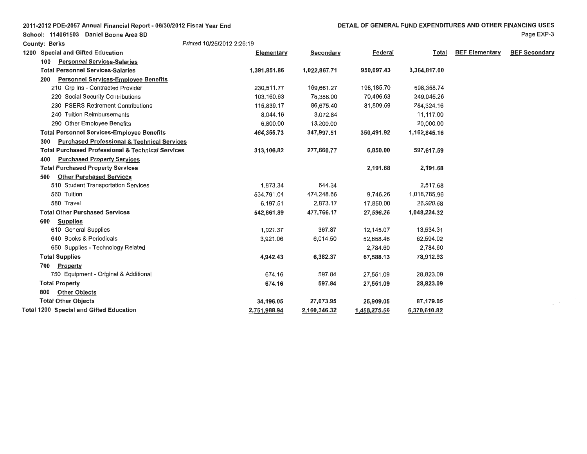| 2011-2012 PDE-2057 Annual Financial Report - 06/30/2012 Fiscal Year End |  |  |  |  |  |  |
|-------------------------------------------------------------------------|--|--|--|--|--|--|
|-------------------------------------------------------------------------|--|--|--|--|--|--|

**County: Berks** Printed 10/25/2012 2:26: 19

Page EXP-3

| 1200 | <b>Special and Gifted Education</b>                           | Elementary   | Secondary    | <b>Federal</b> | Total        | <b>BEF Elementary</b> | <b>BEF Secondary</b> |
|------|---------------------------------------------------------------|--------------|--------------|----------------|--------------|-----------------------|----------------------|
|      | <b>Personnel Services-Salaries</b><br>100                     |              |              |                |              |                       |                      |
|      | <b>Total Personnel Services-Salaries</b>                      | 1,391,851.86 | 1,022,867.71 | 950,097.43     | 3,364,817.00 |                       |                      |
|      | Personnel Services-Employee Benefits<br>200                   |              |              |                |              |                       |                      |
|      | 210 Grp Ins - Contracted Provider                             | 230,511.77   | 169,661.27   | 198,185.70     | 598,358.74   |                       |                      |
|      | 220 Social Security Contributions                             | 103,160.63   | 75,388.00    | 70,496.63      | 249,045.26   |                       |                      |
|      | 230 PSERS Retirement Contributions                            | 115,839.17   | 86,675.40    | 81,809.59      | 284,324.16   |                       |                      |
|      | 240 Tuition Reimbursements                                    | 8,044.16     | 3,072.84     |                | 11,117.00    |                       |                      |
|      | 290 Other Employee Benefits                                   | 6,800.00     | 13,200.00    |                | 20,000.00    |                       |                      |
|      | <b>Total Personnel Services-Employee Benefits</b>             | 464,355.73   | 347,997.51   | 350,491.92     | 1,162,845.16 |                       |                      |
|      | <b>Purchased Professional &amp; Technical Services</b><br>300 |              |              |                |              |                       |                      |
|      | <b>Total Purchased Professional &amp; Technical Services</b>  | 313,106.82   | 277,660.77   | 6,850.00       | 597,617.59   |                       |                      |
|      | <b>Purchased Property Services</b><br>400                     |              |              |                |              |                       |                      |
|      | <b>Total Purchased Property Services</b>                      |              |              | 2,191.68       | 2,191.68     |                       |                      |
|      | <b>Other Purchased Services</b><br>500                        |              |              |                |              |                       |                      |
|      | 510 Student Transportation Services                           | 1,873,34     | 644.34       |                | 2,517.68     |                       |                      |
|      | 560 Tuition                                                   | 534,791.04   | 474,248.66   | 9,746.26       | 1,018,785.96 |                       |                      |
|      | 580 Travel                                                    | 6,197.51     | 2,873.17     | 17,850.00      | 26,920.68    |                       |                      |
|      | <b>Total Other Purchased Services</b>                         | 542,861.89   | 477,766.17   | 27,596.26      | 1,048,224.32 |                       |                      |
|      | <b>Supplies</b><br>600                                        |              |              |                |              |                       |                      |
|      | 610 General Supplies                                          | 1,021.37     | 367.87       | 12,145.07      | 13,534.31    |                       |                      |
|      | 640 Books & Periodicals                                       | 3,921.06     | 6,014.50     | 52,658.46      | 62,594.02    |                       |                      |
|      | 650 Supplies - Technology Related                             |              |              | 2,784.60       | 2,784.60     |                       |                      |
|      | <b>Total Supplies</b>                                         | 4,942.43     | 6,382.37     | 67,588.13      | 78,912.93    |                       |                      |
|      | Property<br>700                                               |              |              |                |              |                       |                      |
|      | 750 Equipment - Original & Additional                         | 674.16       | 597.84       | 27,551.09      | 28,823.09    |                       |                      |
|      | <b>Total Property</b>                                         | 674.16       | 597.84       | 27,551.09      | 28,823.09    |                       |                      |
|      | <b>Other Objects</b><br>800                                   |              |              |                |              |                       |                      |
|      | <b>Total Other Objects</b>                                    | 34,196.05    | 27,073.95    | 25,909.05      | 87,179.05    |                       |                      |
|      | <b>Total 1200 Special and Gifted Education</b>                | 2,751,988.94 | 2,160,346.32 | 1,458,275.56   | 6,370,610.82 |                       |                      |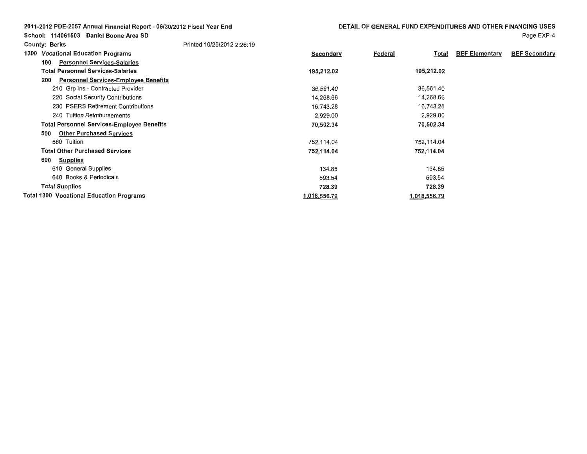| 2011-2012 PDE-2057 Annual Financial Report - 06/30/2012 Fiscal Year End | DETAIL OF GENERAL FUND EXPENDITURES AND OTHER FINANCING USES |              |         |              |                       |                      |
|-------------------------------------------------------------------------|--------------------------------------------------------------|--------------|---------|--------------|-----------------------|----------------------|
| Daniel Boone Area SD<br>School: 114061503                               |                                                              |              |         |              |                       | Page EXP-4           |
| <b>County: Berks</b>                                                    | Printed 10/25/2012 2:26:19                                   |              |         |              |                       |                      |
| <b>Vocational Education Programs</b><br>1300                            |                                                              | Secondary    | Federal | Total        | <b>BEF Elementary</b> | <b>BEF Secondary</b> |
| <b>Personnel Services-Salaries</b><br>100                               |                                                              |              |         |              |                       |                      |
| <b>Total Personnel Services-Salaries</b>                                |                                                              | 195,212.02   |         | 195,212.02   |                       |                      |
| <b>Personnel Services-Employee Benefits</b><br>200                      |                                                              |              |         |              |                       |                      |
| 210 Grp Ins - Contracted Provider                                       |                                                              | 36,561.40    |         | 36,561.40    |                       |                      |
| 220 Social Security Contributions                                       |                                                              | 14,268.66    |         | 14,268.66    |                       |                      |
| 230 PSERS Retirement Contributions                                      |                                                              | 16,743.28    |         | 16,743.28    |                       |                      |
| 240 Tuition Reimbursements                                              |                                                              | 2,929.00     |         | 2,929.00     |                       |                      |
| <b>Total Personnel Services-Employee Benefits</b>                       |                                                              | 70,502.34    |         | 70,502.34    |                       |                      |
| <b>Other Purchased Services</b><br>500                                  |                                                              |              |         |              |                       |                      |
| 560 Tuition                                                             |                                                              | 752,114.04   |         | 752,114.04   |                       |                      |
| <b>Total Other Purchased Services</b>                                   |                                                              | 752,114.04   |         | 752,114.04   |                       |                      |
| 600<br><b>Supplies</b>                                                  |                                                              |              |         |              |                       |                      |
| 610 General Supplies                                                    |                                                              | 134.85       |         | 134.85       |                       |                      |
| 640 Books & Periodicals                                                 |                                                              | 593.54       |         | 593.54       |                       |                      |
| <b>Total Supplies</b>                                                   |                                                              | 728.39       |         | 728.39       |                       |                      |
| <b>Total 1300 Vocational Education Programs</b>                         |                                                              | 1,018,556.79 |         | 1,018,556.79 |                       |                      |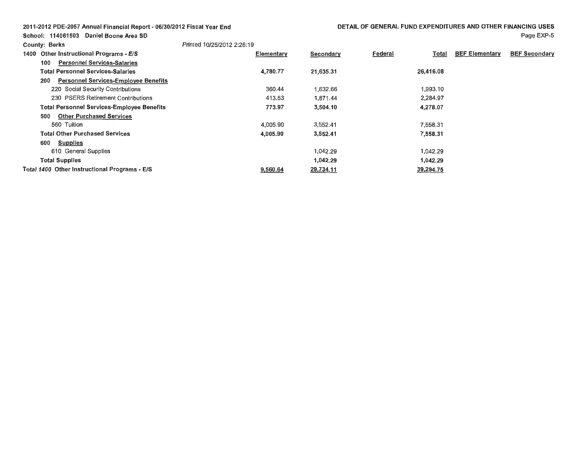| 2011-2012 PDE-2057 Annual Financial Report - 06/30/2012 Fiscal Year End |  |
|-------------------------------------------------------------------------|--|
|                                                                         |  |

School: 114061503 Daniel Boone Area SD

### Page EXP-5

| <b>County: Berks</b>                               | Printed 10/25/2012 2:26:19 |            |           |         |           |                       |                      |
|----------------------------------------------------|----------------------------|------------|-----------|---------|-----------|-----------------------|----------------------|
| <b>Other Instructional Programs - E/S</b><br>1400  |                            | Elementary | Secondary | Federal | Total     | <b>BEF Elementary</b> | <b>BEF Secondary</b> |
| <b>Personnel Services-Salaries</b><br>100          |                            |            |           |         |           |                       |                      |
| <b>Total Personnel Services-Salaries</b>           |                            | 4,780.77   | 21,635.31 |         | 26,416.08 |                       |                      |
| <b>Personnel Services-Employee Benefits</b><br>200 |                            |            |           |         |           |                       |                      |
| 220 Social Security Contributions                  |                            | 360.44     | 1,632.66  |         | 1,993.10  |                       |                      |
| 230 PSERS Retirement Contributions                 |                            | 413.53     | 1,871.44  |         | 2,284.97  |                       |                      |
| <b>Total Personnel Services-Employee Benefits</b>  |                            | 773.97     | 3,504.10  |         | 4,278.07  |                       |                      |
| <b>Other Purchased Services</b><br>500             |                            |            |           |         |           |                       |                      |
| 560 Tuition                                        |                            | 4,005.90   | 3,552.41  |         | 7,558.31  |                       |                      |
| <b>Total Other Purchased Services</b>              |                            | 4,005.90   | 3,552.41  |         | 7,558.31  |                       |                      |
| <b>Supplies</b><br>600                             |                            |            |           |         |           |                       |                      |
| 610 General Supplies                               |                            |            | 1,042.29  |         | 1,042.29  |                       |                      |
| <b>Total Supplies</b>                              |                            |            | 1,042.29  |         | 1.042.29  |                       |                      |
| Total 1400 Other Instructional Programs - E/S      |                            | 9,560.64   | 29,734.11 |         | 39,294.75 |                       |                      |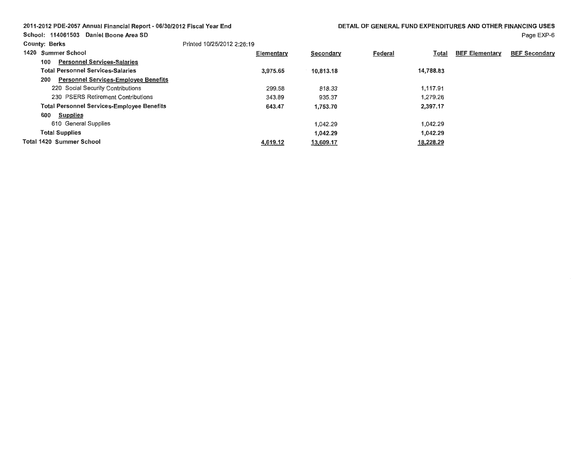# 2011-2012 PDE-2057 Annual Financial Report - 06/30/2012 Fiscal Year End

Page EXP-6

| <b>County: Berks</b> |                                                    | Printed 10/25/2012 2:26:19 |           |                         |                       |                      |
|----------------------|----------------------------------------------------|----------------------------|-----------|-------------------------|-----------------------|----------------------|
|                      | 1420 Summer School                                 | Elementary                 | Secondary | Federal<br><u>Total</u> | <b>BEF Elementary</b> | <b>BEF Secondary</b> |
|                      | <b>Personnel Services-Salaries</b><br>100          |                            |           |                         |                       |                      |
|                      | <b>Total Personnel Services-Salaries</b>           | 3,975.65                   | 10,813.18 | 14,788.83               |                       |                      |
|                      | <b>Personnel Services-Employee Benefits</b><br>200 |                            |           |                         |                       |                      |
|                      | 220 Social Security Contributions                  | 299.58                     | 818.33    | 1.117.91                |                       |                      |
|                      | 230 PSERS Retirement Contributions                 | 343.89                     | 935.37    | 1,279,26                |                       |                      |
|                      | <b>Total Personnel Services-Employee Benefits</b>  | 643.47                     | 1,753.70  | 2,397.17                |                       |                      |
|                      | 600<br><b>Supplies</b>                             |                            |           |                         |                       |                      |
|                      | 610 General Supplies                               |                            | 1.042.29  | 1.042.29                |                       |                      |
|                      | <b>Total Supplies</b>                              |                            | 1,042.29  | 1,042.29                |                       |                      |
|                      | <b>Total 1420 Summer School</b>                    | 4,619.12                   | 13,609.17 | 18,228.29               |                       |                      |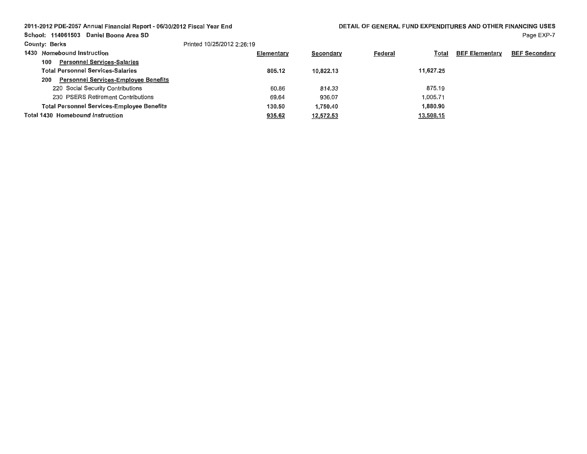# 2011-2012 PDE-2057 Annual Financial Report- 06/30/2012 Fiscal Year End

DETAIL OF GENERAL FUND EXPENDITURES AND OTHER **FINANCING** USES

School: 114061503 Daniel Boone **Area SD** 

| Printed 10/25/2012 2:26:19 |
|----------------------------|
|                            |

| <b>County: Berks</b>                               | Printed 10/25/2012 2:26:19 |           |                                |                       |                      |
|----------------------------------------------------|----------------------------|-----------|--------------------------------|-----------------------|----------------------|
| 1430 Homebound Instruction                         | Elementary                 | Secondary | <b>Federal</b><br><u>Total</u> | <b>BEF Elementary</b> | <b>BEF Secondary</b> |
| <b>Personnel Services-Salaries</b><br>100          |                            |           |                                |                       |                      |
| Total Personnel Services-Salaries                  | 805.12                     | 10.822.13 | 11.627.25                      |                       |                      |
| <b>Personnel Services-Employee Benefits</b><br>200 |                            |           |                                |                       |                      |
| 220 Social Security Contributions                  | 60.86                      | 814.33    | 875.19                         |                       |                      |
| 230 PSERS Retirement Contributions                 | 69.64                      | 936.07    | 1.005.71                       |                       |                      |
| <b>Total Personnel Services-Employee Benefits</b>  | 130.50                     | 1.750.40  | 1.880.90                       |                       |                      |
| <b>Total 1430 Homebound Instruction</b>            | 935.62                     | 12,572.53 | 13,508.15                      |                       |                      |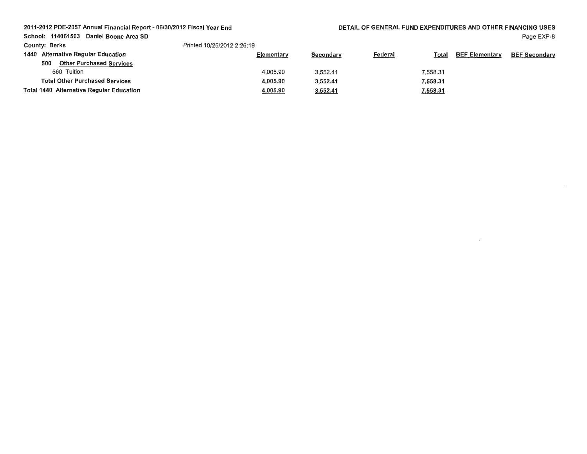### 2011-2012 PDE-2057 Annual Financial Report - 06/30/2012 Fiscal Year End

DETAIL OF GENERAL FUND EXPENDITURES AND OTHER **FINANCING** USES Page EXP-8

 $\sim$ 

School: 114061503 Daniel Boone Area SD

| <b>County: Berks</b>                     | Printed 10/25/2012 2:26:19 |           |                |                 |                       |                      |
|------------------------------------------|----------------------------|-----------|----------------|-----------------|-----------------------|----------------------|
| 1440 Alternative Regular Education       | Elementary                 | Secondary | <b>Federal</b> | Total           | <b>BEF Elementary</b> | <b>BEF Secondary</b> |
| <b>Other Purchased Services</b><br>500   |                            |           |                |                 |                       |                      |
| 560 Tuition                              | 4.005.90                   | 3,552.41  |                | 7.558.31        |                       |                      |
| <b>Total Other Purchased Services</b>    | 4.005.90                   | 3,552.41  |                | 7.558.31        |                       |                      |
| Total 1440 Alternative Regular Education | <u>4,005.90</u>            | 3,552.41  |                | <u>7,558.31</u> |                       |                      |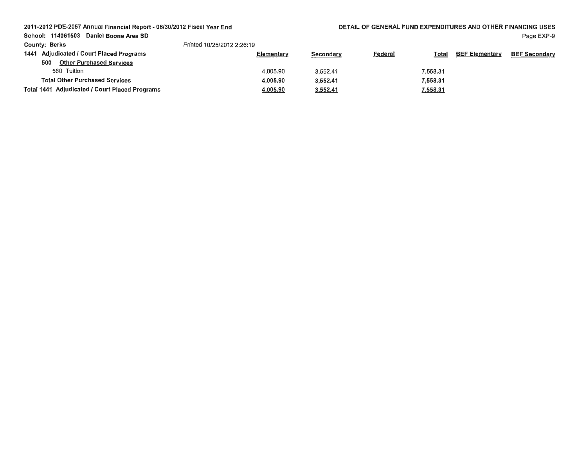2011-2012 PDE-2057 Annual Financial Report - 06/30/2012 Fiscal Year End

School: 114061503 Daniel Boone Area SD

| <b>County: Berks</b>                           | Printed 10/25/2012 2:26:19 |           |                |                 |                       |                      |
|------------------------------------------------|----------------------------|-----------|----------------|-----------------|-----------------------|----------------------|
| 1441 Adjudicated / Court Placed Programs       | Elementary                 | Secondary | <u>Federal</u> | <b>Total</b>    | <b>BEF Elementary</b> | <b>BEF Secondary</b> |
| <b>Other Purchased Services</b><br>500         |                            |           |                |                 |                       |                      |
| 560 Tuition                                    | 4,005.90                   | 3,552.41  |                | 7,558.31        |                       |                      |
| <b>Total Other Purchased Services</b>          | 4.005.90                   | 3.552.41  |                | 7.558.31        |                       |                      |
| Total 1441 Adjudicated / Court Placed Programs | 4,005.90                   | 3,552.41  |                | <u>7,558.31</u> |                       |                      |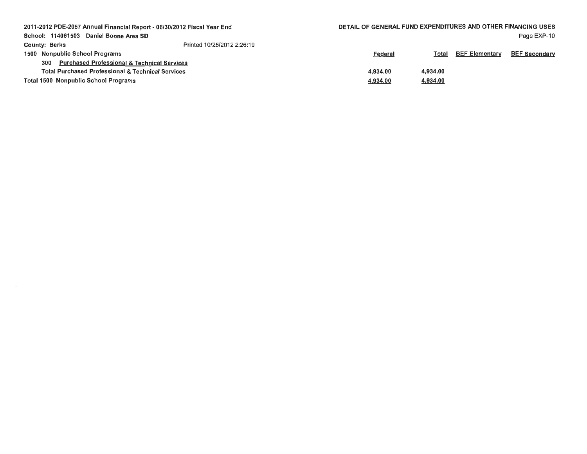| 2011-2012 PDE-2057 Annual Financial Report - 06/30/2012 Fiscal Year End<br>School: 114061503 Daniel Boone Area SD |                            | DETAIL OF GENERAL FUND EXPENDITURES AND OTHER FINANCING USES |          |                       | Page EXP-10          |
|-------------------------------------------------------------------------------------------------------------------|----------------------------|--------------------------------------------------------------|----------|-----------------------|----------------------|
| <b>County: Berks</b>                                                                                              | Printed 10/25/2012 2:26:19 |                                                              |          |                       |                      |
| 1500 Nonpublic School Programs                                                                                    |                            | Federal                                                      | Total    | <b>BEF Elementary</b> | <b>BEF Secondary</b> |
| <b>Purchased Professional &amp; Technical Services</b><br>300                                                     |                            |                                                              |          |                       |                      |
| <b>Total Purchased Professional &amp; Technical Services</b>                                                      |                            | 4.934.00                                                     | 4.934.00 |                       |                      |
| <b>Total 1500 Nonpublic School Programs</b>                                                                       |                            | 4,934.00                                                     | 4,934.00 |                       |                      |
|                                                                                                                   |                            |                                                              |          |                       |                      |

 $\mathcal{L}(\mathcal{A})$  and  $\mathcal{L}(\mathcal{A})$  . The set of  $\mathcal{L}(\mathcal{A})$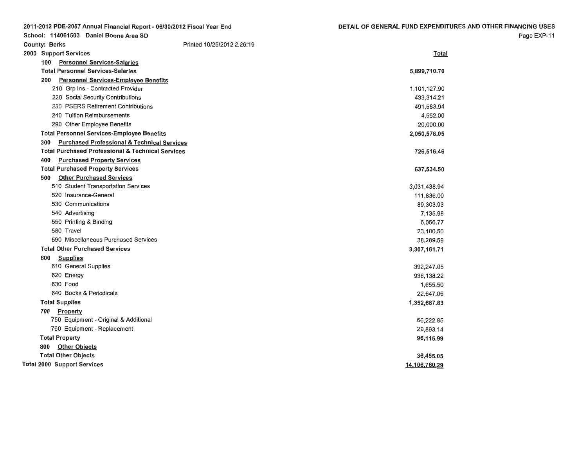| 2011-2012 PDE-2057 Annual Financial Report - 06/30/2012 Fiscal Year End | DETAIL OF GENERAL FUND EXPENDITURES AND OTHER FINANCING USES |
|-------------------------------------------------------------------------|--------------------------------------------------------------|
| School: 114061503 Daniel Boone Area SD                                  | Page EXP-11                                                  |
| Printed 10/25/2012 2:26:19<br><b>County: Berks</b>                      |                                                              |
| 2000 Support Services                                                   | Total                                                        |
| 100 Personnel Services-Salaries                                         |                                                              |
| <b>Total Personnel Services-Salaries</b>                                | 5,899,710.70                                                 |
| <b>Personnel Services-Employee Benefits</b><br>200                      |                                                              |
| 210 Grp Ins - Contracted Provider                                       | 1,101,127.90                                                 |
| 220 Social Security Contributions                                       | 433,314.21                                                   |
| 230 PSERS Retirement Contributions                                      | 491,583.94                                                   |
| 240 Tuition Reimbursements                                              | 4,552.00                                                     |
| 290 Other Employee Benefits                                             | 20,000.00                                                    |
| <b>Total Personnel Services-Employee Benefits</b>                       | 2,050,578.05                                                 |
| <b>Purchased Professional &amp; Technical Services</b><br>300           |                                                              |
| <b>Total Purchased Professional &amp; Technical Services</b>            | 726,516.46                                                   |
| <b>Purchased Property Services</b><br>400                               |                                                              |
| <b>Total Purchased Property Services</b>                                | 637,534.50                                                   |
| <b>Other Purchased Services</b><br>500                                  |                                                              |
| 510 Student Transportation Services                                     | 3,031,438.94                                                 |
| 520 Insurance-General                                                   | 111,836.00                                                   |
| 530 Communications                                                      | 89,303.93                                                    |
| 540 Advertising                                                         | 7,135.98                                                     |
| 550 Printing & Binding                                                  | 6,056.77                                                     |
| 580 Travel                                                              | 23,100.50                                                    |
| 590 Miscellaneous Purchased Services                                    | 38,289.59                                                    |
| <b>Total Other Purchased Services</b>                                   | 3,307,161.71                                                 |
| 600 Supplies                                                            |                                                              |
| 610 General Supplies                                                    | 392,247.05                                                   |
| 620 Energy                                                              | 936,138.22                                                   |
| 630 Food                                                                | 1,655.50                                                     |
| 640 Books & Periodicals                                                 | 22,647.06                                                    |
| <b>Total Supplies</b>                                                   | 1,352,687.83                                                 |
| 700 Property                                                            |                                                              |
| 750 Equipment - Original & Additional                                   | 66,222.85                                                    |
| 760 Equipment - Replacement                                             | 29,893.14                                                    |
| <b>Total Property</b>                                                   | 96,115.99                                                    |
| 800 Other Objects                                                       |                                                              |
| <b>Total Other Objects</b>                                              | 36,455.05                                                    |
| <b>Total 2000 Support Services</b>                                      | 14,106,760.29                                                |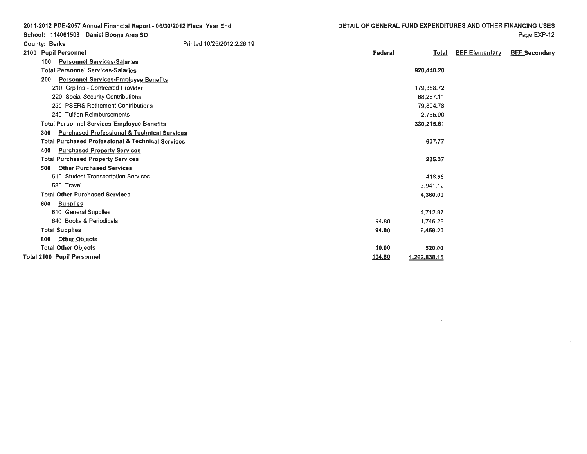Federal

|  | Page EXP-12 |
|--|-------------|
|--|-------------|

 $\sim$ 

Total BEF Elementary BEF Secondary

2011-2012 PDE-2057 Annual Financial Report - 06/30/2012 Fiscal Year End School: 114061503 Daniel Boone Area SD County: Berks 2100 Pupil Personnel Printed 10/25/2012 2:26:19

| <b>Personnel Services-Salaries</b><br>100                     |        |              |  |
|---------------------------------------------------------------|--------|--------------|--|
| <b>Total Personnel Services-Salaries</b>                      |        | 920,440.20   |  |
| <b>Personnel Services-Employee Benefits</b><br>200            |        |              |  |
| 210 Grp Ins - Contracted Provider                             |        | 179,388.72   |  |
| 220 Social Security Contributions                             |        | 68,267.11    |  |
| 230 PSERS Retirement Contributions                            |        | 79,804.78    |  |
| 240 Tuition Reimbursements                                    |        | 2,755.00     |  |
| <b>Total Personnel Services-Employee Benefits</b>             |        | 330,215.61   |  |
| <b>Purchased Professional &amp; Technical Services</b><br>300 |        |              |  |
| <b>Total Purchased Professional &amp; Technical Services</b>  |        | 607.77       |  |
| <b>Purchased Property Services</b><br>400                     |        |              |  |
| <b>Total Purchased Property Services</b>                      |        | 235.37       |  |
| <b>Other Purchased Services</b><br>500                        |        |              |  |
| 510 Student Transportation Services                           |        | 418.88       |  |
| 580 Travel                                                    |        | 3,941.12     |  |
| <b>Total Other Purchased Services</b>                         |        | 4,360.00     |  |
| <b>Supplies</b><br>600                                        |        |              |  |
| 610 General Supplies                                          |        | 4,712.97     |  |
| 640 Books & Periodicals                                       | 94.80  | 1,746.23     |  |
| <b>Total Supplies</b>                                         | 94.80  | 6,459.20     |  |
| <b>Other Objects</b><br>800                                   |        |              |  |
| <b>Total Other Objects</b>                                    | 10.00  | 520.00       |  |
| Total 2100 Pupil Personnel                                    | 104.80 | 1,262,838.15 |  |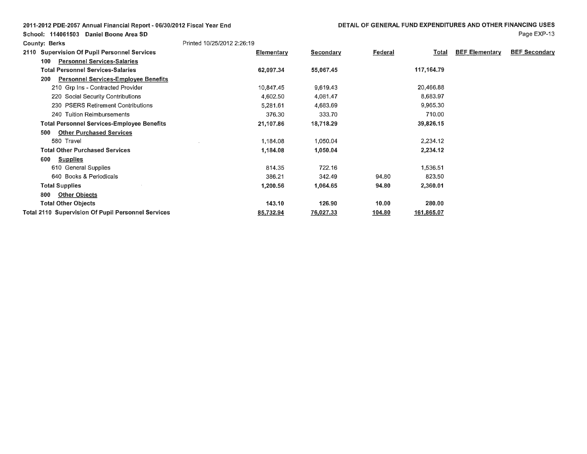| 2011-2012 PDE-2057 Annual Financial Report - 06/30/2012 Fiscal Year End |  |  |
|-------------------------------------------------------------------------|--|--|
|-------------------------------------------------------------------------|--|--|

School: 114061503 Daniel Boone Area SD

| <b>County: Berks</b>                                      | Printed 10/25/2012 2:26:19 |                  |         |              |                       |                      |
|-----------------------------------------------------------|----------------------------|------------------|---------|--------------|-----------------------|----------------------|
| <b>Supervision Of Pupil Personnel Services</b><br>2110    | Elementary                 | <b>Secondary</b> | Federal | <b>Total</b> | <b>BEF Elementary</b> | <b>BEF Secondary</b> |
| 100<br><b>Personnel Services-Salaries</b>                 |                            |                  |         |              |                       |                      |
| <b>Total Personnel Services-Salaries</b>                  | 62,097.34                  | 55,067.45        |         | 117,164.79   |                       |                      |
| <b>Personnel Services-Employee Benefits</b><br>200        |                            |                  |         |              |                       |                      |
| 210 Grp Ins - Contracted Provider                         | 10,847.45                  | 9,619.43         |         | 20,466.88    |                       |                      |
| 220 Social Security Contributions                         | 4,602.50                   | 4,081.47         |         | 8,683.97     |                       |                      |
| 230 PSERS Retirement Contributions                        | 5,281.61                   | 4,683.69         |         | 9,965.30     |                       |                      |
| 240 Tuition Reimbursements                                | 376.30                     | 333.70           |         | 710.00       |                       |                      |
| <b>Total Personnel Services-Employee Benefits</b>         | 21,107.86                  | 18,718.29        |         | 39,826.15    |                       |                      |
| <b>Other Purchased Services</b><br>500                    |                            |                  |         |              |                       |                      |
| 580 Travel                                                | 1,184.08                   | 1,050.04         |         | 2,234.12     |                       |                      |
| <b>Total Other Purchased Services</b>                     | 1,184.08                   | 1,050.04         |         | 2,234.12     |                       |                      |
| <b>Supplies</b><br>600                                    |                            |                  |         |              |                       |                      |
| 610 General Supplies                                      | 814.35                     | 722.16           |         | 1,536.51     |                       |                      |
| 640 Books & Periodicals                                   | 386.21                     | 342.49           | 94.80   | 823.50       |                       |                      |
| <b>Total Supplies</b>                                     | 1,200.56                   | 1,064.65         | 94.80   | 2,360.01     |                       |                      |
| <b>Other Objects</b><br>800                               |                            |                  |         |              |                       |                      |
| <b>Total Other Objects</b>                                | 143.10                     | 126.90           | 10.00   | 280.00       |                       |                      |
| <b>Total 2110 Supervision Of Pupil Personnel Services</b> | 85,732.94                  | 76,027.33        | 104.80  | 161,865.07   |                       |                      |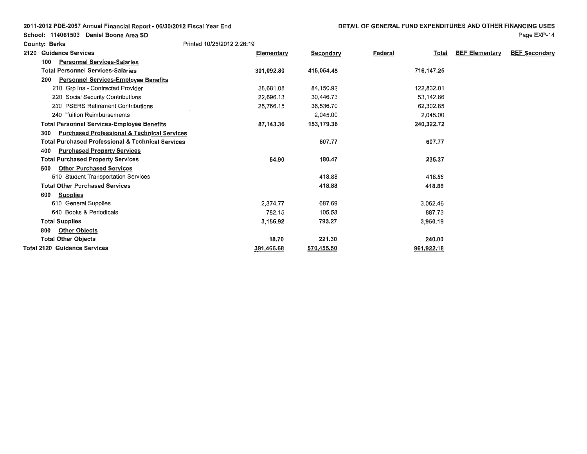Printed 10/25/2012 2:26:19

County: Berks

| 2120 | <b>Guidance Services</b>                                      | Elementary | Secondary  | <b>Federal</b><br><u>Total</u> | <b>BEF Elementary</b> | <b>BEF Secondary</b> |
|------|---------------------------------------------------------------|------------|------------|--------------------------------|-----------------------|----------------------|
|      | <b>Personnel Services-Salaries</b><br>100                     |            |            |                                |                       |                      |
|      | <b>Total Personnel Services-Salaries</b>                      | 301,092.80 | 415,054.45 | 716,147.25                     |                       |                      |
|      | <b>Personnel Services-Employee Benefits</b><br>200            |            |            |                                |                       |                      |
|      | 210 Grp Ins - Contracted Provider                             | 38,681.08  | 84,150.93  | 122,832.01                     |                       |                      |
|      | 220 Social Security Contributions                             | 22,696.13  | 30,446.73  | 53,142.86                      |                       |                      |
|      | 230 PSERS Retirement Contributions                            | 25,766.15  | 36,536.70  | 62,302.85                      |                       |                      |
|      | 240 Tuition Reimbursements                                    |            | 2,045.00   | 2,045.00                       |                       |                      |
|      | <b>Total Personnel Services-Employee Benefits</b>             | 87,143.36  | 153,179.36 | 240,322.72                     |                       |                      |
|      | <b>Purchased Professional &amp; Technical Services</b><br>300 |            |            |                                |                       |                      |
|      | <b>Total Purchased Professional &amp; Technical Services</b>  |            | 607.77     | 607.77                         |                       |                      |
|      | <b>Purchased Property Services</b><br>400                     |            |            |                                |                       |                      |
|      | <b>Total Purchased Property Services</b>                      | 54.90      | 180.47     | 235.37                         |                       |                      |
|      | <b>Other Purchased Services</b><br>500                        |            |            |                                |                       |                      |
|      | 510 Student Transportation Services                           |            | 418.88     | 418.88                         |                       |                      |
|      | <b>Total Other Purchased Services</b>                         |            | 418.88     | 418.88                         |                       |                      |
|      | <b>Supplies</b><br>600                                        |            |            |                                |                       |                      |
|      | 610 General Supplies                                          | 2,374.77   | 687.69     | 3,062.46                       |                       |                      |
|      | 640 Books & Periodicals                                       | 782.15     | 105.58     | 887.73                         |                       |                      |
|      | <b>Total Supplies</b>                                         | 3,156.92   | 793.27     | 3,950.19                       |                       |                      |
|      | <b>Other Objects</b><br>800                                   |            |            |                                |                       |                      |
|      | <b>Total Other Objects</b>                                    | 18.70      | 221.30     | 240.00                         |                       |                      |
|      | <b>Total 2120 Guidance Services</b>                           | 391,466.68 | 570,455.50 | 961,922.18                     |                       |                      |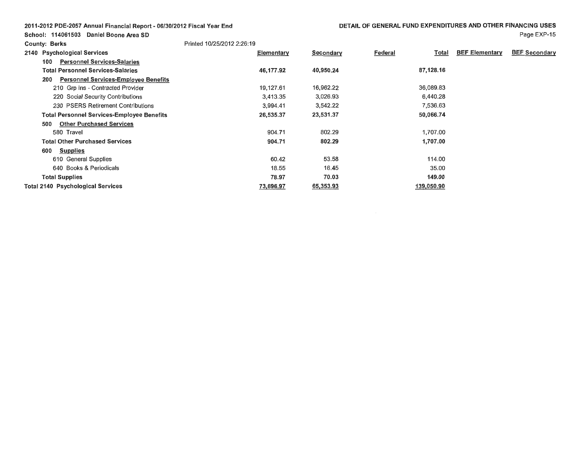**School: 114061503 Daniel Boone Area SD** 

|                      | $117001000$ Dunch DUCING |
|----------------------|--------------------------|
| <b>County: Berks</b> |                          |

| Page EXP-15 |
|-------------|
|             |

| 2140 Psychological Services                        | Elementary | Secondary | Federal | Total      | <b>BEF Elementary</b> | <b>BEF Secondary</b> |
|----------------------------------------------------|------------|-----------|---------|------------|-----------------------|----------------------|
| <b>Personnel Services-Salaries</b><br>100          |            |           |         |            |                       |                      |
| <b>Total Personnel Services-Salaries</b>           | 46,177.92  | 40,950.24 |         | 87,128.16  |                       |                      |
| <b>Personnel Services-Employee Benefits</b><br>200 |            |           |         |            |                       |                      |
| 210 Grp Ins - Contracted Provider                  | 19,127.61  | 16,962.22 |         | 36,089.83  |                       |                      |
| 220 Social Security Contributions                  | 3,413.35   | 3,026.93  |         | 6,440.28   |                       |                      |
| 230 PSERS Retirement Contributions                 | 3,994.41   | 3,542.22  |         | 7,536.63   |                       |                      |
| <b>Total Personnel Services-Employee Benefits</b>  | 26,535.37  | 23,531.37 |         | 50,066.74  |                       |                      |
| <b>Other Purchased Services</b><br>500             |            |           |         |            |                       |                      |
| 580 Travel                                         | 904.71     | 802.29    |         | 1,707.00   |                       |                      |
| <b>Total Other Purchased Services</b>              | 904.71     | 802.29    |         | 1,707.00   |                       |                      |
| 600<br><b>Supplies</b>                             |            |           |         |            |                       |                      |
| 610 General Supplies                               | 60.42      | 53.58     |         | 114.00     |                       |                      |
| 640 Books & Periodicals                            | 18.55      | 16.45     |         | 35.00      |                       |                      |
| <b>Total Supplies</b>                              | 78.97      | 70.03     |         | 149.00     |                       |                      |
| <b>Total 2140 Psychological Services</b>           | 73,696.97  | 65,353.93 |         | 139,050.90 |                       |                      |

Printed 10/25/2012 2:26:19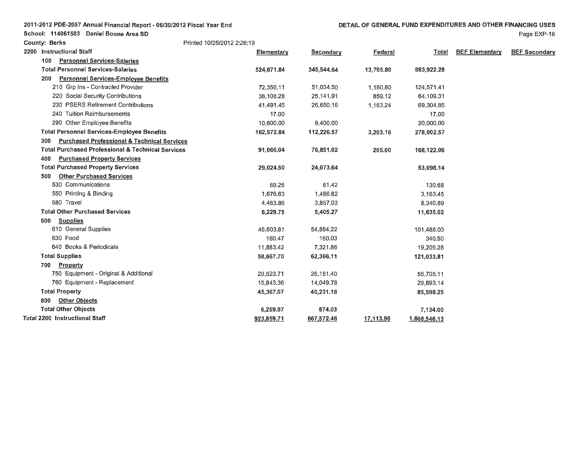Page EXP-16

School: 114061503 Daniel Boone Area SD **County: Berks** Printed 10/25/2012 2:26:19 **2200 Instructional Staff 100 Personnel Services-Salaries Total Personnel Services-Salaries 200 Personnel Services-Employee Benefits**  210 Grp Ins - Contracted Provider 220 Social Security Contributions 230 PSERS Retirement Contributions 240 Tuition Reimbursements 290 Other Employee Benefits **Total Personnel Services-Employee Benefits 300 Purchased Professional** & **Technical Services Total Purchased Professional** & **Technical Services 400 Purchased Property Services Total Purchased Property Services 500 Other Purchased Services**  530 Communications 550 Printing & Binding 580 Travel **Total Other Purchased Services 600 Supplies**  610 General Supplies 630 Food 640 Books & Periodicals **Total Supplies 700 Property**  750 Equipment - Original & Additional 760 Equipment - Replacement **Total Property 800 Other Objects Total Other Objects Total 2200 Instructional Staff Elementary 524,671.84**  72,356.11 38,108.28 41,491.45 17.00 10,600.00 **162,572.84 91,066.04 29,024.50**  69.26 1,676.63 4,483.86 **6,229.75**  46,603.81 180.47 11,883.42 **58,667.70**  29,523.71 15,843.36 **45,367.07 6,259.97 923,859.71 Secondary Federal Total BEF Elementary BEF Secondary 345,544.64**  51 ,034.50 25,141.91 26,650.16 9,400.00 **112,226.57 76,851.02 24,073.64**  61.42 1,486.82 3,857.03 **5,405.27**  54,884.22 160.03 7,321 .86 **62,366.11**  26,181.40 14,049.78 **40,231.18 874.03 667,572.46 13,705.80**  1,180.80 859.12 1,163.24 **3,203.16 205.00 17,113.96 883,922.28**  124,571.41 64,109.31 69,304.85 17.00 20,000.00 **278,002.57 168,122.06 53,098.14**  130.68 3,163.45 8,340.89 **11,635.02**  101,488.03 340.50 19,205.28 **121,033.81**  55,705.11 29,893.14 **85,598.25 7,134.00 1,608,546.13**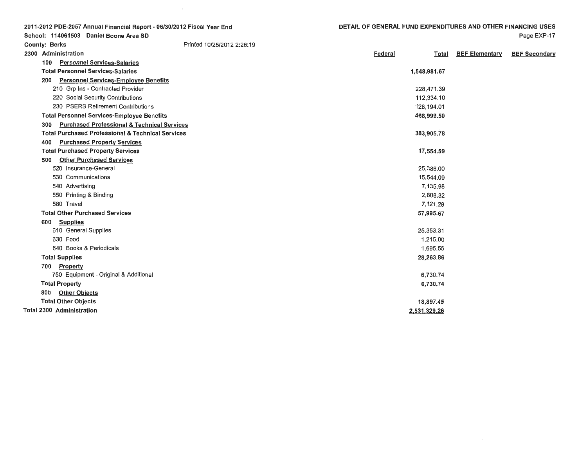| 2011-2012 PDE-2057 Annual Financial Report - 06/30/2012 Fiscal Year End |
|-------------------------------------------------------------------------|
| School: 114061503 Daniel Boone Area SD                                  |

 $\sim$ 

| <b>County: Berks</b>                                          | Printed 10/25/2012 2:26:19 |         |              |                       |                      |
|---------------------------------------------------------------|----------------------------|---------|--------------|-----------------------|----------------------|
| 2300 Administration                                           |                            | Federal | <b>Total</b> | <b>BEF Elementary</b> | <b>BEF Secondary</b> |
| <b>Personnel Services-Salaries</b><br>100                     |                            |         |              |                       |                      |
| <b>Total Personnel Services-Salaries</b>                      |                            |         | 1,548,981.67 |                       |                      |
| <b>Personnel Services-Employee Benefits</b><br>200            |                            |         |              |                       |                      |
| 210 Grp Ins - Contracted Provider                             |                            |         | 228,471.39   |                       |                      |
| 220 Social Security Contributions                             |                            |         | 112,334.10   |                       |                      |
| 230 PSERS Retirement Contributions                            |                            |         | 128,194.01   |                       |                      |
| <b>Total Personnel Services-Employee Benefits</b>             |                            |         | 468,999.50   |                       |                      |
| <b>Purchased Professional &amp; Technical Services</b><br>300 |                            |         |              |                       |                      |
| <b>Total Purchased Professional &amp; Technical Services</b>  |                            |         | 383,905.78   |                       |                      |
| 400<br><b>Purchased Property Services</b>                     |                            |         |              |                       |                      |
| <b>Total Purchased Property Services</b>                      |                            |         | 17,554.59    |                       |                      |
| <b>Other Purchased Services</b><br>500                        |                            |         |              |                       |                      |
| 520 Insurance-General                                         |                            |         | 25,386.00    |                       |                      |
| 530 Communications                                            |                            |         | 15,544.09    |                       |                      |
| 540 Advertising                                               |                            |         | 7,135.98     |                       |                      |
| 550 Printing & Binding                                        |                            |         | 2,808.32     |                       |                      |
| 580 Travel                                                    |                            |         | 7,121.28     |                       |                      |
| <b>Total Other Purchased Services</b>                         |                            |         | 57,995.67    |                       |                      |
| 600<br><b>Supplies</b>                                        |                            |         |              |                       |                      |
| 610 General Supplies                                          |                            |         | 25,353.31    |                       |                      |
| 630 Food                                                      |                            |         | 1,215.00     |                       |                      |
| 640 Books & Periodicals                                       |                            |         | 1,695.55     |                       |                      |
| <b>Total Supplies</b>                                         |                            |         | 28,263.86    |                       |                      |
| Property<br>700                                               |                            |         |              |                       |                      |
| 750 Equipment - Original & Additional                         |                            |         | 6,730.74     |                       |                      |
| <b>Total Property</b>                                         |                            |         | 6,730.74     |                       |                      |
| <b>Other Objects</b><br>800                                   |                            |         |              |                       |                      |
| <b>Total Other Objects</b>                                    |                            |         | 18,897.45    |                       |                      |
| <b>Total 2300 Administration</b>                              |                            |         | 2,531,329.26 |                       |                      |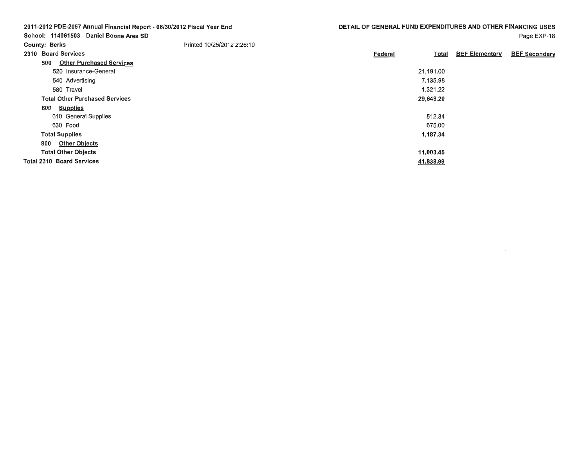| DETAIL OF GENERAL FUND EXPENDITURES AND OTHER FINANCING USES |
|--------------------------------------------------------------|
|--------------------------------------------------------------|

|  | 2011-2012 PDE-2057 Annual Financial Report - 06/30/2012 Fiscal Year End |  |
|--|-------------------------------------------------------------------------|--|
|  | School: 114061503 Daniel Boone Area SD                                  |  |

| <b>County: Berks</b>             |                                       | Printed 10/25/2012 2:26:19 |         |           |                       |                      |
|----------------------------------|---------------------------------------|----------------------------|---------|-----------|-----------------------|----------------------|
| 2310 Board Services              |                                       |                            | Federal | Total     | <b>BEF Elementary</b> | <b>BEF Secondary</b> |
| 500                              | <b>Other Purchased Services</b>       |                            |         |           |                       |                      |
|                                  | 520 Insurance-General                 |                            |         | 21,191.00 |                       |                      |
|                                  | 540 Advertising                       |                            |         | 7,135.98  |                       |                      |
| 580 Travel                       |                                       |                            |         | 1,321.22  |                       |                      |
|                                  | <b>Total Other Purchased Services</b> |                            |         | 29,648.20 |                       |                      |
| 600                              | <b>Supplies</b>                       |                            |         |           |                       |                      |
|                                  | 610 General Supplies                  |                            |         | 512.34    |                       |                      |
| 630 Food                         |                                       |                            |         | 675.00    |                       |                      |
| <b>Total Supplies</b>            |                                       |                            |         | 1,187.34  |                       |                      |
| 800                              | <b>Other Objects</b>                  |                            |         |           |                       |                      |
| <b>Total Other Objects</b>       |                                       |                            |         | 11,003.45 |                       |                      |
| <b>Total 2310 Board Services</b> |                                       |                            |         | 41,838.99 |                       |                      |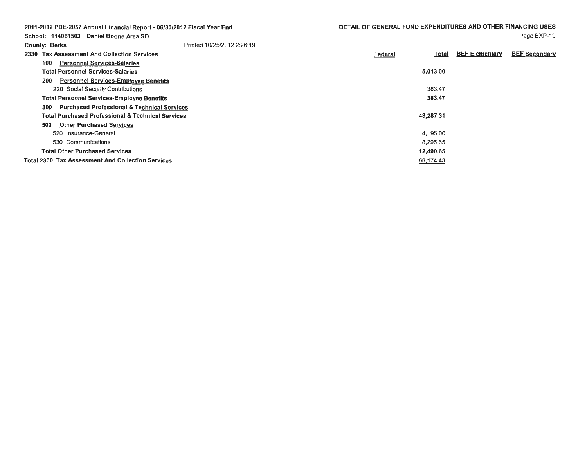|                      | 2011-2012 PDE-2057 Annual Financial Report - 06/30/2012 Fiscal Year End | DETAIL OF GENERAL FUND EXPENDITURES AND OTHER FINANCING USES |                       |                      |
|----------------------|-------------------------------------------------------------------------|--------------------------------------------------------------|-----------------------|----------------------|
|                      | School: 114061503 Daniel Boone Area SD                                  |                                                              |                       | Page EXP-19          |
| <b>County: Berks</b> | Printed 10/25/2012 2:26:19                                              |                                                              |                       |                      |
|                      | 2330 Tax Assessment And Collection Services                             | Federal<br>Total                                             | <b>BEF Elementary</b> | <b>BEF Secondary</b> |
| 100                  | <b>Personnel Services-Salaries</b>                                      |                                                              |                       |                      |
|                      | <b>Total Personnel Services-Salaries</b>                                | 5,013.00                                                     |                       |                      |
| 200                  | <b>Personnel Services-Employee Benefits</b>                             |                                                              |                       |                      |
|                      | 220 Social Security Contributions                                       | 383.47                                                       |                       |                      |
|                      | <b>Total Personnel Services-Employee Benefits</b>                       | 383.47                                                       |                       |                      |
| 300                  | <b>Purchased Professional &amp; Technical Services</b>                  |                                                              |                       |                      |
|                      | <b>Total Purchased Professional &amp; Technical Services</b>            | 48,287.31                                                    |                       |                      |
| 500                  | <b>Other Purchased Services</b>                                         |                                                              |                       |                      |
|                      | 520 Insurance-General                                                   | 4,195.00                                                     |                       |                      |
|                      | 530 Communications                                                      | 8.295.65                                                     |                       |                      |
|                      | <b>Total Other Purchased Services</b>                                   | 12,490.65                                                    |                       |                      |
|                      | <b>Total 2330 Tax Assessment And Collection Services</b>                | 66,174.43                                                    |                       |                      |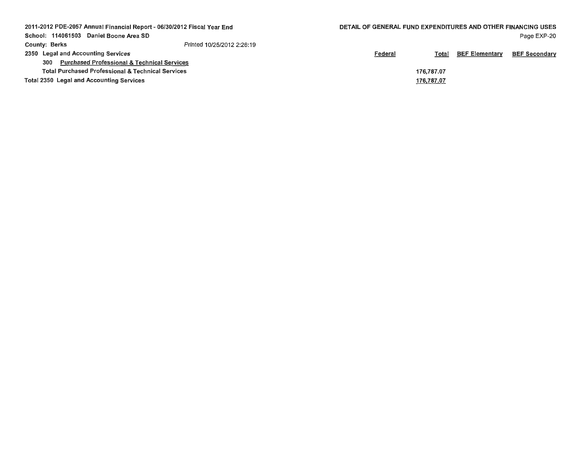| 2011-2012 PDE-2057 Annual Financial Report - 06/30/2012 Fiscal Year End<br>DETAIL OF GENERAL FUND EXPENDITURES AND OTHER FINANCING USES |                            |                |            |                       |                      |
|-----------------------------------------------------------------------------------------------------------------------------------------|----------------------------|----------------|------------|-----------------------|----------------------|
| School: 114061503<br>Daniel Boone Area SD                                                                                               |                            |                |            |                       | Page EXP-20          |
| County: Berks                                                                                                                           | Printed 10/25/2012 2:26:19 |                |            |                       |                      |
| 2350 Legal and Accounting Services                                                                                                      |                            | <u>Federal</u> | Total      | <b>BEF Elementary</b> | <b>BEF Secondary</b> |
| <b>Purchased Professional &amp; Technical Services</b><br>300                                                                           |                            |                |            |                       |                      |
| <b>Total Purchased Professional &amp; Technical Services</b>                                                                            |                            |                | 176.787.07 |                       |                      |
| <b>Total 2350 Legal and Accounting Services</b>                                                                                         |                            |                | 176,787.07 |                       |                      |
|                                                                                                                                         |                            |                |            |                       |                      |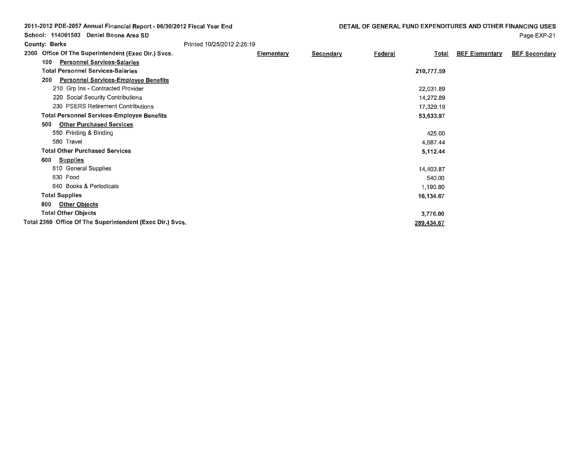| 2011-2012 PDE-2057 Annual Financial Report - 06/30/2012 Fiscal Year End<br>School: 114061503 Daniel Boone Area SD |                            | DETAIL OF GENERAL FUND EXPENDITURES AND OTHER FINANCING USES |           |         | Page EXP-21 |                       |                      |
|-------------------------------------------------------------------------------------------------------------------|----------------------------|--------------------------------------------------------------|-----------|---------|-------------|-----------------------|----------------------|
| <b>County: Berks</b>                                                                                              | Printed 10/25/2012 2:26:19 |                                                              |           |         |             |                       |                      |
|                                                                                                                   |                            |                                                              |           |         |             |                       | <b>BEF Secondary</b> |
| 2360 Office Of The Superintendent (Exec Dir.) Svcs.                                                               |                            | Elementary                                                   | Secondary | Federal | Total       | <b>BEF Elementary</b> |                      |
| <b>Personnel Services-Salaries</b><br>100                                                                         |                            |                                                              |           |         |             |                       |                      |
| <b>Total Personnel Services-Salaries</b>                                                                          |                            |                                                              |           |         | 210,777.59  |                       |                      |
| <b>Personnel Services-Employee Benefits</b><br>200                                                                |                            |                                                              |           |         |             |                       |                      |
| 210 Grp Ins - Contracted Provider                                                                                 |                            |                                                              |           |         | 22,031.89   |                       |                      |
| 220 Social Security Contributions                                                                                 |                            |                                                              |           |         | 14,272.89   |                       |                      |
| 230 PSERS Retirement Contributions                                                                                |                            |                                                              |           |         | 17,329.19   |                       |                      |
| <b>Total Personnel Services-Employee Benefits</b>                                                                 |                            |                                                              |           |         | 53,633.97   |                       |                      |
| <b>Other Purchased Services</b><br>500                                                                            |                            |                                                              |           |         |             |                       |                      |
| 550 Printing & Binding                                                                                            |                            |                                                              |           |         | 425.00      |                       |                      |
| 580 Travel                                                                                                        |                            |                                                              |           |         | 4,687.44    |                       |                      |
| <b>Total Other Purchased Services</b>                                                                             |                            |                                                              |           |         | 5,112.44    |                       |                      |
| <b>Supplies</b><br>600                                                                                            |                            |                                                              |           |         |             |                       |                      |
| 610 General Supplies                                                                                              |                            |                                                              |           |         | 14,403.87   |                       |                      |
| 630 Food                                                                                                          |                            |                                                              |           |         | 540.00      |                       |                      |
| 640 Books & Periodicals                                                                                           |                            |                                                              |           |         | 1,190.80    |                       |                      |
| <b>Total Supplies</b>                                                                                             |                            |                                                              |           |         | 16,134.67   |                       |                      |
| <b>Other Objects</b><br>800                                                                                       |                            |                                                              |           |         |             |                       |                      |
| <b>Total Other Objects</b>                                                                                        |                            |                                                              |           |         | 3,776.00    |                       |                      |
| Total 2360 Office Of The Superintendent (Exec Dir.) Svcs.                                                         |                            |                                                              |           |         | 289,434.67  |                       |                      |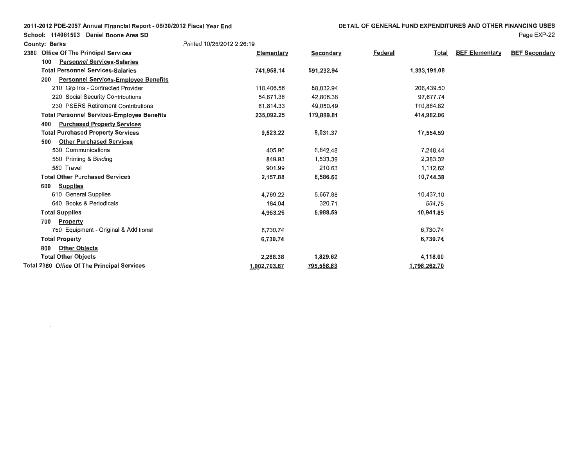| 2011-2012 PDE-2057 Annual Financial Report - 06/30/2012 Fiscal Year End |  |
|-------------------------------------------------------------------------|--|
|-------------------------------------------------------------------------|--|

**County: Berks** Printed 10/25/2012 2:26: 19

School: 114061503 Daniel Boone Area SD

| 2380 | <b>Office Of The Principal Services</b>            | <b>Elementary</b> | Secondary  | <u>Federal</u><br>Total | <b>BEF Elementary</b> | <b>BEF Secondary</b> |
|------|----------------------------------------------------|-------------------|------------|-------------------------|-----------------------|----------------------|
|      | <b>Personnel Services-Salaries</b><br>100          |                   |            |                         |                       |                      |
|      | <b>Total Personnel Services-Salaries</b>           | 741,958.14        | 591,232.94 | 1,333,191.08            |                       |                      |
|      | <b>Personnel Services-Employee Benefits</b><br>200 |                   |            |                         |                       |                      |
|      | 210 Grp Ins - Contracted Provider                  | 118,406.56        | 88,032.94  | 206,439.50              |                       |                      |
|      | 220 Social Security Contributions                  | 54,871.36         | 42,806.38  | 97,677.74               |                       |                      |
|      | 230 PSERS Retirement Contributions                 | 61,814.33         | 49,050.49  | 110,864.82              |                       |                      |
|      | <b>Total Personnel Services-Employee Benefits</b>  | 235,092.25        | 179,889.81 | 414,982.06              |                       |                      |
|      | <b>Purchased Property Services</b><br>400          |                   |            |                         |                       |                      |
|      | <b>Total Purchased Property Services</b>           | 9,523,22          | 8,031.37   | 17,554.59               |                       |                      |
|      | <b>Other Purchased Services</b><br>500             |                   |            |                         |                       |                      |
|      | 530 Communications                                 | 405.96            | 6,842.48   | 7,248.44                |                       |                      |
|      | 550 Printing & Binding                             | 849.93            | 1,533.39   | 2,383.32                |                       |                      |
|      | 580 Travel                                         | 901.99            | 210.63     | 1,112.62                |                       |                      |
|      | <b>Total Other Purchased Services</b>              | 2,157.88          | 8,586.50   | 10,744.38               |                       |                      |
|      | <b>Supplies</b><br>600                             |                   |            |                         |                       |                      |
|      | 610 General Supplies                               | 4,769.22          | 5,667.88   | 10,437.10               |                       |                      |
|      | 640 Books & Periodicals                            | 184.04            | 320.71     | 504.75                  |                       |                      |
|      | <b>Total Supplies</b>                              | 4.953.26          | 5,988.59   | 10,941.85               |                       |                      |
|      | <b>Property</b><br>700                             |                   |            |                         |                       |                      |
|      | 750 Equipment - Original & Additional              | 6,730.74          |            | 6,730.74                |                       |                      |
|      | <b>Total Property</b>                              | 6,730.74          |            | 6,730.74                |                       |                      |
|      | <b>Other Objects</b><br>800                        |                   |            |                         |                       |                      |
|      | <b>Total Other Objects</b>                         | 2,288.38          | 1,829.62   | 4,118.00                |                       |                      |
|      | Total 2380 Office Of The Principal Services        | 1.002.703.87      | 795,558.83 | 1,798,262.70            |                       |                      |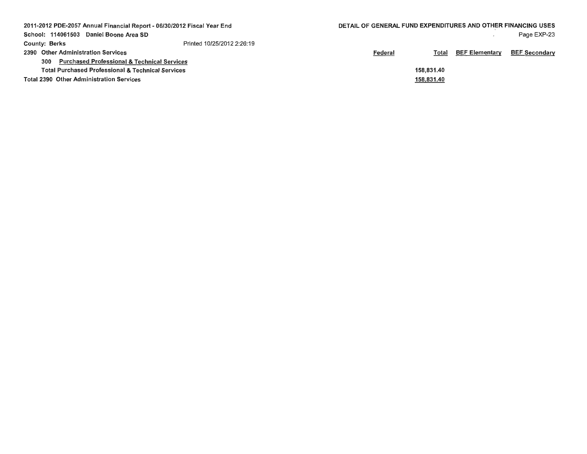| 2011-2012 PDE-2057 Annual Financial Report - 06/30/2012 Fiscal Year End | DETAIL OF GENERAL FUND EXPENDITURES AND OTHER FINANCING USES |                |            |                       |                      |
|-------------------------------------------------------------------------|--------------------------------------------------------------|----------------|------------|-----------------------|----------------------|
| School: 114061503 Daniel Boone Area SD                                  |                                                              |                |            |                       | Page EXP-23          |
| <b>County: Berks</b>                                                    | Printed 10/25/2012 2:26:19                                   |                |            |                       |                      |
| 2390 Other Administration Services                                      |                                                              | <b>Federal</b> | Total      | <b>BEF Elementary</b> | <b>BEF Secondary</b> |
| <b>Purchased Professional &amp; Technical Services</b><br>300           |                                                              |                |            |                       |                      |
| <b>Total Purchased Professional &amp; Technical Services</b>            |                                                              |                | 158.831.40 |                       |                      |
| <b>Total 2390 Other Administration Services</b>                         |                                                              |                | 158,831.40 |                       |                      |
|                                                                         |                                                              |                |            |                       |                      |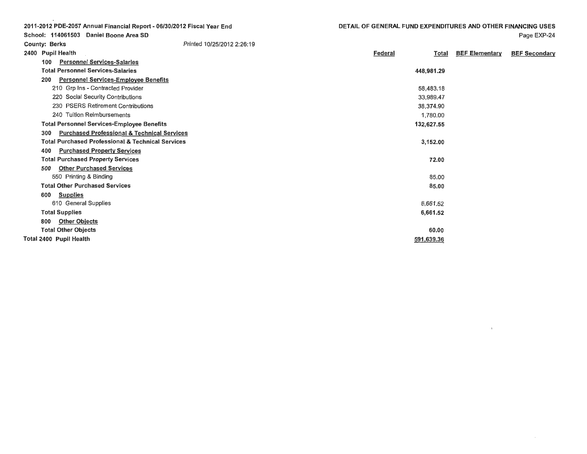| DETAIL OF GENERAL FUND EXPENDITURES AND OTHER FINANCING USES |  |
|--------------------------------------------------------------|--|
|--------------------------------------------------------------|--|

Federal

Page EXP-24

Total BEF Elementary BEF Secondary

 $\Lambda$ 

2011-2012 PDE-2057 Annual Financial Report - 06/30/2012 Fiscal Year End School: 114061503 Daniel Boone Area SD County: Berks 2400 Pupil Health 100 Personnel Services-Salaries Total Personnel Services-Salaries 200 Personnel Services-Employee Benefits 210 Grp Ins - Contracted Provider 220 Social Security Contributions 230 PSERS Retirement Contributions 240 Tuition Reimbursements Total Personnel Services-Employee Benefits Printed 10/25/2012 2:26: 19

| <b>Total Personnel Services-Salaries</b>                      | 448,981.29 |
|---------------------------------------------------------------|------------|
| 200<br><b>Personnel Services-Employee Benefits</b>            |            |
| 210 Grp Ins - Contracted Provider                             | 58,483.18  |
| 220 Social Security Contributions                             | 33,989.47  |
| 230 PSERS Retirement Contributions                            | 38,374.90  |
| 240 Tuition Reimbursements                                    | 1,780.00   |
| <b>Total Personnel Services-Employee Benefits</b>             | 132,627.55 |
| <b>Purchased Professional &amp; Technical Services</b><br>300 |            |
| <b>Total Purchased Professional &amp; Technical Services</b>  | 3,152.00   |
| <b>Purchased Property Services</b><br>400                     |            |
| <b>Total Purchased Property Services</b>                      | 72.00      |
| 500<br><b>Other Purchased Services</b>                        |            |
| 550 Printing & Binding                                        | 85.00      |
| <b>Total Other Purchased Services</b>                         | 85.00      |
| 600<br><b>Supplies</b>                                        |            |
| 610 General Supplies                                          | 6,661.52   |
| <b>Total Supplies</b>                                         | 6,661.52   |
| <b>Other Objects</b><br>800                                   |            |
| <b>Total Other Objects</b>                                    | 60.00      |
| Total 2400 Pupil Health                                       | 591,639.36 |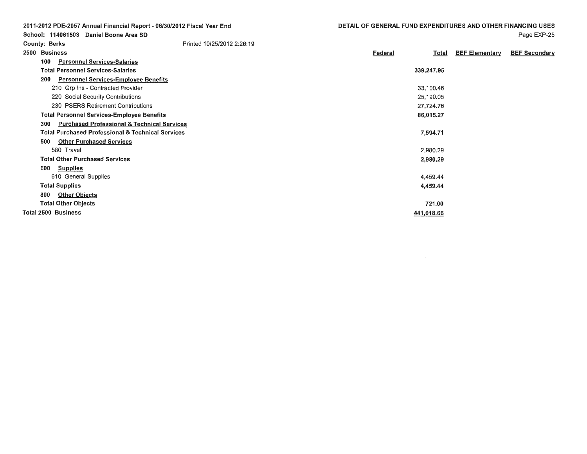**Federal** 

Total BEF Elementary BEF Secondary

2011-2012 PDE-2057 Annual Financial Report - 06/30/2012 Fiscal Year End School: 114061503 Daniel Boone Area SD County: Berks 2500 Business 100 Personnel Services-Salaries Total Personnel Services-Salaries Printed 10/25/2012 2:26:19

| יטע<br>Personnel Services-Salaries                            |            |  |
|---------------------------------------------------------------|------------|--|
| <b>Total Personnel Services-Salaries</b>                      | 339,247.95 |  |
| <b>Personnel Services-Employee Benefits</b><br>200            |            |  |
| 210 Grp Ins - Contracted Provider                             | 33,100.46  |  |
| 220 Social Security Contributions                             | 25,190.05  |  |
| 230 PSERS Retirement Contributions                            | 27,724.76  |  |
| <b>Total Personnel Services-Employee Benefits</b>             | 86,015.27  |  |
| <b>Purchased Professional &amp; Technical Services</b><br>300 |            |  |
| <b>Total Purchased Professional &amp; Technical Services</b>  | 7.594.71   |  |
| <b>Other Purchased Services</b><br>500                        |            |  |
| 580 Travel                                                    | 2,980.29   |  |
| <b>Total Other Purchased Services</b>                         | 2,980.29   |  |
| <u>Supplies</u><br>600                                        |            |  |
| 610 General Supplies                                          | 4,459.44   |  |
| <b>Total Supplies</b>                                         | 4,459.44   |  |
| 800<br><b>Other Objects</b>                                   |            |  |
| <b>Total Other Objects</b>                                    | 721.00     |  |
| <b>Total 2500 Business</b>                                    | 441,018.66 |  |
|                                                               |            |  |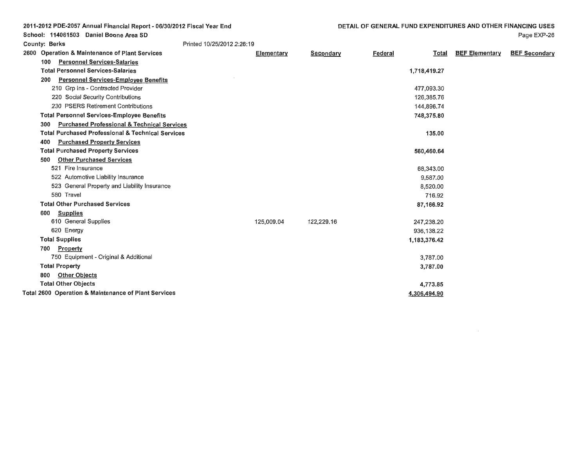| 2011-2012 PDE-2057 Annual Financial Report - 06/30/2012 Fiscal Year End |            |            | DETAIL OF GENERAL FUND EXPENDITURES AND OTHER FINANCING USES |                                       |                      |
|-------------------------------------------------------------------------|------------|------------|--------------------------------------------------------------|---------------------------------------|----------------------|
| School: 114061503 Daniel Boone Area SD                                  |            |            |                                                              |                                       | Page EXP-26          |
| Printed 10/25/2012 2:26:19<br><b>County: Berks</b>                      |            |            |                                                              |                                       |                      |
| 2600 Operation & Maintenance of Plant Services                          | Elementary | Secondary  | <b>Federal</b>                                               | <b>BEF</b> Elementary<br><b>Total</b> | <b>BEF Secondary</b> |
| <b>Personnel Services-Salaries</b><br>100                               |            |            |                                                              |                                       |                      |
| <b>Total Personnel Services-Salaries</b>                                |            |            | 1,718,419.27                                                 |                                       |                      |
| <b>Personnel Services-Employee Benefits</b><br>200                      |            |            |                                                              |                                       |                      |
| 210 Grp Ins - Contracted Provider                                       |            |            | 477,093.30                                                   |                                       |                      |
| 220 Social Security Contributions                                       |            |            | 126,385.76                                                   |                                       |                      |
| 230 PSERS Retirement Contributions                                      |            |            | 144,896.74                                                   |                                       |                      |
| <b>Total Personnel Services-Employee Benefits</b>                       |            |            | 748,375.80                                                   |                                       |                      |
| <b>Purchased Professional &amp; Technical Services</b><br>300           |            |            |                                                              |                                       |                      |
| <b>Total Purchased Professional &amp; Technical Services</b>            |            |            |                                                              | 135.00                                |                      |
| <b>Purchased Property Services</b><br>400                               |            |            |                                                              |                                       |                      |
| <b>Total Purchased Property Services</b>                                |            |            | 560,460.64                                                   |                                       |                      |
| <b>Other Purchased Services</b><br>500                                  |            |            |                                                              |                                       |                      |
| 521 Fire Insurance                                                      |            |            | 68,343.00                                                    |                                       |                      |
| 522 Automotive Liability Insurance                                      |            |            | 9,587.00                                                     |                                       |                      |
| 523 General Property and Liability Insurance                            |            |            | 8,520.00                                                     |                                       |                      |
| 580 Travel                                                              |            |            |                                                              | 716.92                                |                      |
| <b>Total Other Purchased Services</b>                                   |            |            | 87,166.92                                                    |                                       |                      |
| <b>Supplies</b><br>600                                                  |            |            |                                                              |                                       |                      |
| 610 General Supplies                                                    | 125,009.04 | 122,229.16 | 247.238.20                                                   |                                       |                      |
| 620 Energy                                                              |            |            | 936,138.22                                                   |                                       |                      |
| <b>Total Supplies</b>                                                   |            |            | 1,183,376.42                                                 |                                       |                      |
| Property<br>700                                                         |            |            |                                                              |                                       |                      |
| 750 Equipment - Original & Additional                                   |            |            | 3,787.00                                                     |                                       |                      |
| <b>Total Property</b>                                                   |            |            | 3,787.00                                                     |                                       |                      |
| <b>Other Objects</b><br>800                                             |            |            |                                                              |                                       |                      |
| <b>Total Other Objects</b>                                              |            |            | 4,773.85                                                     |                                       |                      |
| Total 2600 Operation & Maintenance of Plant Services                    |            |            | 4,306,494.90                                                 |                                       |                      |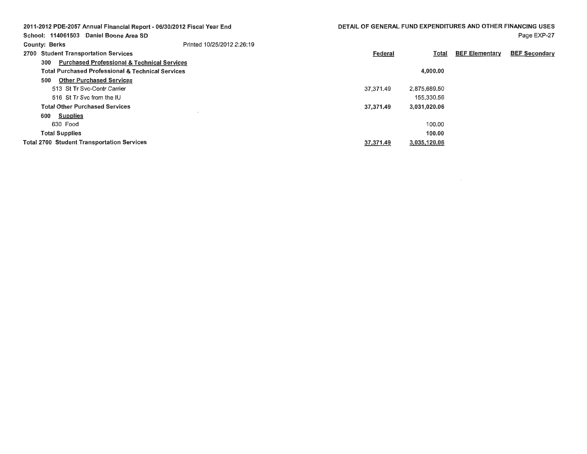| 2011-2012 PDE-2057 Annual Financial Report - 06/30/2012 Fiscal Year End |                            | DETAIL OF GENERAL FUND EXPENDITURES AND OTHER FINANCING USES |              |                       |                      |
|-------------------------------------------------------------------------|----------------------------|--------------------------------------------------------------|--------------|-----------------------|----------------------|
| School: 114061503 Daniel Boone Area SD                                  |                            |                                                              |              |                       | Page EXP-27          |
| <b>County: Berks</b>                                                    | Printed 10/25/2012 2:26:19 |                                                              |              |                       |                      |
| 2700 Student Transportation Services                                    |                            | Federal                                                      | Total        | <b>BEF Elementary</b> | <b>BEF Secondary</b> |
| <b>Purchased Professional &amp; Technical Services</b><br>300           |                            |                                                              |              |                       |                      |
| <b>Total Purchased Professional &amp; Technical Services</b>            |                            |                                                              | 4,000.00     |                       |                      |
| <b>Other Purchased Services</b><br>500                                  |                            |                                                              |              |                       |                      |
| 513 St Tr Syc-Contr Carrier                                             |                            | 37.371.49                                                    | 2,875,689.50 |                       |                      |
| 516 St Tr Syc from the IU                                               |                            |                                                              | 155,330,56   |                       |                      |
| <b>Total Other Purchased Services</b>                                   |                            | 37.371.49                                                    | 3,031,020.06 |                       |                      |
| <b>Supplies</b><br>600                                                  |                            |                                                              |              |                       |                      |
| 630 Food                                                                |                            |                                                              | 100.00       |                       |                      |
| <b>Total Supplies</b>                                                   |                            |                                                              | 100.00       |                       |                      |
| <b>Total 2700 Student Transportation Services</b>                       |                            | 37,371.49                                                    | 3,035,120.06 |                       |                      |

 $\label{eq:2.1} \mathcal{L}(\mathcal{L}^{\text{max}}_{\mathcal{L}}(\mathcal{L}^{\text{max}}_{\mathcal{L}}),\mathcal{L}^{\text{max}}_{\mathcal{L}}(\mathcal{L}^{\text{max}}_{\mathcal{L}}))$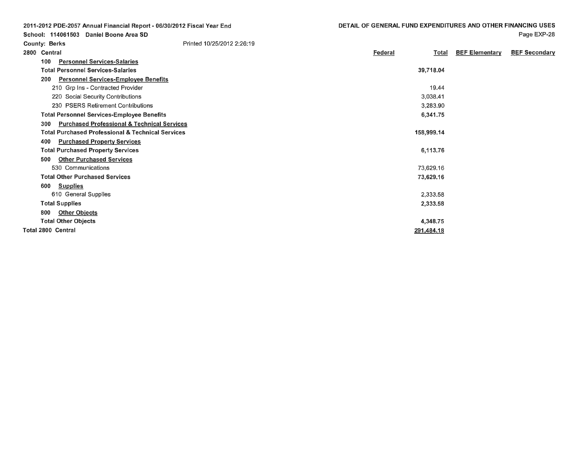Page EXP-28

2011-2012 PDE-2057 Annual Financial Report - 06/30/2012 Fiscal Year End School: 114061503 Daniel Boone **Area SD**  County: Berks 2800 Central Printed 10/25/2012 2:26: 19

| 2800 | Central                                                      | Federal<br>Total | <b>BEF Elementary</b> | <b>BEF Secondary</b> |
|------|--------------------------------------------------------------|------------------|-----------------------|----------------------|
| 100  | <b>Personnel Services-Salaries</b>                           |                  |                       |                      |
|      | <b>Total Personnel Services-Salaries</b>                     | 39,718.04        |                       |                      |
| 200  | <b>Personnel Services-Employee Benefits</b>                  |                  |                       |                      |
|      | 210 Grp Ins - Contracted Provider                            | 19.44            |                       |                      |
|      | 220 Social Security Contributions                            | 3,038.41         |                       |                      |
|      | 230 PSERS Retirement Contributions                           | 3,283.90         |                       |                      |
|      | <b>Total Personnel Services-Employee Benefits</b>            | 6,341.75         |                       |                      |
| 300  | <b>Purchased Professional &amp; Technical Services</b>       |                  |                       |                      |
|      | <b>Total Purchased Professional &amp; Technical Services</b> | 158,999.14       |                       |                      |
| 400  | <b>Purchased Property Services</b>                           |                  |                       |                      |
|      | <b>Total Purchased Property Services</b>                     | 6,113.76         |                       |                      |
| 500  | <b>Other Purchased Services</b>                              |                  |                       |                      |
|      | 530 Communications                                           | 73,629.16        |                       |                      |
|      | <b>Total Other Purchased Services</b>                        | 73,629.16        |                       |                      |
| 600  | <b>Supplies</b>                                              |                  |                       |                      |
|      | 610 General Supplies                                         | 2,333.58         |                       |                      |
|      | <b>Total Supplies</b>                                        | 2,333.58         |                       |                      |
| 800  | <b>Other Objects</b>                                         |                  |                       |                      |
|      | <b>Total Other Objects</b>                                   | 4,348.75         |                       |                      |
|      | <b>Total 2800 Central</b>                                    | 291,484.18       |                       |                      |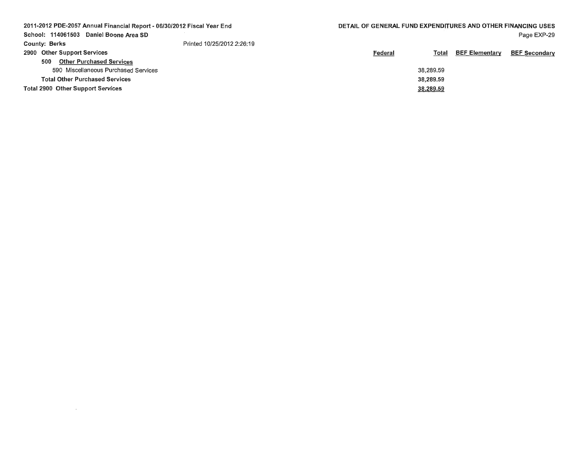| 2011-2012 PDE-2057 Annual Financial Report - 06/30/2012 Fiscal Year End |                            | DETAIL OF GENERAL FUND EXPENDITURES AND OTHER FINANCING USES |           |                       |                      |
|-------------------------------------------------------------------------|----------------------------|--------------------------------------------------------------|-----------|-----------------------|----------------------|
| School: 114061503<br>Daniel Boone Area SD                               |                            |                                                              |           |                       | Page EXP-29          |
| <b>County: Berks</b>                                                    | Printed 10/25/2012 2:26:19 |                                                              |           |                       |                      |
| 2900 Other Support Services                                             |                            | <b>Federal</b>                                               | Total     | <b>BEF Elementary</b> | <b>BEF Secondary</b> |
| <b>Other Purchased Services</b><br>500                                  |                            |                                                              |           |                       |                      |
| 590 Miscellaneous Purchased Services                                    |                            |                                                              | 38,289.59 |                       |                      |
| <b>Total Other Purchased Services</b>                                   |                            |                                                              | 38,289.59 |                       |                      |
| <b>Total 2900 Other Support Services</b>                                |                            |                                                              | 38,289.59 |                       |                      |
|                                                                         |                            |                                                              |           |                       |                      |

 $\label{eq:2.1} \mathcal{L}(\mathcal{L}^{\text{max}}_{\mathcal{L}}(\mathcal{L}^{\text{max}}_{\mathcal{L}}(\mathcal{L}^{\text{max}}_{\mathcal{L}}(\mathcal{L}^{\text{max}}_{\mathcal{L}^{\text{max}}_{\mathcal{L}}(\mathcal{L}^{\text{max}}_{\mathcal{L}^{\text{max}}_{\mathcal{L}^{\text{max}}_{\mathcal{L}^{\text{max}}_{\mathcal{L}^{\text{max}}_{\mathcal{L}^{\text{max}}_{\mathcal{L}^{\text{max}}_{\mathcal{L}^{\text{max}}_{\mathcal{L}^{\text{max}}$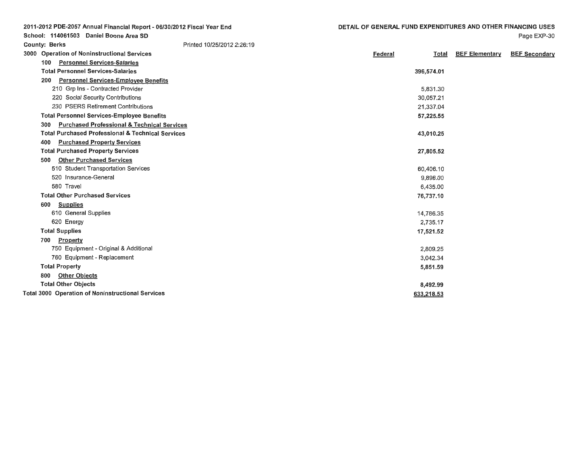| 2011-2012 PDE-2057 Annual Financial Report - 06/30/2012 Fiscal Year End | DETAIL OF GENERAL FUND EXPENDITURES AND OTHER FINANCING USES |                       |                      |
|-------------------------------------------------------------------------|--------------------------------------------------------------|-----------------------|----------------------|
| School: 114061503 Daniel Boone Area SD                                  |                                                              |                       | Page EXP-30          |
| Printed 10/25/2012 2:26:19<br><b>County: Berks</b>                      |                                                              |                       |                      |
| 3000 Operation of Noninstructional Services                             | Federal<br>Total                                             | <b>BEF Elementary</b> | <b>BEF Secondary</b> |
| <b>Personnel Services-Salaries</b><br>100                               |                                                              |                       |                      |
| <b>Total Personnel Services-Salaries</b>                                | 396,574.01                                                   |                       |                      |
| <b>Personnel Services-Employee Benefits</b><br>200                      |                                                              |                       |                      |
| 210 Grp Ins - Contracted Provider                                       | 5,831.30                                                     |                       |                      |
| 220 Social Security Contributions                                       | 30,057.21                                                    |                       |                      |
| 230 PSERS Retirement Contributions                                      | 21,337.04                                                    |                       |                      |
| <b>Total Personnel Services-Employee Benefits</b>                       | 57,225.55                                                    |                       |                      |
| <b>Purchased Professional &amp; Technical Services</b><br>300           |                                                              |                       |                      |
| <b>Total Purchased Professional &amp; Technical Services</b>            | 43,010.25                                                    |                       |                      |
| <b>Purchased Property Services</b><br>400                               |                                                              |                       |                      |
| <b>Total Purchased Property Services</b>                                | 27,805.52                                                    |                       |                      |
| <b>Other Purchased Services</b><br>500                                  |                                                              |                       |                      |
| 510 Student Transportation Services                                     | 60,406.10                                                    |                       |                      |
| 520 Insurance-General                                                   | 9,896.00                                                     |                       |                      |
| 580 Travel                                                              | 6,435.00                                                     |                       |                      |
| <b>Total Other Purchased Services</b>                                   | 76,737.10                                                    |                       |                      |
| <b>Supplies</b><br>600                                                  |                                                              |                       |                      |
| 610 General Supplies                                                    | 14,786.35                                                    |                       |                      |
| 620 Energy                                                              | 2,735.17                                                     |                       |                      |
| <b>Total Supplies</b>                                                   | 17,521.52                                                    |                       |                      |
| Property<br>700                                                         |                                                              |                       |                      |
| 750 Equipment - Original & Additional                                   | 2,809.25                                                     |                       |                      |
| 760 Equipment - Replacement                                             | 3,042.34                                                     |                       |                      |
| <b>Total Property</b>                                                   | 5,851.59                                                     |                       |                      |
| <b>Other Objects</b><br>800                                             |                                                              |                       |                      |
| <b>Total Other Objects</b>                                              | 8,492.99                                                     |                       |                      |
| <b>Total 3000 Operation of Noninstructional Services</b>                | 633,218.53                                                   |                       |                      |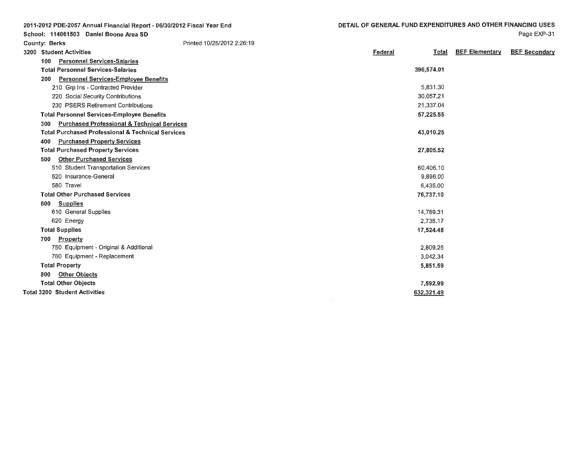5,831 .30 30,057.21 21,337.04 57,225.55

43,010.25

27,805.52

60,406.10 9,896.00 6,435.00 76,737.10

14,789.31 2,735.17 17,524.48

> 2,809.25 3,042.34 5,851.59

7,592.99 632,321.49 Page EXP-31

Total BEF Elementary BEF Secondary

School: 114061503 Daniel Boone Area SD Printed 10/25/2012 2:26: 19 County: Berks 3200 Student Activities Federal 100 Personnel Services-Salaries 396,574.01 Total Personnel Services-Salaries 200 Personnel Services-Employee Benefits 210 Grp Ins - Contracted Provider 220 Social Security Contributions 230 PSERS Retirement Contributions Total Personnel Services-Employee Benefits 300 Purchased Professional & Technical Services Total Purchased Professional & Technical Services 400 Purchased Property Services Total Purchased Property Services 500 Other Purchased Services 510 Student Transportation Services 520 Insurance-General 580 Travel Total Other Purchased Services 600 Supplies 610 General Supplies 620 Energy Total Supplies 700 Property 750 Equipment - Original & Additional 760 Equipment - Replacement Total Property

2011-2012 PDE-2057 Annual Financial Report- 06/30/2012 Fiscal Year End

800 Other Objects Total Other Objects Total 3200 Student Activities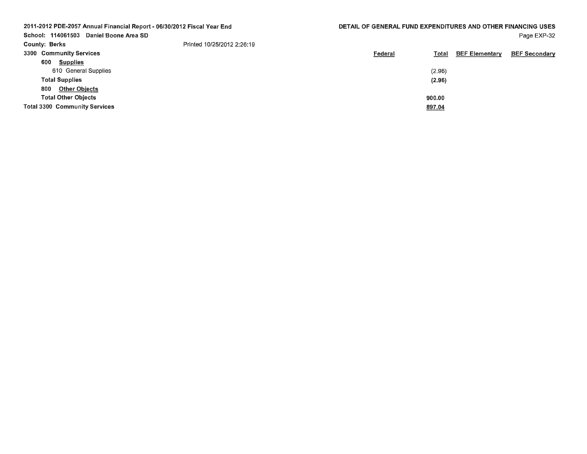| DETAIL OF GENERAL FUND EXPENDITURES AND OTHER FINANCING USES<br>Page EXP-32 |
|-----------------------------------------------------------------------------|
|                                                                             |
| <b>BEF Secondary</b>                                                        |
|                                                                             |
|                                                                             |
|                                                                             |
|                                                                             |
|                                                                             |
|                                                                             |
|                                                                             |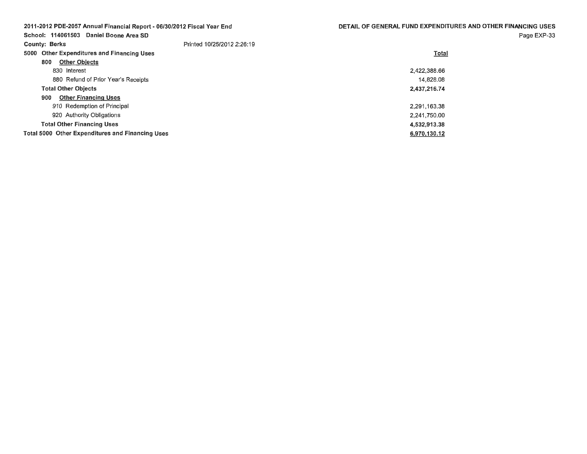| 2011-2012 PDE-2057 Annual Financial Report - 06/30/2012 Fiscal Year End |                            | DETAIL OF GENERAL FUND EXPENDITURES AND OTHER FINANCING USES |
|-------------------------------------------------------------------------|----------------------------|--------------------------------------------------------------|
| School: 114061503 Daniel Boone Area SD                                  |                            | Page EXP-33                                                  |
| <b>County: Berks</b>                                                    | Printed 10/25/2012 2:26:19 |                                                              |
| 5000 Other Expenditures and Financing Uses                              |                            | Total                                                        |
| <b>Other Objects</b><br>800                                             |                            |                                                              |
| 830 Interest                                                            |                            | 2.422.388.66                                                 |
| 880 Refund of Prior Year's Receipts                                     |                            | 14.828.08                                                    |
| <b>Total Other Objects</b>                                              |                            | 2,437,216.74                                                 |
| 900<br><b>Other Financing Uses</b>                                      |                            |                                                              |
| 910 Redemption of Principal                                             |                            | 2.291.163.38                                                 |
| 920 Authority Obligations                                               |                            | 2.241,750.00                                                 |
| <b>Total Other Financing Uses</b>                                       |                            | 4,532,913.38                                                 |
| <b>Total 5000 Other Expenditures and Financing Uses</b>                 |                            | 6,970,130.12                                                 |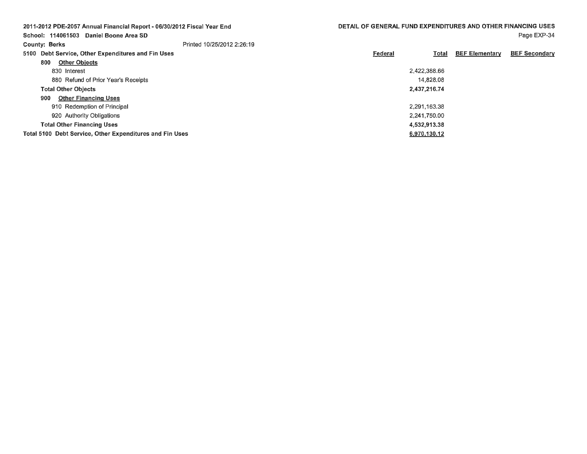| 2011-2012 PDE-2057 Annual Financial Report - 06/30/2012 Fiscal Year End |                            | DETAIL OF GENERAL FUND EXPENDITURES AND OTHER FINANCING USES |              |                       |                      |
|-------------------------------------------------------------------------|----------------------------|--------------------------------------------------------------|--------------|-----------------------|----------------------|
| School: 114061503 Daniel Boone Area SD                                  |                            |                                                              |              |                       | Page EXP-34          |
| <b>County: Berks</b>                                                    | Printed 10/25/2012 2:26:19 |                                                              |              |                       |                      |
| 5100 Debt Service, Other Expenditures and Fin Uses                      |                            | Federal                                                      | Total        | <b>BEF Elementary</b> | <b>BEF Secondary</b> |
| <b>Other Objects</b><br>800                                             |                            |                                                              |              |                       |                      |
| 830 Interest                                                            |                            |                                                              | 2.422.388.66 |                       |                      |
| 880 Refund of Prior Year's Receipts                                     |                            |                                                              | 14.828.08    |                       |                      |
| <b>Total Other Objects</b>                                              |                            |                                                              | 2,437,216.74 |                       |                      |
| <b>Other Financing Uses</b><br>900                                      |                            |                                                              |              |                       |                      |
| 910 Redemption of Principal                                             |                            |                                                              | 2.291.163.38 |                       |                      |
| 920 Authority Obligations                                               |                            |                                                              | 2.241.750.00 |                       |                      |
| <b>Total Other Financing Uses</b>                                       |                            |                                                              | 4.532.913.38 |                       |                      |
| Total 5100 Debt Service, Other Expenditures and Fin Uses                |                            |                                                              | 6,970,130.12 |                       |                      |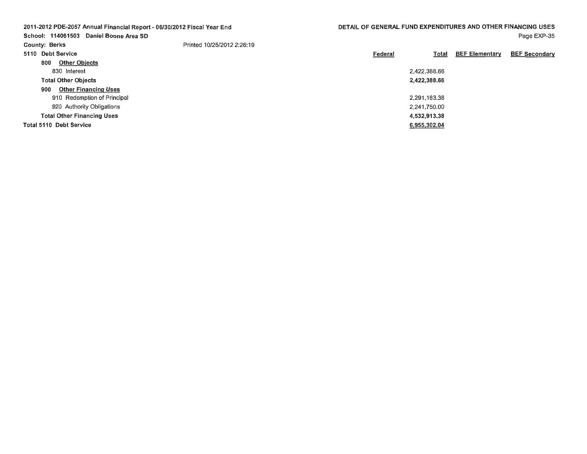| 2011-2012 PDE-2057 Annual Financial Report - 06/30/2012 Fiscal Year End<br>School: 114061503<br>Daniel Boone Area SD |                            | DETAIL OF GENERAL FUND EXPENDITURES AND OTHER FINANCING USES |              |                       | Page EXP-35          |
|----------------------------------------------------------------------------------------------------------------------|----------------------------|--------------------------------------------------------------|--------------|-----------------------|----------------------|
| <b>County: Berks</b>                                                                                                 | Printed 10/25/2012 2:26:19 |                                                              |              |                       |                      |
| 5110 Debt Service                                                                                                    |                            | Federal                                                      | Total        | <b>BEF Elementary</b> | <b>BEF Secondary</b> |
| <b>Other Objects</b><br>800                                                                                          |                            |                                                              |              |                       |                      |
| 830 Interest                                                                                                         |                            |                                                              | 2,422,388.66 |                       |                      |
| <b>Total Other Objects</b>                                                                                           |                            |                                                              | 2,422,388.66 |                       |                      |
| <b>Other Financing Uses</b><br>900                                                                                   |                            |                                                              |              |                       |                      |
| 910 Redemption of Principal                                                                                          |                            |                                                              | 2,291,163,38 |                       |                      |
| 920 Authority Obligations                                                                                            |                            |                                                              | 2.241.750.00 |                       |                      |
| <b>Total Other Financing Uses</b>                                                                                    |                            |                                                              | 4.532,913.38 |                       |                      |
| Total 5110 Debt Service                                                                                              |                            |                                                              | 6,955,302.04 |                       |                      |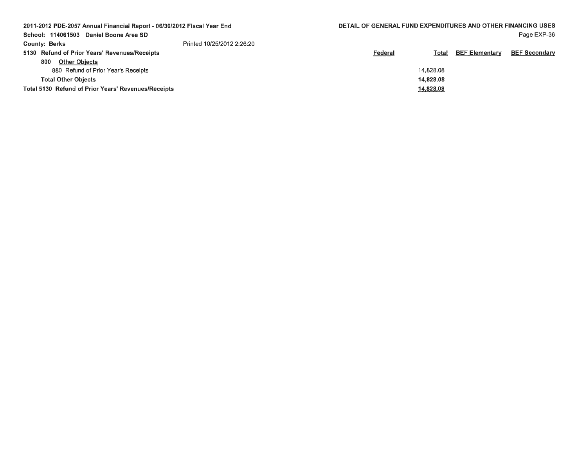| 2011-2012 PDE-2057 Annual Financial Report - 06/30/2012 Fiscal Year End |                            |         | DETAIL OF GENERAL FUND EXPENDITURES AND OTHER FINANCING USES |                       |                      |  |
|-------------------------------------------------------------------------|----------------------------|---------|--------------------------------------------------------------|-----------------------|----------------------|--|
| School: 114061503<br>Daniel Boone Area SD                               |                            |         |                                                              |                       | Page EXP-36          |  |
| <b>County: Berks</b>                                                    | Printed 10/25/2012 2:26:20 |         |                                                              |                       |                      |  |
| 5130 Refund of Prior Years' Revenues/Receipts                           |                            | Federal | Total                                                        | <b>BEF Elementary</b> | <b>BEF Secondary</b> |  |
| <b>Other Objects</b><br>800                                             |                            |         |                                                              |                       |                      |  |
| 880 Refund of Prior Year's Receipts                                     |                            |         | 14,828.08                                                    |                       |                      |  |
| <b>Total Other Objects</b>                                              |                            |         | 14,828,08                                                    |                       |                      |  |
| Total 5130 Refund of Prior Years' Revenues/Receipts                     |                            |         | 14,828.08                                                    |                       |                      |  |
|                                                                         |                            |         |                                                              |                       |                      |  |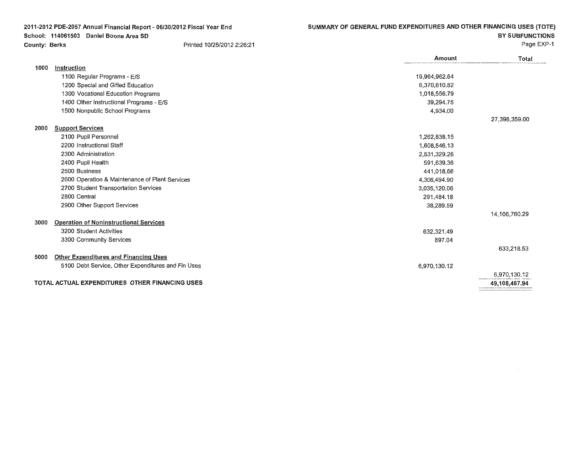| 2011-2012 PDE-2057 Annual Financial Report - 06/30/2012 Fiscal Year End |                                                    | SUMMARY OF GENERAL FUND EXPENDITURES AND OTHER FINANCING USES (TOTE) |               |                        |
|-------------------------------------------------------------------------|----------------------------------------------------|----------------------------------------------------------------------|---------------|------------------------|
|                                                                         | School: 114061503 Daniel Boone Area SD             |                                                                      |               | <b>BY SUBFUNCTIONS</b> |
| <b>County: Berks</b>                                                    |                                                    | Printed 10/25/2012 2:26:21                                           |               | Page EXP-1             |
|                                                                         |                                                    |                                                                      | Amount        | Total                  |
| 1000                                                                    | Instruction                                        |                                                                      |               |                        |
|                                                                         | 1100 Regular Programs - E/S                        |                                                                      | 19,964,962.64 |                        |
|                                                                         | 1200 Special and Gifted Education                  |                                                                      | 6,370,610.82  |                        |
|                                                                         | 1300 Vocational Education Programs                 |                                                                      | 1,018,556.79  |                        |
|                                                                         | 1400 Other Instructional Programs - E/S            |                                                                      | 39,294.75     |                        |
|                                                                         | 1500 Nonpublic School Programs                     |                                                                      | 4,934.00      |                        |
|                                                                         |                                                    |                                                                      |               | 27,398,359.00          |
| 2000                                                                    | <b>Support Services</b>                            |                                                                      |               |                        |
|                                                                         | 2100 Pupil Personnel                               |                                                                      | 1,262,838.15  |                        |
|                                                                         | 2200 Instructional Staff                           |                                                                      | 1,608,546.13  |                        |
|                                                                         | 2300 Administration                                |                                                                      | 2,531,329.26  |                        |
|                                                                         | 2400 Pupil Health                                  |                                                                      | 591,639.36    |                        |
|                                                                         | 2500 Business                                      |                                                                      | 441,018.66    |                        |
|                                                                         | 2600 Operation & Maintenance of Plant Services     |                                                                      | 4,306,494.90  |                        |
|                                                                         | 2700 Student Transportation Services               |                                                                      | 3,035,120.06  |                        |
|                                                                         | 2800 Central                                       |                                                                      | 291,484.18    |                        |
|                                                                         | 2900 Other Support Services                        |                                                                      | 38,289.59     |                        |
|                                                                         |                                                    |                                                                      |               | 14,106,760.29          |
| 3000                                                                    | <b>Operation of Noninstructional Services</b>      |                                                                      |               |                        |
|                                                                         | 3200 Student Activities                            |                                                                      | 632,321.49    |                        |
|                                                                         | 3300 Community Services                            |                                                                      | 897.04        |                        |
|                                                                         |                                                    |                                                                      |               | 633,218.53             |
| 5000                                                                    | <b>Other Expenditures and Financing Uses</b>       |                                                                      |               |                        |
|                                                                         | 5100 Debt Service, Other Expenditures and Fin Uses |                                                                      | 6,970,130.12  |                        |
|                                                                         |                                                    |                                                                      |               | 6,970,130.12           |
|                                                                         | TOTAL ACTUAL EXPENDITURES OTHER FINANCING USES     |                                                                      |               | 49,108,467.94          |
|                                                                         |                                                    |                                                                      |               |                        |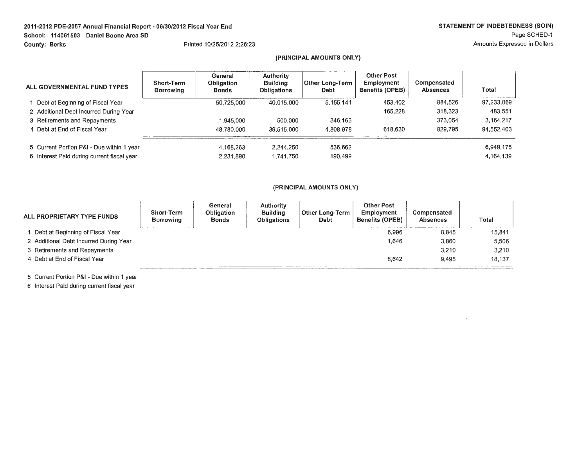#### **2011-2012 PDE-2057 Annual Financial Report** - **06/30/2012 Fiscal Year End School: 114061503 Daniel Boone Area SD County: Berks**  Printed 10/25/2012 2:26:23

### **(PRINCIPAL AMOUNTS ONLY)**

| ALL GOVERNMENTAL FUND TYPES                | <b>Short-Term</b><br><b>Borrowing</b> | General<br><b>Obligation</b><br><b>Bonds</b> | <b>Authority</b><br><b>Building</b><br><b>Obligations</b> | Other Long-Term<br>Debt | <b>Other Post</b><br>Employment<br><b>Benefits (OPEB)</b> | Compensated<br><b>Absences</b> | Total      |
|--------------------------------------------|---------------------------------------|----------------------------------------------|-----------------------------------------------------------|-------------------------|-----------------------------------------------------------|--------------------------------|------------|
| 1 Debt at Beginning of Fiscal Year         |                                       | 50.725.000                                   | 40.015.000                                                | 5.155.141               | 453.402                                                   | 884.526                        | 97.233.069 |
| 2 Additional Debt Incurred During Year     |                                       |                                              |                                                           |                         | 165,228                                                   | 318.323                        | 483.551    |
| 3 Retirements and Repayments               |                                       | 1.945.000                                    | 500,000                                                   | 346,163                 |                                                           | 373.054                        | 3.164.217  |
| 4 Debt at End of Fiscal Year               |                                       | 48.780.000                                   | 39.515.000                                                | 4,808,978               | 618.630                                                   | 829.795                        | 94,552,403 |
| 5 Current Portion P&I - Due within 1 year  |                                       | 4.168.263                                    | 2.244.250                                                 | 536.662                 |                                                           |                                | 6,949,175  |
| 6 Interest Paid during current fiscal year |                                       | 2.231.890                                    | 1,741,750                                                 | 190,499                 |                                                           |                                | 4,164,139  |

## **(PRINCIPAL AMOUNTS ONLY)**

| ALL PROPRIETARY TYPE FUNDS             | <b>Short-Term</b><br><b>Borrowing</b> | General<br><b>Obligation</b><br><b>Bonds</b> | <b>Authority</b><br><b>Building</b><br><b>Obligations</b> | <b>Other Long-Term</b><br><b>Debt</b> | <b>Other Post</b><br><b>Employment</b><br><b>Benefits (OPEB)</b> | <b>Compensated</b><br><b>Absences</b> | Total  |
|----------------------------------------|---------------------------------------|----------------------------------------------|-----------------------------------------------------------|---------------------------------------|------------------------------------------------------------------|---------------------------------------|--------|
| 1 Debt at Beginning of Fiscal Year     |                                       |                                              |                                                           |                                       | 6,996                                                            | 8,845                                 | 15,841 |
| 2 Additional Debt Incurred During Year |                                       |                                              |                                                           |                                       | 1.646                                                            | 3,860                                 | 5.506  |
| 3 Retirements and Repayments           |                                       |                                              |                                                           |                                       |                                                                  | 3.210                                 | 3.210  |
| 4 Debt at End of Fiscal Year           |                                       |                                              |                                                           |                                       | 8.642                                                            | 9.495                                 | 18.137 |

5 Current Portion P&I - Due within 1 year

6 Interest Paid during current fiscal year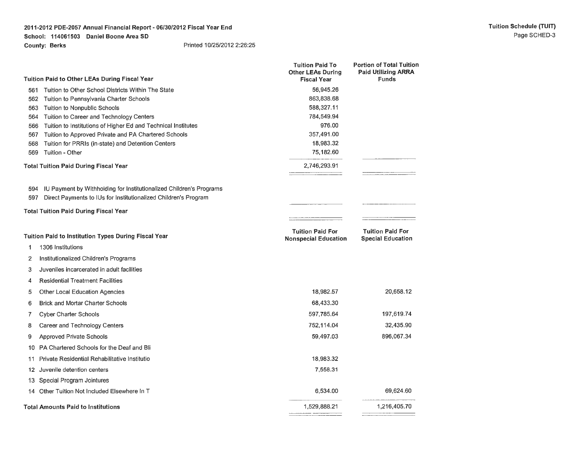#### **2011-2012 PDE-2057 Annual Financial Report- 06/30/2012 Fiscal Year End School: 114061503 Daniel Boone Area SD County: Berks**  Printed 10/25/2012 2:26:25

|            |                                                                                                                                        | <b>Tuition Paid To</b><br><b>Other LEAs During</b>     | <b>Portion of Total Tuition</b><br><b>Paid Utilizing ARRA</b> |
|------------|----------------------------------------------------------------------------------------------------------------------------------------|--------------------------------------------------------|---------------------------------------------------------------|
|            | <b>Tuition Paid to Other LEAs During Fiscal Year</b>                                                                                   | <b>Fiscal Year</b>                                     | Funds                                                         |
| 561        | Tuition to Other School Districts Within The State                                                                                     | 56,945.26                                              |                                                               |
| 562        | Tuition to Pennsylvania Charter Schools                                                                                                | 863,838.68                                             |                                                               |
| 563<br>564 | Tuition to Nonpublic Schools                                                                                                           | 588,327.11<br>784,549.94                               |                                                               |
| 566        | Tuition to Career and Technology Centers<br>Tuition to Institutions of Higher Ed and Technical Institutes                              | 976.00                                                 |                                                               |
| 567        | Tuition to Approved Private and PA Chartered Schools                                                                                   | 357,491.00                                             |                                                               |
| 568        | Tuition for PRRIs (in-state) and Detention Centers                                                                                     | 18,983.32                                              |                                                               |
| 569        | Tuition - Other                                                                                                                        | 75,182.60                                              |                                                               |
|            | <b>Total Tuition Paid During Fiscal Year</b>                                                                                           | 2,746,293.91                                           |                                                               |
| 594<br>597 | IU Payment by Withholding for Institutionalized Children's Programs<br>Direct Payments to IUs for Institutionalized Children's Program |                                                        |                                                               |
|            | <b>Total Tuition Paid During Fiscal Year</b>                                                                                           |                                                        |                                                               |
|            | <b>Tuition Paid to Institution Types During Fiscal Year</b>                                                                            | <b>Tuition Paid For</b><br><b>Nonspecial Education</b> | <b>Tuition Paid For</b><br><b>Special Education</b>           |
| 1          | 1306 Institutions                                                                                                                      |                                                        |                                                               |
| 2          | Institutionalized Children's Programs                                                                                                  |                                                        |                                                               |
| 3          | Juveniles incarcerated in adult facilities                                                                                             |                                                        |                                                               |
| 4          | <b>Residential Treatment Facilities</b>                                                                                                |                                                        |                                                               |
| 5          | Other Local Education Agencies                                                                                                         | 18,982.57                                              | 20,658.12                                                     |
| 6          | <b>Brick and Mortar Charter Schools</b>                                                                                                | 68,433.30                                              |                                                               |
| 7          | <b>Cyber Charter Schools</b>                                                                                                           | 597,785.64                                             | 197,619.74                                                    |
| 8          | Career and Technology Centers                                                                                                          | 752,114.04                                             | 32,435.90                                                     |
| 9          | <b>Approved Private Schools</b>                                                                                                        | 59,497.03                                              | 896,067.34                                                    |
| 10         | PA Chartered Schools for the Deaf and Bli                                                                                              |                                                        |                                                               |
| 11         | Private Residential Rehabilitative Institutio                                                                                          | 18,983.32                                              |                                                               |
| 12         | Juvenile detention centers                                                                                                             | 7,558.31                                               |                                                               |
| 13         | Special Program Jointures                                                                                                              |                                                        |                                                               |
| 14         | Other Tuition Not Included Elsewhere In T                                                                                              | 6,534.00                                               | 69,624.60                                                     |
|            | <b>Total Amounts Paid to Institutions</b>                                                                                              | 1,529,888.21                                           | 1,216,405.70                                                  |
|            |                                                                                                                                        |                                                        |                                                               |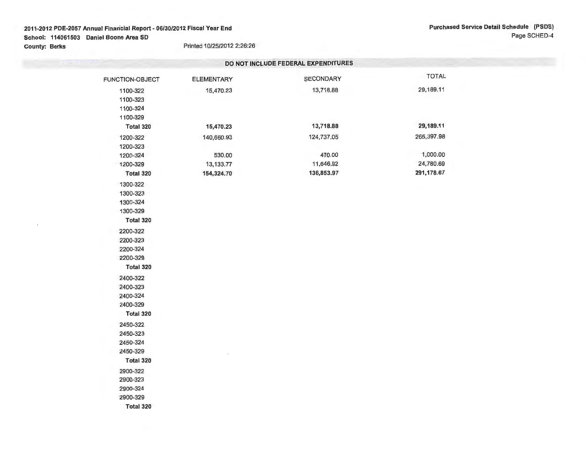## **2011-2012 PDE-2057 Annual Financial Report- 06/30/2012 Fiscal Year End School: 114061503 Daniel Boone Area SD County: Berks** Printed 10/25/2012 2:26:26

 $\lambda$ 

|                                              |                   | DO NOT INCLUDE FEDERAL EXPENDITURES |              |  |
|----------------------------------------------|-------------------|-------------------------------------|--------------|--|
| FUNCTION-OBJECT                              | <b>ELEMENTARY</b> | SECONDARY                           | <b>TOTAL</b> |  |
| 1100-322<br>1100-323<br>1100-324<br>1100-329 | 15,470.23         | 13,718.88                           | 29,189.11    |  |
| Total 320                                    | 15,470.23         | 13,718.88                           | 29,189.11    |  |
| 1200-322                                     | 140,660.93        | 124,737.05                          | 265,397.98   |  |
| 1200-323                                     |                   |                                     | 1,000.00     |  |
| 1200-324                                     | 530.00            | 470.00<br>11,646.92                 | 24,780.69    |  |
| 1200-329                                     | 13,133.77         |                                     | 291,178.67   |  |
| Total 320                                    | 154,324.70        | 136,853.97                          |              |  |
| 1300-322                                     |                   |                                     |              |  |
| 1300-323                                     |                   |                                     |              |  |
| 1300-324                                     |                   |                                     |              |  |
| 1300-329                                     |                   |                                     |              |  |
| Total 320                                    |                   |                                     |              |  |
| 2200-322                                     |                   |                                     |              |  |
| 2200-323                                     |                   |                                     |              |  |
| 2200-324                                     |                   |                                     |              |  |
| 2200-329                                     |                   |                                     |              |  |
| Total 320                                    |                   |                                     |              |  |
| 2400-322                                     |                   |                                     |              |  |
| 2400-323                                     |                   |                                     |              |  |
| 2400-324                                     |                   |                                     |              |  |
| 2400-329                                     |                   |                                     |              |  |
| Total 320                                    |                   |                                     |              |  |
| 2450-322                                     |                   |                                     |              |  |
| 2450-323                                     |                   |                                     |              |  |
| 2450-324                                     |                   |                                     |              |  |
| 2450-329                                     |                   |                                     |              |  |
| Total 320                                    |                   |                                     |              |  |
| 2900-322                                     |                   |                                     |              |  |
| 2900-323                                     |                   |                                     |              |  |
| 2900-324                                     |                   |                                     |              |  |
| 2900-329                                     |                   |                                     |              |  |
| Total 320                                    |                   |                                     |              |  |
|                                              |                   |                                     |              |  |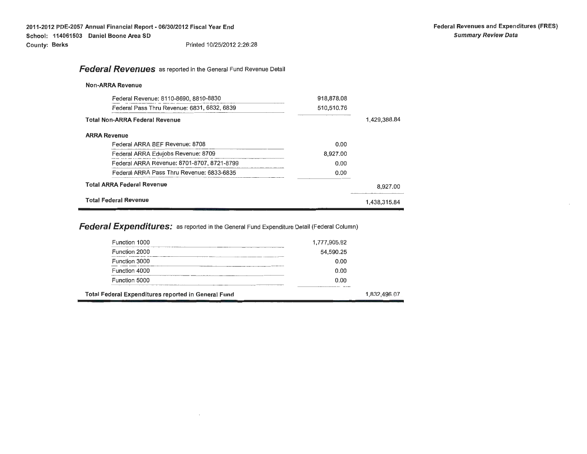# **Federal Revenues** as reported in the General Fund Revenue Detail

### **Non-ARRA Revenue**

| Federal Revenue: 8110-8690, 8810-8830       | 918,878.08 |              |
|---------------------------------------------|------------|--------------|
| Federal Pass Thru Revenue: 6831, 6832, 6839 | 510,510.76 |              |
| <b>Total Non-ARRA Federal Revenue</b>       |            | 1,429,388.84 |
| <b>ARRA Revenue</b>                         |            |              |
| Federal ARRA BEF Revenue: 8708              | 0.00       |              |
| Federal ARRA Edujobs Revenue: 8709          | 8.927.00   |              |
| Federal ARRA Revenue: 8701-8707, 8721-8799  | 0.00       |              |
| Federal ARRA Pass Thru Revenue: 6833-6835   | 0.00       |              |
| <b>Total ARRA Federal Revenue</b>           |            | 8,927.00     |
| <b>Total Federal Revenue</b>                |            | 1.438.315.84 |

**Federal Expenditures:** as reported in the General Fund Expenditure Detail (Federal Column)

| Total Federal Expenditures reported in General Fund |                 | 1,832,496.07 |
|-----------------------------------------------------|-----------------|--------------|
| Function 5000                                       | 0.00<br>_______ |              |
| Function 4000                                       | 0.00            |              |
| Function 3000                                       | 0.00            |              |
| Function 2000                                       | 54,590.25       |              |
| Function 1000                                       | 1,777,905.82    |              |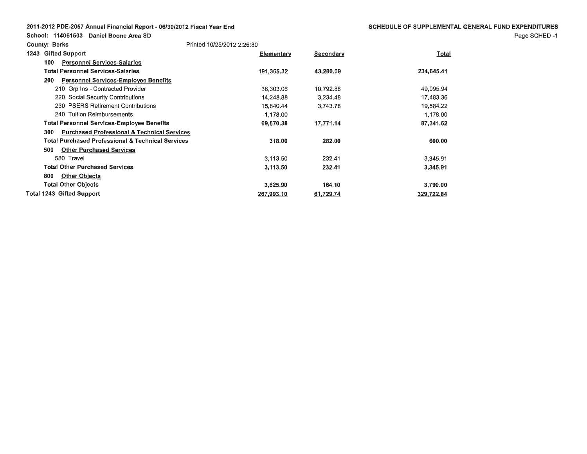## 2011-2012 PDE-2057 Annual Financial Report- 06/30/2012 Fiscal Year End

School: 114061503 Daniel Boone Area SD

Page SCHED -1

| <b>County: Berks</b>                                          | Printed 10/25/2012 2:26:30 |                  |            |
|---------------------------------------------------------------|----------------------------|------------------|------------|
| <b>Gifted Support</b><br>1243                                 | Elementary                 | <b>Secondary</b> | Total      |
| <b>Personnel Services-Salaries</b><br>100                     |                            |                  |            |
| <b>Total Personnel Services-Salaries</b>                      | 191,365.32                 | 43,280.09        | 234,645.41 |
| <b>Personnel Services-Employee Benefits</b><br>200            |                            |                  |            |
| 210 Grp Ins - Contracted Provider                             | 38,303.06                  | 10,792.88        | 49,095.94  |
| 220 Social Security Contributions                             | 14,248.88                  | 3,234,48         | 17,483.36  |
| 230 PSERS Retirement Contributions                            | 15,840,44                  | 3,743.78         | 19,584.22  |
| 240 Tuition Reimbursements                                    | 1,178.00                   |                  | 1,178.00   |
| <b>Total Personnel Services-Employee Benefits</b>             | 69,570.38                  | 17,771.14        | 87,341.52  |
| <b>Purchased Professional &amp; Technical Services</b><br>300 |                            |                  |            |
| <b>Total Purchased Professional &amp; Technical Services</b>  | 318.00                     | 282.00           | 600.00     |
| <b>Other Purchased Services</b><br>500                        |                            |                  |            |
| 580 Travel                                                    | 3.113.50                   | 232.41           | 3,345.91   |
| <b>Total Other Purchased Services</b>                         | 3,113.50                   | 232.41           | 3,345.91   |
| <b>Other Objects</b><br>800                                   |                            |                  |            |
| Total Other Objects                                           | 3,625.90                   | 164.10           | 3,790.00   |
| Total 1243 Gifted Support                                     | 267,993.10                 | 61,729.74        | 329,722.84 |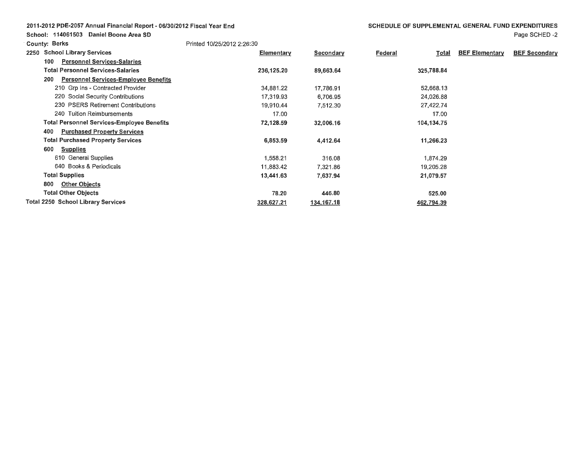| 2011-2012 PDE-2057 Annual Financial Report - 06/30/2012 Fiscal Year End |  |  |  |  |
|-------------------------------------------------------------------------|--|--|--|--|
|-------------------------------------------------------------------------|--|--|--|--|

**School: 114061503 Daniel Boone Area SD** 

Page SCHED -2

| <b>County: Berks</b>                               | Printed 10/25/2012 2:26:30 |                  |                  |                       |                      |
|----------------------------------------------------|----------------------------|------------------|------------------|-----------------------|----------------------|
| <b>School Library Services</b><br>2250             | Elementary                 | <b>Secondary</b> | Federal<br>Total | <b>BEF Elementary</b> | <b>BEF Secondary</b> |
| <b>Personnel Services-Salaries</b><br>100          |                            |                  |                  |                       |                      |
| <b>Total Personnel Services-Salaries</b>           | 236,125.20                 | 89,663.64        | 325,788.84       |                       |                      |
| <b>Personnel Services-Employee Benefits</b><br>200 |                            |                  |                  |                       |                      |
| 210 Grp Ins - Contracted Provider                  | 34,881.22                  | 17,786.91        | 52,668.13        |                       |                      |
| 220 Social Security Contributions                  | 17,319.93                  | 6,706.95         | 24,026.88        |                       |                      |
| 230 PSERS Retirement Contributions                 | 19,910.44                  | 7,512.30         | 27,422.74        |                       |                      |
| 240 Tuition Reimbursements                         | 17.00                      |                  | 17.00            |                       |                      |
| <b>Total Personnel Services-Employee Benefits</b>  | 72,128.59                  | 32,006.16        | 104,134.75       |                       |                      |
| <b>Purchased Property Services</b><br>400          |                            |                  |                  |                       |                      |
| <b>Total Purchased Property Services</b>           | 6,853.59                   | 4,412.64         | 11,266.23        |                       |                      |
| 600<br><b>Supplies</b>                             |                            |                  |                  |                       |                      |
| 610 General Supplies                               | 1,558.21                   | 316.08           | 1,874.29         |                       |                      |
| 640 Books & Periodicals                            | 11,883.42                  | 7,321.86         | 19,205.28        |                       |                      |
| <b>Total Supplies</b>                              | 13,441.63                  | 7,637.94         | 21,079.57        |                       |                      |
| <b>Other Objects</b><br>800                        |                            |                  |                  |                       |                      |
| <b>Total Other Objects</b>                         | 78.20                      | 446.80           | 525.00           |                       |                      |
| <b>Total 2250 School Library Services</b>          | 328,627.21                 | 134,167.18       | 462,794.39       |                       |                      |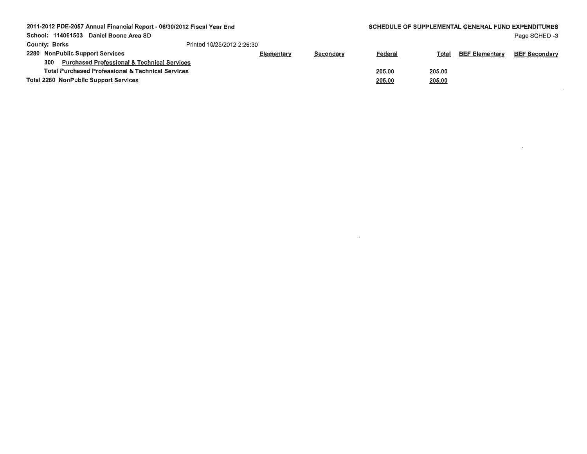| 2011-2012 PDE-2057 Annual Financial Report - 06/30/2012 Fiscal Year End |                                                               |                            |           |                | <b>SCHEDULE OF SUPPLEMENTAL GENERAL FUND EXPENDITURES</b> |                       |                      |  |  |
|-------------------------------------------------------------------------|---------------------------------------------------------------|----------------------------|-----------|----------------|-----------------------------------------------------------|-----------------------|----------------------|--|--|
|                                                                         | School: 114061503 Daniel Boone Area SD                        |                            |           |                |                                                           |                       | Page SCHED -3        |  |  |
|                                                                         | <b>County: Berks</b>                                          | Printed 10/25/2012 2:26:30 |           |                |                                                           |                       |                      |  |  |
|                                                                         | 2280 NonPublic Support Services                               | Elementary                 | Secondary | <u>Federal</u> | <b>Total</b>                                              | <b>BEF Elementary</b> | <b>BEF Secondary</b> |  |  |
|                                                                         | <b>Purchased Professional &amp; Technical Services</b><br>300 |                            |           |                |                                                           |                       |                      |  |  |
|                                                                         | <b>Total Purchased Professional &amp; Technical Services</b>  |                            |           | 205.00         | 205.00                                                    |                       |                      |  |  |
|                                                                         | <b>Total 2280 NonPublic Support Services</b>                  |                            |           | 205.00         | 205.00                                                    |                       |                      |  |  |
|                                                                         |                                                               |                            |           |                |                                                           |                       |                      |  |  |

 $\mathcal{L}(\mathcal{L}^{\mathcal{L}})$  and  $\mathcal{L}^{\mathcal{L}}$  are the set of the set of  $\mathcal{L}^{\mathcal{L}}$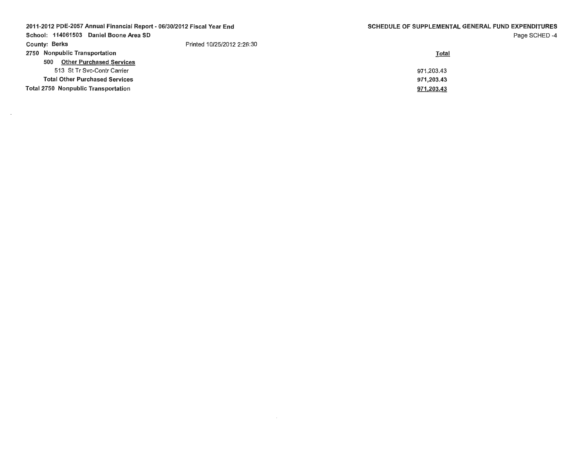| 2011-2012 PDE-2057 Annual Financial Report - 06/30/2012 Fiscal Year End |                            | <b>SCHEDULE OF SUPPLEMENTAL GENERAL FUND EXPENDITURES</b> |  |  |  |
|-------------------------------------------------------------------------|----------------------------|-----------------------------------------------------------|--|--|--|
| School: 114061503 Daniel Boone Area SD                                  |                            | Page SCHED-4                                              |  |  |  |
| <b>County: Berks</b>                                                    | Printed 10/25/2012 2:26:30 |                                                           |  |  |  |
| 2750 Nonpublic Transportation                                           |                            | Total                                                     |  |  |  |
| <b>Other Purchased Services</b><br>500                                  |                            |                                                           |  |  |  |
| 513 St Tr Svc-Contr Carrier                                             |                            | 971.203.43                                                |  |  |  |
| <b>Total Other Purchased Services</b>                                   |                            | 971.203.43                                                |  |  |  |
| <b>Total 2750 Nonpublic Transportation</b>                              |                            | 971,203.43                                                |  |  |  |
|                                                                         |                            |                                                           |  |  |  |

 $\sim 10^{-1}$ 

 $\sim$   $\sim$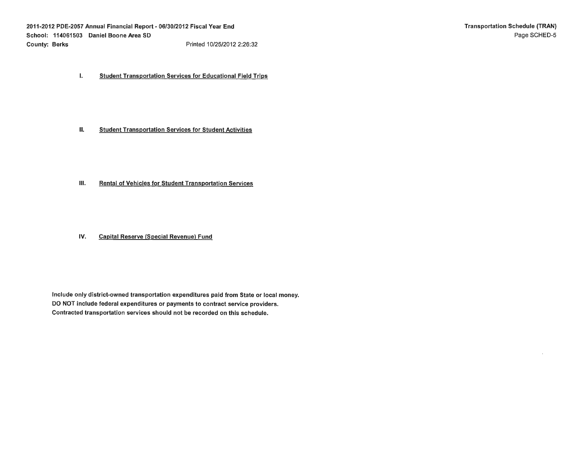I. Student Transportation Services for Educational Field Trips

II. Student Transportation Services for Student Activities

- III. Rental of Vehicles for Student Transportation Services
- IV. Capital Reserve (Special Revenue) Fund

Include only district-owned transportation expenditures paid from State or local money. DO NOT include federal expenditures or payments to contract service providers. Contracted transportation services should not be recorded on this schedule.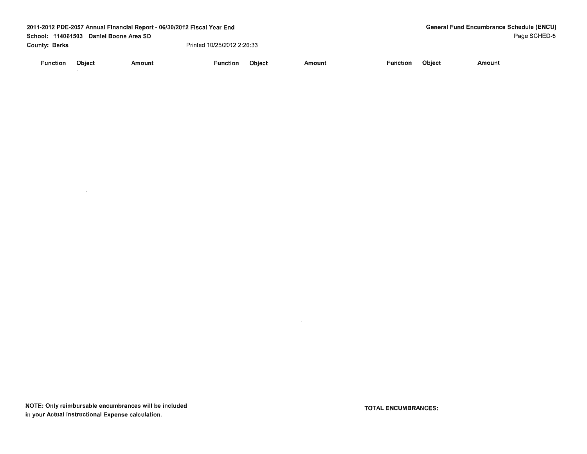|                      |                                           | 2011-2012 PDE-2057 Annual Financial Report - 06/30/2012 Fiscal Year End |                            | <b>General Fund Encumbrance Schedule (ENCU)</b> |        |                 |               |        |              |  |
|----------------------|-------------------------------------------|-------------------------------------------------------------------------|----------------------------|-------------------------------------------------|--------|-----------------|---------------|--------|--------------|--|
|                      | School: 114061503<br>Daniel Boone Area SD |                                                                         |                            |                                                 |        |                 |               |        | Page SCHED-6 |  |
| <b>County: Berks</b> |                                           |                                                                         | Printed 10/25/2012 2:26:33 |                                                 |        |                 |               |        |              |  |
| <b>Function</b>      | <b>Object</b>                             | Amount                                                                  | <b>Function</b>            | Object                                          | Amount | <b>Function</b> | <b>Object</b> | Amount |              |  |

 $\mathcal{L}^{\text{max}}_{\text{max}}$ 

 $\sim 100$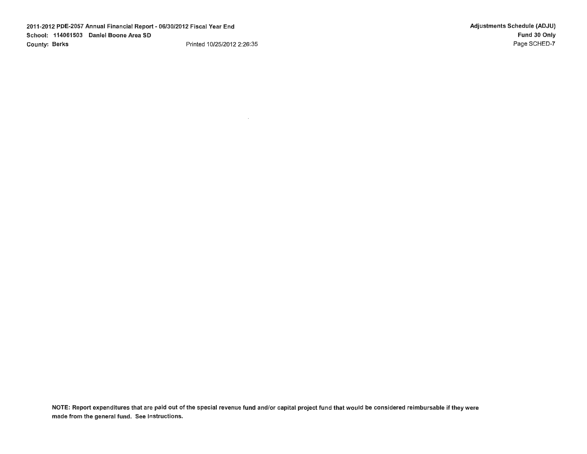$\sim$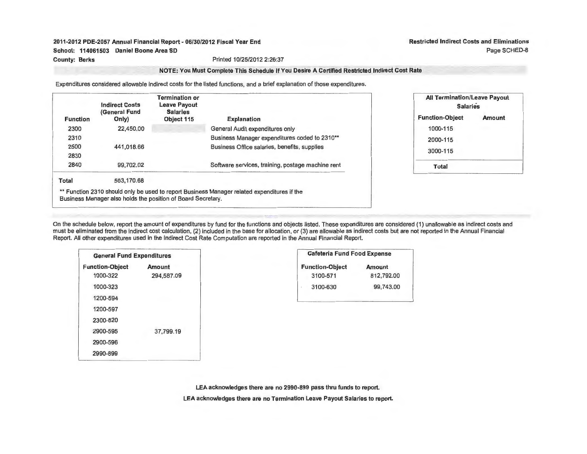Restricted Indirect Costs and Eliminations Page SCHED-8

## **NOTE: You Must Complete This Schedule If You Desire A Certified Restricted Indirect Cost Rate**

Expenditures considered allowable indirect costs for the listed functions, and a brief explanation of those expenditures.

| <b>Function</b> | <b>Indirect Costs</b><br>(General Fund<br>Only) | <b>Termination or</b><br><b>Leave Payout</b><br><b>Salaries</b><br>Object 115 | <b>Explanation</b>                                                                          |
|-----------------|-------------------------------------------------|-------------------------------------------------------------------------------|---------------------------------------------------------------------------------------------|
| 2300            | 22,450.00                                       |                                                                               | General Audit expenditures only                                                             |
| 2310            |                                                 |                                                                               | Business Manager expenditures coded to 2310**                                               |
| 2500            | 441.018.66                                      |                                                                               | Business Office salaries, benefits, supplies                                                |
| 2830            |                                                 |                                                                               |                                                                                             |
| 2840            | 99,702.02                                       |                                                                               | Software services, training, postage machine rent                                           |
| Total           | 563,170.68                                      |                                                                               |                                                                                             |
|                 |                                                 |                                                                               | ** Function 2310 should only be used to report Business Manager related expenditures if the |

| <b>All Termination/Leave Payout</b><br><b>Salaries</b> |        |  |  |  |
|--------------------------------------------------------|--------|--|--|--|
| <b>Function-Object</b>                                 | Amount |  |  |  |
| 1000-115                                               |        |  |  |  |
| 2000-115                                               |        |  |  |  |
| 3000-115                                               |        |  |  |  |
| Total                                                  |        |  |  |  |

On the schedule below, report the amount of expenditures by fund for the functions and objects listed. These expenditures are considered (1) unallowable as indirect costs and must be eliminated from the indirect cost calculation, (2) included in the base for allocation, or (3) are allowable as indirect costs but are not reported in the Annual Financial Report. All other expenditures used in the Indirect Cost Rate Computation are reported in the Annual Financial Report.

| <b>General Fund Expenditures</b> |            |  |  |  |  |  |
|----------------------------------|------------|--|--|--|--|--|
| <b>Function-Object</b>           | Amount     |  |  |  |  |  |
| 1000-322                         | 294,587.09 |  |  |  |  |  |
| 1000-323                         |            |  |  |  |  |  |
| 1200-594                         |            |  |  |  |  |  |
| 1200-597                         |            |  |  |  |  |  |
| 2300-820                         |            |  |  |  |  |  |
| 2900-595                         | 37.799.19  |  |  |  |  |  |
| 2900-596                         |            |  |  |  |  |  |
| 2990-899                         |            |  |  |  |  |  |

Business Manager also holds the position of Board Secretary.

| <b>Cafeteria Fund Food Expense</b> |               |  |  |  |  |  |
|------------------------------------|---------------|--|--|--|--|--|
| <b>Function-Object</b>             | <b>Amount</b> |  |  |  |  |  |
| 3100-571                           | 812,792.00    |  |  |  |  |  |
| 3100-630<br>٠                      | 99,743.00     |  |  |  |  |  |
|                                    |               |  |  |  |  |  |

**LEA acknowledges there are no 2990-899 pass thru funds to report.** 

**LEA acknowledges there are no Termination Leave Payout Salaries to report.**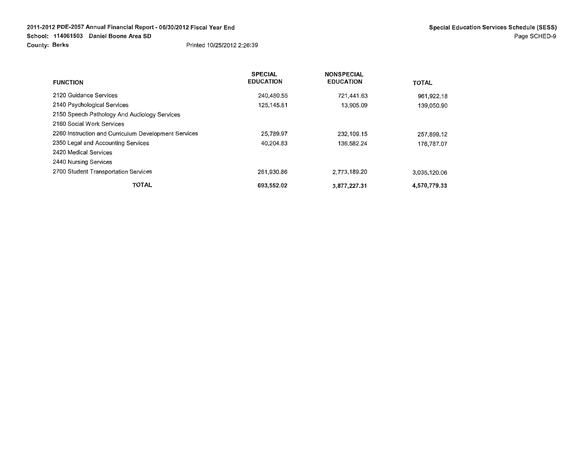|                                                      | <b>SPECIAL</b>   | <b>NONSPECIAL</b> |              |
|------------------------------------------------------|------------------|-------------------|--------------|
| <b>FUNCTION</b>                                      | <b>EDUCATION</b> | <b>EDUCATION</b>  | <b>TOTAL</b> |
| 2120 Guidance Services                               | 240,480.55       | 721,441.63        | 961.922.18   |
| 2140 Psychological Services                          | 125,145.81       | 13,905.09         | 139,050.90   |
| 2150 Speech Pathology And Audiology Services         |                  |                   |              |
| 2160 Social Work Services                            |                  |                   |              |
| 2260 Instruction and Curriculum Development Services | 25,789.97        | 232,109.15        | 257,899.12   |
| 2350 Legal and Accounting Services                   | 40.204.83        | 136,582.24        | 176,787.07   |
| 2420 Medical Services                                |                  |                   |              |
| 2440 Nursing Services                                |                  |                   |              |
| 2700 Student Transportation Services                 | 261.930.86       | 2,773,189.20      | 3,035,120.06 |
| <b>TOTAL</b>                                         | 693,552.02       | 3.877.227.31      | 4,570,779.33 |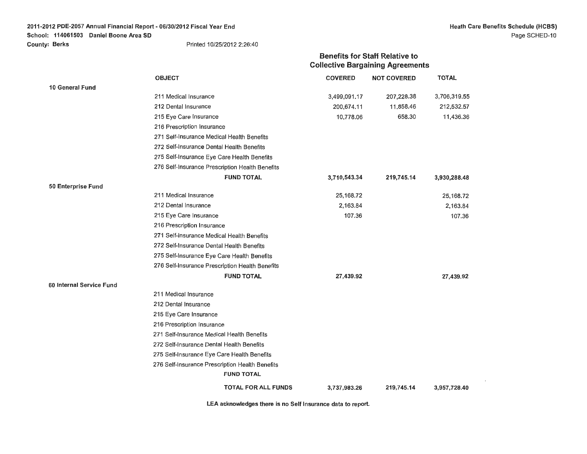Benefits for Staff Relative to

|                          |                                                 | <b>Collective Bargaining Agreements</b> |                    |              |
|--------------------------|-------------------------------------------------|-----------------------------------------|--------------------|--------------|
|                          | <b>OBJECT</b>                                   | <b>COVERED</b>                          | <b>NOT COVERED</b> | <b>TOTAL</b> |
| 10 General Fund          |                                                 |                                         |                    |              |
|                          | 211 Medical Insurance                           | 3,499,091.17                            | 207,228.38         | 3,706,319.55 |
|                          | 212 Dental Insurance                            | 200,674.11                              | 11,858.46          | 212,532.57   |
|                          | 215 Eye Care Insurance                          | 10,778.06                               | 658.30             | 11,436.36    |
|                          | 216 Prescription Insurance                      |                                         |                    |              |
|                          | 271 Self-Insurance Medical Health Benefits      |                                         |                    |              |
|                          | 272 Self-Insurance Dental Health Benefits       |                                         |                    |              |
|                          | 275 Self-Insurance Eye Care Health Benefits     |                                         |                    |              |
|                          | 276 Self-Insurance Prescription Health Benefits |                                         |                    |              |
|                          | <b>FUND TOTAL</b>                               | 3,710,543.34                            | 219,745.14         | 3,930,288.48 |
| 50 Enterprise Fund       |                                                 |                                         |                    |              |
|                          | 211 Medical Insurance                           | 25,168.72                               |                    | 25,168.72    |
|                          | 212 Dental Insurance                            | 2,163.84                                |                    | 2,163.84     |
|                          | 215 Eye Care Insurance                          | 107.36                                  |                    | 107.36       |
|                          | 216 Prescription Insurance                      |                                         |                    |              |
|                          | 271 Self-Insurance Medical Health Benefits      |                                         |                    |              |
|                          | 272 Self-Insurance Dental Health Benefits       |                                         |                    |              |
|                          | 275 Self-Insurance Eye Care Health Benefits     |                                         |                    |              |
|                          | 276 Self-Insurance Prescription Health Benefits |                                         |                    |              |
|                          | <b>FUND TOTAL</b>                               | 27,439.92                               |                    | 27,439.92    |
| 60 Internal Service Fund |                                                 |                                         |                    |              |
|                          | 211 Medical Insurance                           |                                         |                    |              |
|                          | 212 Dental Insurance                            |                                         |                    |              |
|                          | 215 Eye Care Insurance                          |                                         |                    |              |
|                          | 216 Prescription Insurance                      |                                         |                    |              |
|                          | 271 Self-Insurance Medical Health Benefits      |                                         |                    |              |
|                          | 272 Self-Insurance Dental Health Benefits       |                                         |                    |              |
|                          | 275 Self-Insurance Eye Care Health Benefits     |                                         |                    |              |
|                          | 276 Self-Insurance Prescription Health Benefits |                                         |                    |              |
|                          | <b>FUND TOTAL</b>                               |                                         |                    |              |
|                          | <b>TOTAL FOR ALL FUNDS</b>                      | 3,737,983.26                            | 219,745.14         | 3,957,728.40 |

**LEA acknowledges there is no Self Insurance data to report.**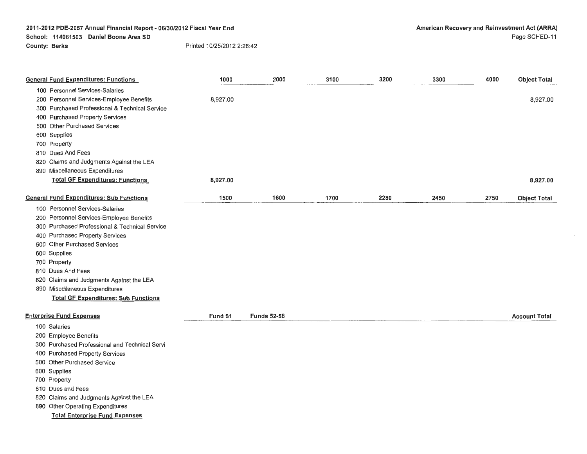| <b>General Fund Expenditures: Functions</b>     | 1000     | 2000               | 3100 | 3200 | 3300 | 4000 | <b>Object Total</b>  |
|-------------------------------------------------|----------|--------------------|------|------|------|------|----------------------|
| 100 Personnel Services-Salaries                 |          |                    |      |      |      |      |                      |
| 200 Personnel Services-Employee Benefits        | 8,927.00 |                    |      |      |      |      | 8,927.00             |
| 300 Purchased Professional & Technical Service  |          |                    |      |      |      |      |                      |
| 400 Purchased Property Services                 |          |                    |      |      |      |      |                      |
| 500 Other Purchased Services                    |          |                    |      |      |      |      |                      |
| 600 Supplies                                    |          |                    |      |      |      |      |                      |
| 700 Property                                    |          |                    |      |      |      |      |                      |
| 810 Dues And Fees                               |          |                    |      |      |      |      |                      |
| 820 Claims and Judgments Against the LEA        |          |                    |      |      |      |      |                      |
| 890 Miscellaneous Expenditures                  |          |                    |      |      |      |      |                      |
| <b>Total GF Expenditures: Functions</b>         | 8,927.00 |                    |      |      |      |      | 8,927.00             |
| <b>General Fund Expenditures: Sub Functions</b> | 1500     | 1600               | 1700 | 2280 | 2450 | 2750 | <b>Object Total</b>  |
| 100 Personnel Services-Salaries                 |          |                    |      |      |      |      |                      |
| 200 Personnel Services-Employee Benefits        |          |                    |      |      |      |      |                      |
| 300 Purchased Professional & Technical Service  |          |                    |      |      |      |      |                      |
| 400 Purchased Property Services                 |          |                    |      |      |      |      |                      |
| 500 Other Purchased Services                    |          |                    |      |      |      |      |                      |
| 600 Supplies                                    |          |                    |      |      |      |      |                      |
| 700 Property                                    |          |                    |      |      |      |      |                      |
| 810 Dues And Fees                               |          |                    |      |      |      |      |                      |
| 820 Claims and Judgments Against the LEA        |          |                    |      |      |      |      |                      |
| 890 Miscellaneous Expenditures                  |          |                    |      |      |      |      |                      |
| <b>Total GF Expenditures: Sub Functions</b>     |          |                    |      |      |      |      |                      |
| <b>Enterprise Fund Expenses</b>                 | Fund 51  | <b>Funds 52-58</b> |      |      |      |      | <b>Account Total</b> |
| 100 Salaries                                    |          |                    |      |      |      |      |                      |
| 200 Employee Benefits                           |          |                    |      |      |      |      |                      |
| 300 Purchased Professional and Technical Servi  |          |                    |      |      |      |      |                      |
| 400 Purchased Property Services                 |          |                    |      |      |      |      |                      |
| 500 Other Purchased Service                     |          |                    |      |      |      |      |                      |
| 600 Supplies                                    |          |                    |      |      |      |      |                      |
| 700 Property                                    |          |                    |      |      |      |      |                      |
| 810 Dues and Fees                               |          |                    |      |      |      |      |                      |
| 820 Claims and Judgments Against the LEA        |          |                    |      |      |      |      |                      |

890 Other Operating Expenditures

**Total Enterprise Fund Expenses**